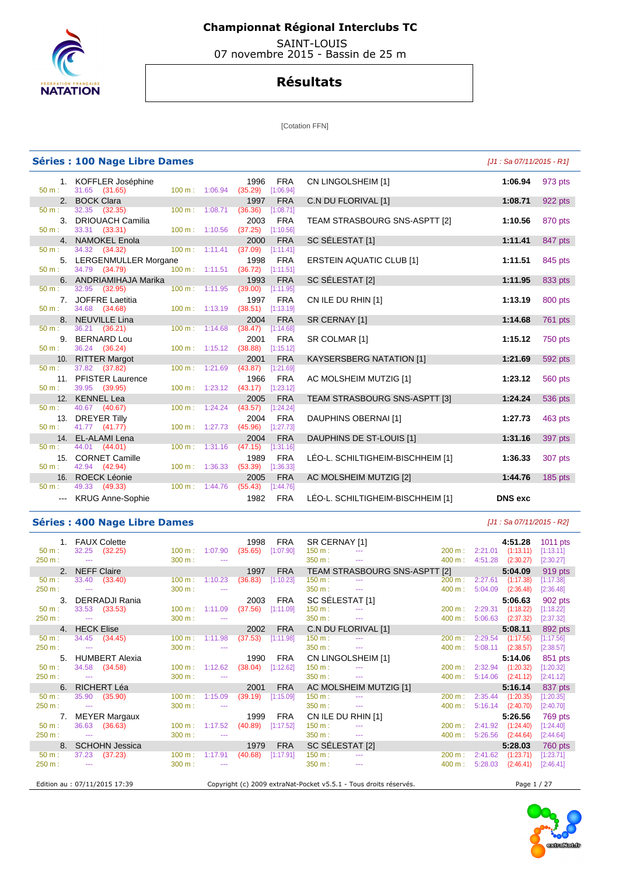

 SAINT-LOUIS 07 novembre 2015 - Bassin de 25 m

### **Résultats**

[Cotation FFN]

|                  | <b>Séries : 100 Nage Libre Dames</b>  |                           |                                  |                 |                         |                                   | [J1 : Sa 07/11/2015 - R1] |           |
|------------------|---------------------------------------|---------------------------|----------------------------------|-----------------|-------------------------|-----------------------------------|---------------------------|-----------|
| $50 m$ :         | 1. KOFFLER Joséphine<br>31.65 (31.65) | 100 m: 1:06.94            |                                  | 1996<br>(35.29) | <b>FRA</b><br>[1:06.94] | CN LINGOLSHEIM [1]                | 1:06.94                   | 973 pts   |
|                  | 2. BOCK Clara                         |                           |                                  | 1997            | <b>FRA</b>              | C.N DU FLORIVAL [1]               | 1:08.71                   | 922 pts   |
| $50 \text{ m}$ : | 32.35 (32.35)                         | 100 m: 1:08.71            |                                  | (36.36)         | [1:08.71]               |                                   |                           |           |
|                  | 3. DRIOUACH Camilia                   |                           |                                  | 2003            | <b>FRA</b>              | TEAM STRASBOURG SNS-ASPTT [2]     | 1:10.56                   | 870 pts   |
| $50 m$ :         | 33.31 (33.31)                         | 100 m: 1:10.56            |                                  | (37.25)         | [1:10.56]               |                                   |                           |           |
|                  | 4. NAMOKEL Enola                      |                           |                                  | 2000            | <b>FRA</b>              | SC SÉLESTAT [1]                   | 1:11.41                   | 847 pts   |
| 50 m:            | 34.32 (34.32)                         | $100 m$ : 1:11.41         |                                  | (37.09)         | [1:11.41]               |                                   |                           |           |
|                  | 5. LERGENMULLER Morgane               |                           |                                  | 1998            | <b>FRA</b>              | <b>ERSTEIN AQUATIC CLUB [1]</b>   | 1:11.51                   | 845 pts   |
| 50 m:            | 34.79 (34.79)                         | $100 m$ : 1:11.51         |                                  | (36.72)         | [1:11.51]               |                                   |                           |           |
|                  | 6. ANDRIAMIHAJA Marika                |                           |                                  | 1993            | <b>FRA</b>              | SC SELESTAT [2]                   | 1:11.95                   | 833 pts   |
| $50 m$ :         | 32.95 (32.95)                         | $100 m$ : 1:11.95         |                                  | (39.00)         | [1:11.95]               |                                   |                           |           |
| $50 \text{ m}$ : | 7. JOFFRE Laetitia                    |                           |                                  | 1997            | <b>FRA</b>              | CN ILE DU RHIN [1]                | 1:13.19                   | 800 pts   |
|                  | 34.68 (34.68)                         | 100 m: 1:13.19            |                                  | (38.51)         | [1:13.19]               |                                   |                           |           |
| $50 \text{ m}$ : | 8. NEUVILLE Lina<br>36.21 (36.21)     | 100 m: 1:14.68            |                                  | 2004<br>(38.47) | <b>FRA</b><br>[1:14.68] | SR CERNAY [1]                     | 1:14.68                   | 761 pts   |
|                  | 9. BERNARD Lou                        |                           |                                  | 2001            |                         |                                   |                           |           |
| $50 m$ :         | 36.24 (36.24)                         |                           | 100 m: 1:15.12 (38.88)           |                 | <b>FRA</b><br>[1:15.12] | SR COLMAR [1]                     | 1:15.12                   | 750 pts   |
|                  | 10. RITTER Margot                     |                           |                                  | 2001            | <b>FRA</b>              | <b>KAYSERSBERG NATATION [1]</b>   | 1:21.69                   | 592 pts   |
| $50 m$ :         | 37.82 (37.82)                         | 100 m: 1:21.69            |                                  | (43.87)         | [1:21.69]               |                                   |                           |           |
|                  | 11. PFISTER Laurence                  |                           |                                  | 1966            | <b>FRA</b>              | AC MOLSHEIM MUTZIG [1]            | 1:23.12                   | 560 pts   |
| $50 m$ :         | 39.95 (39.95)                         |                           | $100 \text{ m}: 1:23.12 (43.17)$ |                 | [1:23.12]               |                                   |                           |           |
|                  | 12. KENNEL Lea                        |                           |                                  | 2005            | <b>FRA</b>              | TEAM STRASBOURG SNS-ASPTT [3]     | 1:24.24                   | 536 pts   |
| $50 m$ :         | 40.67 (40.67)                         | 100 m: 1:24.24            |                                  | (43.57)         | [1:24.24]               |                                   |                           |           |
|                  | 13. DREYER Tilly                      |                           |                                  | 2004            | <b>FRA</b>              | DAUPHINS OBERNAI [1]              | 1:27.73                   | 463 pts   |
| $50 m$ :         | 41.77 (41.77)                         | 100 m: 1:27.73            |                                  | (45.96)         | [1:27.73]               |                                   |                           |           |
|                  | 14. EL-ALAMI Lena                     |                           |                                  | 2004            | <b>FRA</b>              | DAUPHINS DE ST-LOUIS [1]          | 1:31.16                   | 397 pts   |
| $50 m$ :         | 44.01 (44.01)                         | $100 \text{ m}: 1:31.16$  |                                  | (47.15)         | [1:31.16]               |                                   |                           |           |
|                  | 15. CORNET Camille                    |                           |                                  | 1989            | <b>FRA</b>              | LÉO-L. SCHILTIGHEIM-BISCHHEIM [1] | 1:36.33                   | 307 pts   |
| $50 m$ :         | 42.94 (42.94)                         | $100 \text{ m}: 1:36.33$  |                                  | (53.39)         | [1:36.33]               |                                   |                           |           |
|                  | 16. ROECK Léonie                      |                           |                                  | 2005            | <b>FRA</b>              | AC MOLSHEIM MUTZIG [2]            | 1:44.76                   | $185$ pts |
| $50 m$ :         | 49.33 (49.33)                         | $100 \text{ m}$ : 1:44.76 |                                  | (55.43)         | [1:44.76]               |                                   |                           |           |
|                  | --- KRUG Anne-Sophie                  |                           |                                  | 1982            | <b>FRA</b>              | LÉO-L. SCHILTIGHEIM-BISCHHEIM [1] | <b>DNS</b> exc            |           |

#### **Séries : 400 Nage Libre Dames and the series of the series of the series (J1 : Sa 07/11/2015 - R2]**

#### 1. FAUX Colette 1998 FRA SR CERNAY [1] **4:51.28** 1011 pts 50 m : 32.25 (32.25) 100 m : 1:07.90 (35.65) [1:07.90] 150 m : --- 200 m : 2:21.01 (1:13.11) [1:13.11] 250 m : --- 200 m : --- 300 m : --- 300 m : --- 350 m : --- 350 m : --- 400 m : 4:51.28 (2:30.27) [2:30.27] 2. NEFF Claire 1997 FRA TEAM STRASBOURG SNS-ASPTT [2] **5:04.09** 919 pts 50 m : 33.40 (33.40) 100 m : 1:10.23 (36.83) [1:10.23] 150 m : --- 200 m : 2:27.61 (1:17.38) [1:17.38] 250 m : --- 300 m : --- 350 m : --- 400 m : 5:04.09 (2:36.48) [2:36.48] 3. DERRADJI Rania 2003 FRA SC SÉLESTAT [1] **5:06.63** 902 pts 50 m : 33.53 (33.53) 100 m : 1:11.09 (37.56) [1:11.09] 150 m : --- 200 m : 2:29.31 (1:18.22) [1:18.22] 250 m : --- 300 m : --- 350 m : --- 400 m : 5:06.63 (2:37.32) [2:37.32] 4. HECK Elise 2002 FRA C.N DU FLORIVAL [1] **5:08.11** 892 pts 50 m : 34.45 (34.45) 100 m : 1:11.98 (37.53) [1:11.98] 150 m : --- 200 m : 2:29.54 (1:17.56) [1:17.56] 250 m : --- 300 m : --- 300 m : --- 350 m : --- 350 m : --- 400 m : 5:08.11 (2:38.57) [2:38.57] 5. HUMBERT Alexia 1990 FRA CN LINGOLSHEIM [1] **5:14.06** 851 pts 50 m : 34.58 (34.58) 100 m : 1:12.62 (38.04) [1:12.62] 150 m : --- 200 m : 2:32.94 (1:20.32)<br>250 m : --- 200 m : --- 300 m : --- 300 m : --- 350 m : --- 400 m : 5:14.06 (2:41.12) 250 m : --- 300 m : --- 300 m : --- 350 m : --- 350 m : --- 400 m : 5:14.06 (2:41.12) [2:41.12] 6. RICHERT Léa 2001 FRA AC MOLSHEIM MUTZIG [1] **5:16.14** 837 pts 50 m : 35.90 (35.90) 100 m : 1:15.09 (39.19) [1:15.09] 150 m : --- 200 m : 2:35.44 (1:20.35) [1:20.35] 250 m : --- 300 m : --- 350 m : --- 400 m : 5:16.14 (2:40.70) [2:40.70] 7. MEYER Margaux 1999 FRA CN ILE DU RHIN [1] **5:26.56** 769 pts 50 m : 36.63 (36.63) 100 m : 1:17.52 (40.89) [1:17.52] 150 m : --- 200 m : 2:41.92 (1:24.40) [1:24.40] 250 m : --- 200 m : --- 300 m : --- 300 m : --- 350 m : --- 350 m : --- 400 m : 5:26.56 (2:44.64) [2:44.64] 8. SCHOHN Jessica 1979 FRA SC SÉLESTAT [2] **5:28.03** 760 pts 50 m : 37.23 (37.23) 100 m : 1:17.91 (40.68) [1:17.91] 150 m : --- 200 m : 2:41.62 (1:23.71) [1:23.71] 250 m : --- 300 m : --- 300 m : --- 350 m : --- 350 m : --- 400 m : 5:28.03 (2:46.41) [2:46.41] Edition au : 07/11/2015 17:39 Copyright (c) 2009 extraNat-Pocket v5.5.1 - Tous droits réservés. Page 1 / 27

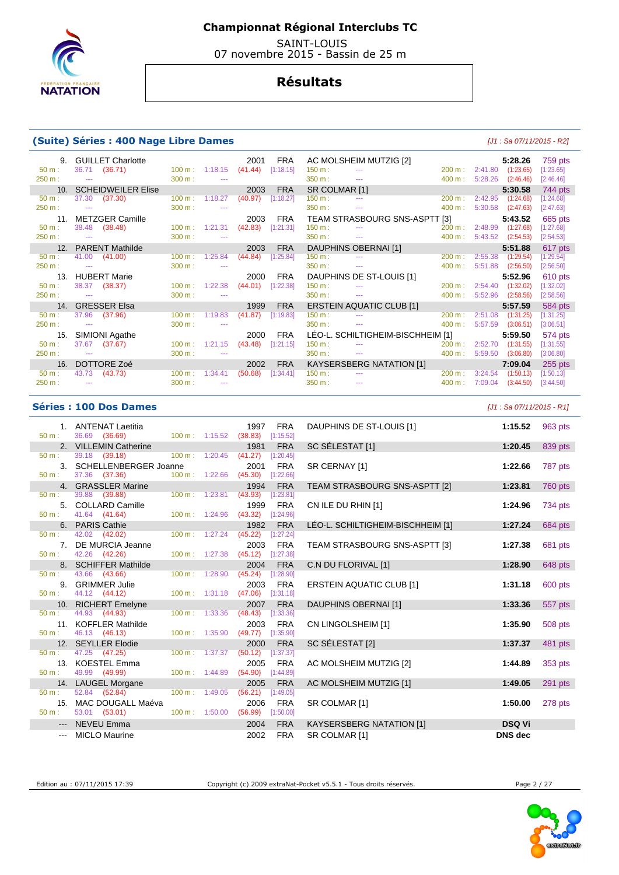

 SAINT-LOUIS 07 novembre 2015 - Bassin de 25 m

## **Résultats**

#### **(Suite) Séries : 400 Nage Libre Dames** [J1 : Sa 07/11/2015 - R2]

| 9.       | <b>GUILLET Charlotte</b>  |                   |                | 2001    | FRA        |               | AC MOLSHEIM MUTZIG [2]                                                                                                                                                                                                                                                                                                                                                                                                                                                     |                   |         | 5:28.26   | 759 pts   |
|----------|---------------------------|-------------------|----------------|---------|------------|---------------|----------------------------------------------------------------------------------------------------------------------------------------------------------------------------------------------------------------------------------------------------------------------------------------------------------------------------------------------------------------------------------------------------------------------------------------------------------------------------|-------------------|---------|-----------|-----------|
| $50 m$ : | 36.71<br>(36.71)          |                   | 100 m: 1:18.15 | (41.44) | [1:18.15]  | 150 m:        | $\frac{1}{2} \left( \frac{1}{2} \right) \left( \frac{1}{2} \right) \left( \frac{1}{2} \right)$                                                                                                                                                                                                                                                                                                                                                                             | 200 m:            | 2:41.80 | (1:23.65) | [1:23.65] |
| 250 m:   | $\sim$                    | 300 m:            |                |         |            | 350 m:        | $\sim$ $\sim$ $\sim$                                                                                                                                                                                                                                                                                                                                                                                                                                                       | 400 m:            | 5:28.26 | (2:46.46) | [2:46.46] |
| 10.      | <b>SCHEIDWEILER Elise</b> |                   |                | 2003    | <b>FRA</b> | SR COLMAR [1] |                                                                                                                                                                                                                                                                                                                                                                                                                                                                            |                   |         | 5:30.58   | 744 pts   |
| $50 m$ : | (37.30)<br>37.30          | $100 \text{ m}$ : | 1:18.27        | (40.97) | [1:18.27]  | $150 m$ :     | $\sim$                                                                                                                                                                                                                                                                                                                                                                                                                                                                     | 200 m:            | 2:42.95 | (1:24.68) | [1:24.68] |
| 250 m:   | $\sim$ $\sim$             | 300 m:            | $\sim$ $\sim$  |         |            | 350 m:        | $\sim$ $\sim$ $\sim$                                                                                                                                                                                                                                                                                                                                                                                                                                                       | 400 m:            | 5:30.58 | (2:47.63) | [2:47.63] |
| 11.      | <b>METZGER Camille</b>    |                   |                | 2003    | <b>FRA</b> |               | TEAM STRASBOURG SNS-ASPTT [3]                                                                                                                                                                                                                                                                                                                                                                                                                                              |                   |         | 5:43.52   | 665 pts   |
| $50 m$ : | 38.48 (38.48)             | $100 \text{ m}$ : | 1:21.31        | (42.83) | [1:21.31]  | 150 m:        |                                                                                                                                                                                                                                                                                                                                                                                                                                                                            | 200 m:            | 2:48.99 | (1:27.68) | [1:27.68] |
| 250 m:   | $\sim$ $\sim$             | 300 m:            | $\frac{1}{2}$  |         |            | 350 m:        | $\sim$ $\sim$                                                                                                                                                                                                                                                                                                                                                                                                                                                              | 400 m:            | 5:43.52 | (2:54.53) | [2:54.53] |
| 12.      | <b>PARENT Mathilde</b>    |                   |                | 2003    | <b>FRA</b> |               | DAUPHINS OBERNAI [1]                                                                                                                                                                                                                                                                                                                                                                                                                                                       |                   |         | 5:51.88   | 617 pts   |
| $50 m$ : | (41.00)<br>41.00          | 100 m:            | 1:25.84        | (44.84) | [1:25.84]  | 150 m:        | <b>Service</b>                                                                                                                                                                                                                                                                                                                                                                                                                                                             | 200 m:            | 2:55.38 | (1:29.54) | [1:29.54] |
| 250 m:   | $\sim$ $\sim$             | 300 m:            | $\sim$ $\sim$  |         |            | 350 m:        | $\frac{1}{2} \left( \frac{1}{2} \right) \left( \frac{1}{2} \right) \left( \frac{1}{2} \right) \left( \frac{1}{2} \right) \left( \frac{1}{2} \right) \left( \frac{1}{2} \right) \left( \frac{1}{2} \right) \left( \frac{1}{2} \right) \left( \frac{1}{2} \right) \left( \frac{1}{2} \right) \left( \frac{1}{2} \right) \left( \frac{1}{2} \right) \left( \frac{1}{2} \right) \left( \frac{1}{2} \right) \left( \frac{1}{2} \right) \left( \frac{1}{2} \right) \left( \frac$ | 400 m:            | 5:51.88 | (2:56.50) | [2:56.50] |
| 13.      | <b>HUBERT Marie</b>       |                   |                | 2000    | <b>FRA</b> |               | DAUPHINS DE ST-LOUIS [1]                                                                                                                                                                                                                                                                                                                                                                                                                                                   |                   |         | 5:52.96   | 610 pts   |
|          |                           |                   |                |         |            |               |                                                                                                                                                                                                                                                                                                                                                                                                                                                                            |                   |         |           |           |
| $50 m$ : | (38.37)<br>38.37          | 100 m:            | 1:22.38        | (44.01) | [1:22.38]  | $150 m$ :     | $\frac{1}{2} \left( \frac{1}{2} \right) \left( \frac{1}{2} \right) \left( \frac{1}{2} \right)$                                                                                                                                                                                                                                                                                                                                                                             | $200 \text{ m}$ : | 2:54.40 | (1:32.02) | [1:32.02] |
| 250 m:   | $\sim$ $\sim$             | 300 m:            | $\sim$         |         |            | 350 m:        | $\frac{1}{2} \left( \frac{1}{2} \right) \left( \frac{1}{2} \right) \left( \frac{1}{2} \right) \left( \frac{1}{2} \right)$                                                                                                                                                                                                                                                                                                                                                  | 400 m:            | 5:52.96 | (2:58.56) | [2:58.56] |
| 14.      | <b>GRESSER Elsa</b>       |                   |                | 1999    | <b>FRA</b> |               | <b>ERSTEIN AQUATIC CLUB [1]</b>                                                                                                                                                                                                                                                                                                                                                                                                                                            |                   |         | 5:57.59   | 584 pts   |
| $50 m$ : | (37.96)<br>37.96          | 100 m:            | 1:19.83        | (41.87) | [1:19.83]  | 150 m:        | <b>Service</b>                                                                                                                                                                                                                                                                                                                                                                                                                                                             | 200 m:            | 2:51.08 | (1:31.25) | [1:31.25] |
| 250 m:   | $\sim$ $\sim$             | 300 m:            | $-$            |         |            | 350 m:        | $\frac{1}{2} \left( \frac{1}{2} \right) \left( \frac{1}{2} \right) \left( \frac{1}{2} \right)$                                                                                                                                                                                                                                                                                                                                                                             | 400 m:            | 5:57.59 | (3:06.51) | [3:06.51] |
| 15.      | SIMIONI Agathe            |                   |                | 2000    | <b>FRA</b> |               | LÉO-L. SCHILTIGHEIM-BISCHHEIM [1]                                                                                                                                                                                                                                                                                                                                                                                                                                          |                   |         | 5:59.50   | 574 pts   |
| $50 m$ : | (37.67)<br>37.67          | 100 m:            | 1:21.15        | (43.48) | [1:21.15]  | 150 m:        | $\frac{1}{2} \left( \frac{1}{2} \right) \left( \frac{1}{2} \right) \left( \frac{1}{2} \right)$                                                                                                                                                                                                                                                                                                                                                                             | 200 m:            | 2:52.70 | (1:31.55) | [1:31.55] |
| 250 m:   | $\sim$ $\sim$             | 300 m:            | $\sim$ $\sim$  |         |            | 350 m:        | $\sim$ $\sim$ $\sim$                                                                                                                                                                                                                                                                                                                                                                                                                                                       | 400 m:            | 5:59.50 | (3:06.80) | [3:06.80] |
| 16.      | DOTTORE Zoé               |                   |                | 2002    | <b>FRA</b> |               | <b>KAYSERSBERG NATATION [1]</b>                                                                                                                                                                                                                                                                                                                                                                                                                                            |                   |         | 7:09.04   | 255 pts   |
| $50 m$ : | 43.73<br>(43.73)          | $100 \text{ m}$ : | 1:34.41        | (50.68) | [1:34.41]  | $150 m$ :     |                                                                                                                                                                                                                                                                                                                                                                                                                                                                            | 200 m:            | 3:24.54 | (1:50.13) | [1:50.13] |
| 250 m:   |                           | 300 m:            |                |         |            | 350 m:        | $\sim$ $\sim$                                                                                                                                                                                                                                                                                                                                                                                                                                                              | 400 m:            | 7:09.04 | (3:44.50) | [3:44.50] |

#### **Séries : 100 Dos Dames** [J1 : Sa 07/11/2015 - R1]

| 50 m:               | 1. ANTENAT Laetitia<br>36.69 (36.69) | 100 m : 1:15.52 (38.83)          |         | 1997                | <b>FRA</b><br>[1:15.52] | DAUPHINS DE ST-LOUIS [1]          | 1:15.52        | 963 pts |
|---------------------|--------------------------------------|----------------------------------|---------|---------------------|-------------------------|-----------------------------------|----------------|---------|
|                     | 2. VILLEMIN Catherine                |                                  |         | 1981                | <b>FRA</b>              | SC SÉLESTAT [1]                   | 1:20.45        | 839 pts |
| 50 m:               | 39.18 (39.18)                        | $100 \text{ m}$ : 1:20.45        |         | (41.27)             | [1:20.45]               |                                   |                |         |
|                     | 3. SCHELLENBERGER Joanne             |                                  |         | 2001                | <b>FRA</b>              | SR CERNAY [1]                     | 1:22.66        | 787 pts |
| $50 m$ :            | 37.36 (37.36)                        | 100 m: 1:22.66                   |         | (45.30)             | [1:22.66]               |                                   |                |         |
| $50 \text{ m}$ :    | 4. GRASSLER Marine<br>39.88 (39.88)  | $100 m$ : 1:23.81                |         | 1994<br>(43.93)     | <b>FRA</b><br>[1:23.81] | TEAM STRASBOURG SNS-ASPTT [2]     | 1:23.81        | 760 pts |
|                     | 5. COLLARD Camille                   |                                  |         |                     |                         |                                   |                |         |
| $50 m$ :            | 41.64 (41.64)                        | 100 m: 1:24.96 (43.32) [1:24.96] |         | 1999                | FRA                     | CN ILE DU RHIN [1]                | 1:24.96        | 734 pts |
|                     | 6. PARIS Cathie                      |                                  |         | 1982                | <b>FRA</b>              | LÉO-L. SCHILTIGHEIM-BISCHHEIM [1] | 1:27.24        | 684 pts |
| 50 m:               | 42.02 (42.02)                        | $100 m$ : 1:27.24                |         | (45.22)             | [1:27.24]               |                                   |                |         |
|                     | 7. DE MURCIA Jeanne                  |                                  |         | 2003                | <b>FRA</b>              | TEAM STRASBOURG SNS-ASPTT [3]     | 1:27.38        | 681 pts |
| $50 m$ :            | 42.26 (42.26)                        | 100 m: 1:27.38                   |         | $(45.12)$ [1:27.38] |                         |                                   |                |         |
|                     | 8. SCHIFFER Mathilde                 |                                  |         | 2004                | <b>FRA</b>              | C.N DU FLORIVAL [1]               | 1:28.90        | 648 pts |
| 50 m:               | 43.66 (43.66)                        | $100 \text{ m}: 1:28.90$         |         | (45.24)             | [1:28.90]               |                                   |                |         |
|                     | 9. GRIMMER Julie                     |                                  |         | 2003                | <b>FRA</b>              | <b>ERSTEIN AQUATIC CLUB [1]</b>   | 1:31.18        | 600 pts |
| 50 m:               | 44.12 (44.12)                        | 100 m: 1:31.18                   |         | (47.06)             | [1:31.18]               |                                   |                |         |
|                     | 10. RICHERT Emelyne                  |                                  |         | 2007                | <b>FRA</b>              | DAUPHINS OBERNAI [1]              | 1:33.36        | 557 pts |
| $50 m$ :            | 44.93 (44.93)                        | $100 \text{ m}: 1:33.36$         |         | (48.43)             | [1:33.36]               |                                   |                |         |
|                     | 11. KOFFLER Mathilde                 |                                  |         | 2003                | <b>FRA</b>              | CN LINGOLSHEIM [1]                | 1:35.90        | 508 pts |
| 50 m:               | 46.13 (46.13)                        | $100 \text{ m}: 1:35.90$         |         | $(49.77)$ [1:35.90] |                         |                                   |                |         |
| 50 m:               | 12. SEYLLER Elodie<br>47.25 (47.25)  | $100 \text{ m}$ :                | 1:37.37 | 2000<br>(50.12)     | <b>FRA</b><br>[1:37.37] | SC SÉLESTAT [2]                   | 1:37.37        | 481 pts |
|                     | 13. KOESTEL Emma                     |                                  |         | 2005                | FRA                     | AC MOLSHEIM MUTZIG [2]            | 1:44.89        |         |
| 50 m:               | 49.99 (49.99)                        | $100 m$ : 1:44.89                |         | (54.90)             | [1:44.89]               |                                   |                | 353 pts |
|                     | 14. LAUGEL Morgane                   |                                  |         | 2005                | <b>FRA</b>              | AC MOLSHEIM MUTZIG [1]            | 1:49.05        | 291 pts |
| 50 m:               | 52.84 (52.84)                        | 100 m: 1:49.05                   |         | (56.21)             | [1:49.05]               |                                   |                |         |
| 15.                 | MAC DOUGALL Maéva                    |                                  |         | 2006                | FRA                     | SR COLMAR [1]                     | 1:50.00        | 278 pts |
| $50 m$ :            | 53.01 (53.01)                        | 100 m: 1:50.00                   |         | $(56.99)$ [1:50.00] |                         |                                   |                |         |
| $\qquad \qquad - -$ | NEVEU Emma                           |                                  |         | 2004                | <b>FRA</b>              | <b>KAYSERSBERG NATATION [1]</b>   | <b>DSQ Vi</b>  |         |
| $\cdots$            | <b>MICLO Maurine</b>                 |                                  |         | 2002                | <b>FRA</b>              | SR COLMAR [1]                     | <b>DNS</b> dec |         |

Edition au : 07/11/2015 17:39 Copyright (c) 2009 extraNat-Pocket v5.5.1 - Tous droits réservés. Page 2 / 27



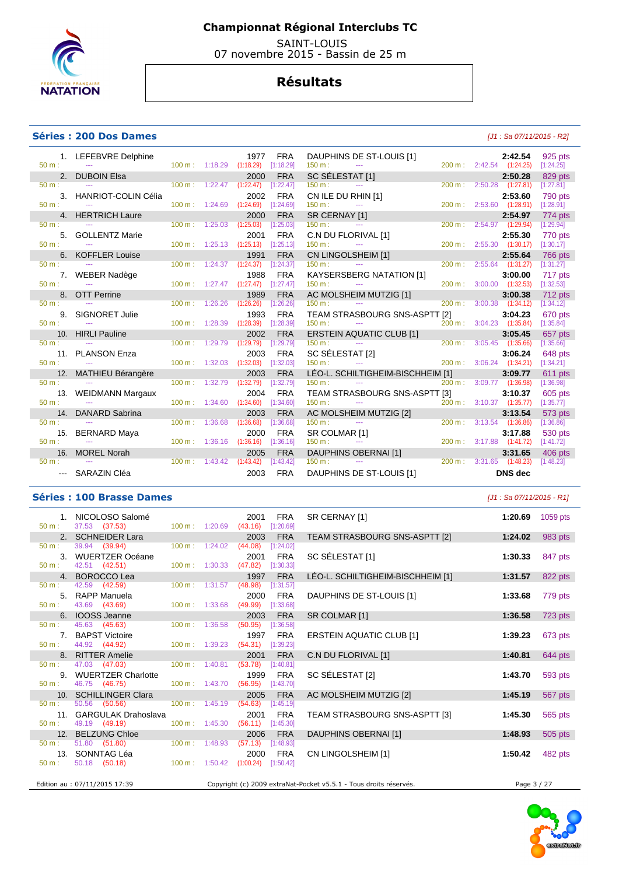

 SAINT-LOUIS 07 novembre 2015 - Bassin de 25 m

## **Résultats**

#### **Séries : 200 Dos Dames and** *Series* **: 200 Dos Dames and** *Series* **: 200 Dos Dames <b>and** *Series* : 200 Dos Dames **and** *Series* : 200 Dos Dames **and** *Series* : 200 Dos Dames **and** *Series* : 200 Dos Dames **and** *Series*

|          | 1. LEFEBVRE Delphine                                                                       |                           |                                      | 1977                                       | <b>FRA</b>              | DAUPHINS DE ST-LOUIS [1]                                                                                                                                                                                                                                                                                                                                                                               |        |                          | 2:42.54                             | 925 pts              |
|----------|--------------------------------------------------------------------------------------------|---------------------------|--------------------------------------|--------------------------------------------|-------------------------|--------------------------------------------------------------------------------------------------------------------------------------------------------------------------------------------------------------------------------------------------------------------------------------------------------------------------------------------------------------------------------------------------------|--------|--------------------------|-------------------------------------|----------------------|
| $50 m$ : | <b>Service State</b>                                                                       |                           | $100 \text{ m}: 1:18.29$ $(1:18.29)$ |                                            | [1:18.29]               | in a change of the contract of the contract of the contract of the contract of the contract of the contract of<br>The contract of the contract of the contract of the contract of the contract of the contract of the contract o<br>$150 m$ :                                                                                                                                                          |        | 200 m: 2:42.54 (1:24.25) |                                     | [1:24.25]            |
|          | 2. DUBOIN Elsa                                                                             |                           |                                      | 2000                                       | <b>FRA</b>              | SC SÉLESTAT $[1]$<br>$\frac{150 \text{ m}}{200 \text{ m}}$                                                                                                                                                                                                                                                                                                                                             |        |                          | 2:50.28                             | 829 pts              |
| $50 m$ : | the company of the company of the company                                                  |                           |                                      | 100 m: 1:22.47 (1:22.47) [1:22.47]         |                         |                                                                                                                                                                                                                                                                                                                                                                                                        |        |                          | 200 m: 2:50.28 (1:27.81)            | [1:27.81]            |
|          | 3. HANRIOT-COLIN Célia                                                                     |                           |                                      | 2002                                       | <b>FRA</b>              | CN ILE DU RHIN [1]                                                                                                                                                                                                                                                                                                                                                                                     |        |                          | 2:53.60                             | 790 pts              |
| $50 m$ : | <b>Contract</b>                                                                            |                           | $100 \text{ m}: 1:24.69$ $(1:24.69)$ |                                            | [1:24.69]               | 150 m:<br><b>Service State</b>                                                                                                                                                                                                                                                                                                                                                                         |        |                          | 200 m: 2:53.60 (1:28.91)            | [1:28.91]            |
|          | 4. HERTRICH Laure                                                                          |                           |                                      | 2000                                       | <b>FRA</b>              | SR CERNAY [1]                                                                                                                                                                                                                                                                                                                                                                                          |        |                          | 2:54.97                             | 774 pts              |
| 50 m:    | the company of the company of the                                                          | $100 \text{ m}: 1:25.03$  |                                      | (1:25.03)                                  | [1:25.03]               | 150 m:<br>the company of the company of the company                                                                                                                                                                                                                                                                                                                                                    |        |                          | 200 m: 2:54.97 (1:29.94)            | [1:29.94]            |
|          | 5. GOLLENTZ Marie                                                                          |                           |                                      | 2001                                       | <b>FRA</b>              | C.N DU FLORIVAL [1]                                                                                                                                                                                                                                                                                                                                                                                    |        |                          | 2:55.30                             | 770 pts              |
| $50 m$ : | <b>Service State</b>                                                                       |                           | $100 \text{ m}: 1:25.13$ $(1:25.13)$ |                                            | [1:25.13]               | 150 m:<br>$\sim$ $\sim$ $\sim$                                                                                                                                                                                                                                                                                                                                                                         |        |                          | 200 m: 2:55.30 (1:30.17)            | [1:30.17]            |
|          | 6. KOFFLER Louise                                                                          |                           |                                      | 1991                                       | <b>FRA</b>              | CN LINGOLSHEIM [1]                                                                                                                                                                                                                                                                                                                                                                                     |        |                          | 2:55.64                             | 766 pts              |
| $50 m$ : | the company of the company of                                                              |                           | $100 \text{ m}: 1:24.37$ $(1:24.37)$ |                                            | [1:24.37]               | 150 m:<br>$\frac{1}{2} \frac{1}{2} \frac{1}{2} \frac{1}{2} \frac{1}{2} \frac{1}{2} \frac{1}{2} \frac{1}{2} \frac{1}{2} \frac{1}{2} \frac{1}{2} \frac{1}{2} \frac{1}{2} \frac{1}{2} \frac{1}{2} \frac{1}{2} \frac{1}{2} \frac{1}{2} \frac{1}{2} \frac{1}{2} \frac{1}{2} \frac{1}{2} \frac{1}{2} \frac{1}{2} \frac{1}{2} \frac{1}{2} \frac{1}{2} \frac{1}{2} \frac{1}{2} \frac{1}{2} \frac{1}{2} \frac{$ |        |                          | 200 m: 2:55.64 (1:31.27)            | [1:31.27]            |
| 50 m:    | 7. WEBER Nadège                                                                            |                           |                                      | 1988<br>100 m: 1:27.47 (1:27.47) [1:27.47] | <b>FRA</b>              | <b>KAYSERSBERG NATATION [1]</b>                                                                                                                                                                                                                                                                                                                                                                        |        |                          | 3:00.00<br>200 m: 3:00.00 (1:32.53) | 717 pts              |
|          | $\mathcal{L}_{\text{max}}$ and $\mathcal{L}_{\text{max}}$ . The $\mathcal{L}_{\text{max}}$ |                           |                                      |                                            |                         | $150 \text{ m}$ : $150 \text{ m}$ : $150 \text{ m}$ : $150 \text{ m}$ : $150 \text{ m}$ : $150 \text{ m}$ : $150 \text{ m}$ : $150 \text{ m}$ : $150 \text{ m}$ : $150 \text{ m}$ : $150 \text{ m}$ : $150 \text{ m}$ : $150 \text{ m}$ : $150 \text{ m}$ : $150 \text{ m}$ : $150 \text{ m}$ : $150 \text{ m}$ :                                                                                      |        |                          |                                     | [1:32.53]            |
| $50 m$ : | 8. OTT Perrine                                                                             | 100 m: 1:26.26            |                                      | 1989<br>(1:26.26)                          | <b>FRA</b><br>[1:26.26] | AC MOLSHEIM MUTZIG [1]<br>$150 m$ :<br>the contract of the contract of the contract of                                                                                                                                                                                                                                                                                                                 | 200 m: |                          | 3:00.38<br>$3:00.38$ $(1:34.12)$    | 712 pts<br>[1:34.12] |
|          | 9. SIGNORET Julie                                                                          |                           |                                      | 1993                                       | <b>FRA</b>              |                                                                                                                                                                                                                                                                                                                                                                                                        |        |                          | 3:04.23                             |                      |
| $50 m$ : | and the second contract of the                                                             | 100 m: 1:28.39            |                                      | (1:28.39)                                  | [1:28.39]               | TEAM STRASBOURG SNS-ASPTT [2]<br>in de la provincia de la provincia del provincia del provincia del provincia del provincia del provincia del p<br>En la provincia del provincia del provincia del provincia del provincia del provincia del provincia del provin<br>150 m:                                                                                                                            |        |                          | 200 m: 3:04.23 (1:35.84)            | 670 pts<br>[1:35.84] |
|          |                                                                                            |                           |                                      | 2002                                       | <b>FRA</b>              |                                                                                                                                                                                                                                                                                                                                                                                                        |        |                          |                                     | 657 pts              |
| $50 m$ : | 10. HIRLI Pauline<br><b>Service State</b>                                                  | $100 \text{ m}$ : 1:29.79 |                                      | (1:29.79)                                  | [1:29.79]               | ERSTEIN AQUATIC CLUB [1] 3:05.45<br>150 m : 11 200 m : 3:05.45 (1:35.66)<br>150 m:                                                                                                                                                                                                                                                                                                                     |        |                          |                                     | [1:35.66]            |
|          | 11. PLANSON Enza                                                                           |                           |                                      | 2003                                       | <b>FRA</b>              |                                                                                                                                                                                                                                                                                                                                                                                                        |        |                          | 3:06.24                             | 648 pts              |
| 50 m:    | <b>State State</b>                                                                         |                           | $100 \text{ m}: 1:32.03$ $(1:32.03)$ |                                            | [1:32.03]               |                                                                                                                                                                                                                                                                                                                                                                                                        |        |                          | 200 m: 3:06.24 (1:34.21)            | [1:34.21]            |
|          | 12. MATHIEU Bérangère                                                                      |                           |                                      | 2003                                       | <b>FRA</b>              | LÉO-L. SCHILTIGHEIM-BISCHHEIM [1]                                                                                                                                                                                                                                                                                                                                                                      |        |                          | 3:09.77                             | 611 pts              |
| $50 m$ : | the company of the company of the company                                                  | 100 m: 1:32.79            |                                      | (1:32.79)                                  | [1:32.79]               | $150 \text{ m}$ : $150 \text{ m}$ : $150 \text{ m}$ : $150 \text{ m}$ : $150 \text{ m}$ : $150 \text{ m}$ : $150 \text{ m}$ : $150 \text{ m}$ : $150 \text{ m}$ : $150 \text{ m}$ : $150 \text{ m}$ : $150 \text{ m}$ : $150 \text{ m}$ : $150 \text{ m}$ : $150 \text{ m}$ : $150 \text{ m}$ : $150 \text{ m}$ :                                                                                      | 200 m: |                          | 3:09.77 (1:36.98)                   | [1:36.98]            |
|          | 13. WEIDMANN Margaux                                                                       |                           |                                      | 2004                                       | <b>FRA</b>              | TEAM STRASBOURG SNS-ASPTT [3]                                                                                                                                                                                                                                                                                                                                                                          |        |                          | 3:10.37                             | 605 pts              |
| $50 m$ : | <b>Contract</b>                                                                            | $100 \text{ m}$ : 1:34.60 |                                      | (1:34.60)                                  | [1:34.60]               | $150 m$ :<br>the second contract of the second                                                                                                                                                                                                                                                                                                                                                         |        |                          | 200 m: 3:10.37 (1:35.77)            | [1:35.77]            |
|          | 14. DANARD Sabrina                                                                         |                           |                                      | 2003                                       | <b>FRA</b>              | AC MOLSHEIM MUTZIG [2]                                                                                                                                                                                                                                                                                                                                                                                 |        |                          | 3:13.54                             | 573 pts              |
| $50 m$ : | the company of the company                                                                 | $100 \text{ m}$ : 1:36.68 |                                      | (1:36.68)                                  | [1:36.68]               | 150 m:                                                                                                                                                                                                                                                                                                                                                                                                 |        |                          | 200 m: 3:13.54 (1:36.86)            | [1:36.86]            |
|          | 15. BERNARD Maya                                                                           |                           |                                      | 2000                                       | <b>FRA</b>              | SR COLMAR [1]                                                                                                                                                                                                                                                                                                                                                                                          |        |                          | 3:17.88                             | 530 pts              |
| $50 m$ : | <b>State State</b>                                                                         | $100 \text{ m}$ : 1:36.16 |                                      | (1:36.16)                                  | [1:36.16]               | $\begin{array}{c}\n\cdots \\ \hline\n\text{MAR [1]} \\ \cdots\n\end{array}$<br>$150 m$ :                                                                                                                                                                                                                                                                                                               |        |                          | 200 m: 3:17.88 (1:41.72)            | [1:41.72]            |
|          | 16. MOREL Norah                                                                            |                           |                                      | 2005                                       | <b>FRA</b>              | DAUPHINS OBERNAI [1]                                                                                                                                                                                                                                                                                                                                                                                   |        |                          | 3:31.65                             | 406 pts              |
|          | $50 \text{ m}$ : $-$                                                                       |                           |                                      | 100 m: 1:43.42 (1:43.42) [1:43.42]         |                         | $150 \text{ m}$ : $100 \text{ m}$ is $100 \text{ m}$ in $100 \text{ m}$ in $100 \text{ m}$ in $100 \text{ m}$ in $100 \text{ m}$ in $100 \text{ m}$ in $100 \text{ m}$ in $100 \text{ m}$ in $100 \text{ m}$ in $100 \text{ m}$ in $100 \text{ m}$ in $100 \text{ m}$ in $100 \text{ m}$ in $100 \text{ m}$ i                                                                                          |        |                          | 200 m: 3:31.65 (1:48.23)            | [1:48.23]            |
|          | --- SARAZIN Cléa                                                                           |                           |                                      | 2003                                       | <b>FRA</b>              | DAUPHINS DE ST-LOUIS [1]                                                                                                                                                                                                                                                                                                                                                                               |        |                          | <b>DNS</b> dec                      |                      |
|          |                                                                                            |                           |                                      |                                            |                         |                                                                                                                                                                                                                                                                                                                                                                                                        |        |                          |                                     |                      |

#### **Séries : 100 Brasse Dames** *Maximum Brasse Dames Maximum Brasse Dames**Maximum Brasse Dames**<b>Maximum Brasse Dames <i>Maximum Brasse Dames Maximum Brasse Dames Maximum Brasse Dames* **<b>***Maximum Brasse Dames*

|                  | 1. NICOLOSO Salomé                                |                          |                                  | 2001                                     | FRA        | SR CERNAY [1]                                                     |             | 1:20.69 1059 pts |
|------------------|---------------------------------------------------|--------------------------|----------------------------------|------------------------------------------|------------|-------------------------------------------------------------------|-------------|------------------|
| $50 m$ :         | 37.53 (37.53)                                     |                          |                                  | 100 m: 1:20.69 (43.16) [1:20.69]         |            |                                                                   |             |                  |
|                  | 2. SCHNEIDER Lara                                 |                          |                                  | 2003                                     | <b>FRA</b> | TEAM STRASBOURG SNS-ASPTT [2]                                     | 1:24.02     | 983 pts          |
| 50 m:            | 39.94 (39.94)                                     | $100 \text{ m}: 1:24.02$ |                                  | (44.08)                                  | [1:24.02]  |                                                                   |             |                  |
|                  | 3. WUERTZER Océane                                |                          |                                  | 2001                                     | FRA        | SC SÉLESTAT [1]                                                   | 1:30.33     | 847 pts          |
|                  | $50 \text{ m}: 42.51 (42.51)$                     |                          |                                  | 100 m: 1:30.33 (47.82) [1:30.33]         |            |                                                                   |             |                  |
|                  | 4. BOROCCO Lea                                    |                          |                                  | 1997                                     | <b>FRA</b> | LÉO-L. SCHILTIGHEIM-BISCHHEIM [1]                                 | 1:31.57     | 822 pts          |
| 50 m:            | 42.59 (42.59)                                     |                          | $100 \text{ m}: 1:31.57$ (48.98) |                                          | [1:31.57]  |                                                                   |             |                  |
|                  | 5. RAPP Manuela                                   |                          |                                  | 2000                                     | FRA        | DAUPHINS DE ST-LOUIS [1]                                          | 1:33.68     | 779 pts          |
| 50 m:            | 43.69 (43.69)                                     |                          | $100 \text{ m}: 1:33.68$         | (49.99)                                  | [1:33.68]  |                                                                   |             |                  |
|                  | 6. IOOSS Jeanne                                   |                          |                                  | 2003                                     | <b>FRA</b> | SR COLMAR [1]                                                     | 1:36.58     | 723 pts          |
|                  | 50 m: 45.63 (45.63)                               |                          | $100 \text{ m}: 1:36.58$         | (50.95)                                  | [1:36.58]  |                                                                   |             |                  |
|                  | 7. BAPST Victoire                                 |                          |                                  | 1997                                     | FRA        | <b>ERSTEIN AQUATIC CLUB [1]</b>                                   | 1:39.23     | 673 pts          |
|                  | 50 m : 44.92 (44.92)                              |                          |                                  | 100 m: 1:39.23 (54.31) [1:39.23]         |            |                                                                   |             |                  |
|                  | 8. RITTER Amelie                                  |                          |                                  | 2001                                     | <b>FRA</b> | C.N DU FLORIVAL [1]                                               | 1:40.81     | 644 pts          |
| $50 \text{ m}$ : | 47.03 (47.03)                                     | $100 m$ : 1:40.81        |                                  | (53.78)                                  | [1:40.81]  |                                                                   |             |                  |
| 50 m:            | 9. WUERTZER Charlotte<br>46.75 (46.75)            |                          |                                  | 1999<br>100 m: 1:43.70 (56.95) [1:43.70] | FRA        | SC SÉLESTAT [2]                                                   | 1:43.70     | 593 pts          |
|                  | 10. SCHILLINGER Clara                             |                          |                                  | 2005                                     | <b>FRA</b> | AC MOLSHEIM MUTZIG [2]                                            | 1:45.19     | 567 pts          |
| $50 \text{ m}$ : | 50.56 (50.56)                                     |                          | $100 \text{ m}: 1:45.19$ (54.63) |                                          | [1:45.19]  |                                                                   |             |                  |
|                  | 11. GARGULAK Drahoslava                           |                          |                                  | 2001                                     | FRA        | TEAM STRASBOURG SNS-ASPTT [3]                                     | 1:45.30     | 565 pts          |
|                  | $50 \text{ m}: 49.19 (49.19)$                     |                          |                                  | 100 m: 1:45.30 (56.11) [1:45.30]         |            |                                                                   |             |                  |
|                  | 12. BELZUNG Chloe                                 |                          |                                  | 2006                                     | <b>FRA</b> | DAUPHINS OBERNAI [1]                                              | 1:48.93     | 505 pts          |
| 50 m:            | 51.80 (51.80)                                     |                          |                                  | 100 m: 1:48.93 (57.13) [1:48.93]         |            |                                                                   |             |                  |
|                  | 13. SONNTAG Léa                                   |                          |                                  |                                          | 2000 FRA   | CN LINGOLSHEIM [1]                                                | 1:50.42     | 482 pts          |
| 50 m:            | 50.18 (50.18) 100 m : 1:50.42 (1:00.24) [1:50.42] |                          |                                  |                                          |            |                                                                   |             |                  |
|                  |                                                   |                          |                                  |                                          |            |                                                                   |             |                  |
|                  | Edition au : 07/11/2015 17:39                     |                          |                                  |                                          |            | Copyright (c) 2009 extraNat-Pocket v5.5.1 - Tous droits réservés. | Page 3 / 27 |                  |

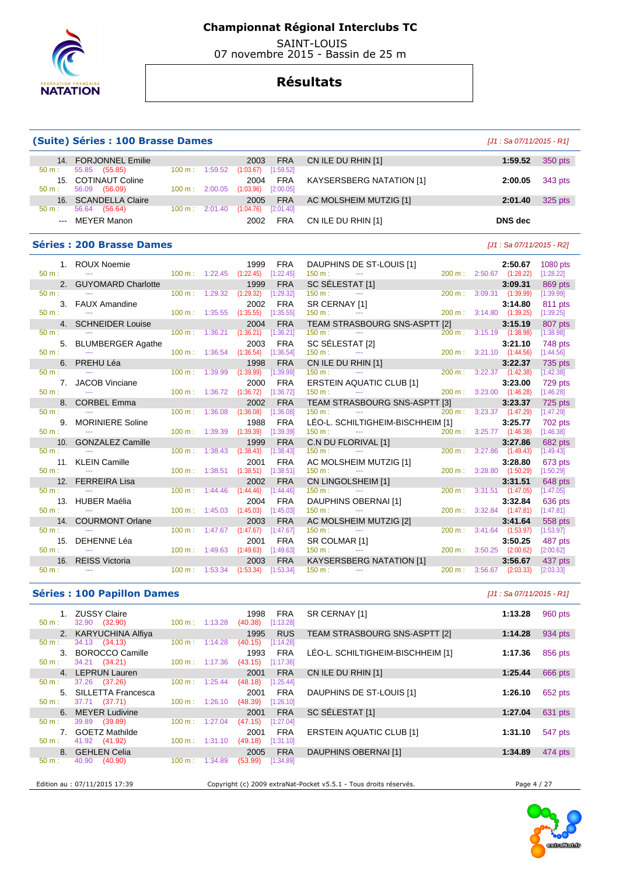

 SAINT-LOUIS 07 novembre 2015 - Bassin de 25 m

## **Résultats**

|                | (Suite) Séries : 100 Brasse Dames     |        |                          |                   |                         |                                                          |                   |         |                                     | $[J1: Sa 07/11/2015 - R1]$ |
|----------------|---------------------------------------|--------|--------------------------|-------------------|-------------------------|----------------------------------------------------------|-------------------|---------|-------------------------------------|----------------------------|
|                | 14. FORJONNEL Emilie                  |        |                          | 2003              | <b>FRA</b>              | CN ILE DU RHIN [1]                                       |                   |         | 1:59.52                             | 350 pts                    |
| $50 m$ :       | 55.85 (55.85)                         |        | 100 m: 1:59.52           | (1:03.67)         | [1:59.52]               |                                                          |                   |         |                                     |                            |
|                | 15. COTINAUT Coline                   |        |                          | 2004              | <b>FRA</b>              | <b>KAYSERSBERG NATATION [1]</b>                          |                   |         | 2:00.05                             | 343 pts                    |
| $50 m$ :       | 56.09 (56.09)<br>16. SCANDELLA Claire | 100 m: | 2:00.05                  | (1:03.96)         | [2:00.05]<br><b>FRA</b> |                                                          |                   |         |                                     |                            |
| $50 m$ :       | 56.64 (56.64)                         |        | 100 m: 2:01.40           | 2005<br>(1:04.76) | [2:01.40]               | AC MOLSHEIM MUTZIG [1]                                   |                   |         | 2:01.40                             | 325 pts                    |
| $---$          | <b>MEYER Manon</b>                    |        |                          | 2002              | <b>FRA</b>              | CN ILE DU RHIN [1]                                       |                   |         | <b>DNS</b> dec                      |                            |
|                |                                       |        |                          |                   |                         |                                                          |                   |         |                                     |                            |
|                | <b>Séries: 200 Brasse Dames</b>       |        |                          |                   |                         |                                                          |                   |         | $[J1: Sa 07/11/2015 - R2]$          |                            |
|                | 1. ROUX Noemie                        |        |                          | 1999              | <b>FRA</b>              | DAUPHINS DE ST-LOUIS [1]                                 |                   |         | 2:50.67                             | 1080 pts                   |
| 50 m:          | $\sim$                                | 100 m: | 1:22.45                  | (1:22.45)         | [1:22.45]               | 150 m:<br>$\sim$                                         | 200 m:            |         | 2:50.67 (1:28.22)                   | [1:28.22]                  |
|                | 2. GUYOMARD Charlotte                 |        |                          | 1999              | <b>FRA</b>              | SC SÉLESTAT [1]                                          |                   |         | 3:09.31                             | 869 pts                    |
| $50 m$ :       |                                       | 100 m: | 1:29.32                  | (1:29.32)         | [1:29.32]               | 150 m:<br>$\sim$ $\sim$                                  | 200 m:            |         | 3:09.31 (1:39.99)                   | [1:39.99]                  |
|                | 3. FAUX Amandine                      |        |                          | 2002              | <b>FRA</b>              | SR CERNAY [1]                                            |                   |         | 3:14.80                             | 811 pts                    |
| $50 m$ :       | $\sim$                                |        | 100 m: 1:35.55           | (1:35.55)         | [1:35.55]               | 150 m:<br>$\scriptstyle\cdots$                           |                   |         | 200 m: 3:14.80 (1:39.25)            | [1:39.25]                  |
| 4.<br>$50 m$ : | <b>SCHNEIDER Louise</b><br>$\sim$     | 100 m: | 1:36.21                  | 2004<br>(1:36.21) | <b>FRA</b><br>[1:36.21] | TEAM STRASBOURG SNS-ASPTT [2]<br>150 m:<br>$\sim$ $\sim$ | $200 \text{ m}$ : |         | 3:15.19<br>3:15.19 (1:38.98)        | 807 pts<br>[1:38.98]       |
| 5.             | <b>BLUMBERGER Agathe</b>              |        |                          | 2003              | <b>FRA</b>              | SC SÉLESTAT [2]                                          |                   |         | 3:21.10                             | 748 pts                    |
| $50 m$ :       | $\sim$                                | 100 m: | 1:36.54                  | (1:36.54)         | [1:36.54]               | 150 m:<br>$\sim$ $\sim$                                  | 200 m:            |         | $3:21.10$ $(1:44.56)$               | [1:44.56]                  |
| 6.             | PREHU Léa                             |        |                          | 1998              | <b>FRA</b>              | CN ILE DU RHIN [1]                                       |                   |         | 3:22.37                             | 735 pts                    |
| $50 m$ :       | $\sim$                                | 100 m: | 1:39.99                  | (1:39.99)         | [1:39.99]               | 150 m:                                                   | 200 m:            |         | $3:22.37$ $(1:42.38)$               | [1:42.38]                  |
| 7.             | <b>JACOB Vinciane</b>                 |        |                          | 2000              | <b>FRA</b>              | <b>ERSTEIN AQUATIC CLUB [1]</b>                          |                   |         | 3:23.00                             | 729 pts                    |
| 50 m:          | $\sim$                                | 100 m: | 1:36.72                  | (1:36.72)         | [1:36.72]               | 150 m:<br>$\overline{a}$                                 | 200 m:            |         | $3:23.00$ $(1:46.28)$               | [1:46.28]                  |
|                | 8. CORBEL Emma                        |        |                          | 2002              | <b>FRA</b>              | TEAM STRASBOURG SNS-ASPTT [3]                            |                   |         | 3:23.37                             | 725 pts                    |
| 50 m:          |                                       | 100 m: | 1:36.08                  | (1:36.08)         | [1:36.08]               | 150 m:<br>$\sim$ $\sim$ $\sim$                           | 200 m :           |         | $3:23.37$ $(1:47.29)$               | [1:47.29]                  |
| 9.             | <b>MORINIERE Soline</b>               |        |                          | 1988              | <b>FRA</b>              | LÉO-L. SCHILTIGHEIM-BISCHHEIM [1]                        |                   |         | 3:25.77                             | 702 pts                    |
| 50 m:          | $\mathbb{Z} \to \mathbb{Z}$           | 100 m: | 1:39.39                  | (1:39.39)         | [1:39.39]               | 150 m:<br>$\scriptstyle\cdots$                           |                   |         | 200 m: 3:25.77 (1:46.38)            | [1:46.38]                  |
| 10.            | <b>GONZALEZ Camille</b><br>$\sim$     |        |                          | 1999              | <b>FRA</b>              | C.N DU FLORIVAL [1]                                      |                   |         | 3:27.86                             | 682 pts                    |
| $50 m$ :       |                                       | 100 m: | 1:38.43                  | (1:38.43)         | [1:38.43]               | 150 m:<br>$-$                                            | 200 m:            | 3:27.86 | (1:49.43)                           | [1:49.43]                  |
| $50 m$ :       | 11. KLEIN Camille                     | 100 m: | 1:38.51                  | 2001<br>(1:38.51) | <b>FRA</b><br>[1:38.51] | AC MOLSHEIM MUTZIG [1]<br>150 m:                         |                   |         | 3:28.80<br>200 m: 3:28.80 (1:50.29) | 673 pts<br>[1:50.29]       |
| 12.            | <b>FERREIRA Lisa</b>                  |        |                          | 2002              | <b>FRA</b>              | CN LINGOLSHEIM [1]                                       |                   |         | 3:31.51                             | 648 pts                    |
| $50 m$ :       | $\sim$                                |        | $100 \text{ m}: 1:44.46$ | (1:44.46)         | [1:44.46]               | 150 m:                                                   | 200 m:            |         | $3:31.51$ $(1:47.05)$               | [1:47.05]                  |
| 13.            | <b>HUBER Maélia</b>                   |        |                          | 2004              | <b>FRA</b>              | DAUPHINS OBERNAI [1]                                     |                   |         | 3:32.84                             | 636 pts                    |
| $50 m$ :       | $\sim$                                | 100 m: | 1:45.03                  | (1:45.03)         | [1:45.03]               | 150 m:<br>$\sim$                                         | 200 m:            |         | $3:32.84$ $(1:47.81)$               | [1:47.81]                  |
|                | 14. COURMONT Orlane                   |        |                          | 2003              | <b>FRA</b>              | AC MOLSHEIM MUTZIG [2]                                   |                   |         | 3:41.64                             | 558 pts                    |
| $50 m$ :       |                                       | 100 m: | 1:47.67                  | (1:47.67)         | [1:47.67]               | 150 m:                                                   | 200 m:            |         | $3:41.64$ $(1:53.97)$               | [1:53.97]                  |
| 15.            | DEHENNE Léa                           |        |                          | 2001              | <b>FRA</b>              | SR COLMAR [1]                                            |                   |         | 3:50.25                             | 487 pts                    |
| $50 m$ :       | $\sim$                                |        | $100 \text{ m}: 1:49.63$ | (1:49.63)         | [1:49.63]               | 150 m:<br>$\scriptstyle\cdots$                           | 200 m:            |         | $3:50.25$ $(2:00.62)$               | [2:00.62]                  |
| 16.            | <b>REISS Victoria</b>                 |        |                          | 2003              | <b>FRA</b>              | KAYSERSBERG NATATION [1]                                 |                   |         | 3:56.67                             | 437 pts                    |
| 50 m:          | $\sim$                                | 100 m: | 1:53.34                  | (1:53.34)         | [1:53.34]               | 150 m:<br>$-$                                            | 200 m:            |         | $3:56.67$ $(2:03.33)$               | [2:03.33]                  |

#### **Séries : 100 Papillon Dames** *Maximum Dames Maximum Dames**LAT***: Sa 07/11/2015 - R1]**

| $50 m$ :         | 1. ZUSSY Claire<br>32.90 (32.90) | $100 \text{ m}: 1:13.28$     | 1998<br>FRA<br>(40.38)<br>[1:13.28] | SR CERNAY [1]                                                     | 1:13.28     | 960 pts |
|------------------|----------------------------------|------------------------------|-------------------------------------|-------------------------------------------------------------------|-------------|---------|
|                  | 2. KARYUCHINA Alfiya             |                              | 1995<br><b>RUS</b>                  | TEAM STRASBOURG SNS-ASPTT [2]                                     | 1:14.28     | 934 pts |
| $50 m$ :         | 34.13 (34.13)                    | $100 m$ :<br>1:14.28         | (40.15)<br>[1:14.28]                |                                                                   |             |         |
| 3 <sub>1</sub>   | <b>BOROCCO Camille</b>           |                              | <b>FRA</b><br>1993                  | LÉO-L. SCHILTIGHEIM-BISCHHEIM [1]                                 | 1:17.36     | 856 pts |
| $50 m$ :         | 34.21 (34.21)                    | $100 \text{ m}$ : 1:17.36    | (43.15)<br>[1:17.36]                |                                                                   |             |         |
|                  | 4. LEPRUN Lauren                 |                              | <b>FRA</b><br>2001                  | CN ILE DU RHIN [1]                                                | 1:25.44     | 666 pts |
| 50 m:            | 37.26 (37.26)                    | $100 \text{ m}$ :<br>1:25.44 | (48.18)<br>[1:25.44]                |                                                                   |             |         |
|                  | 5. SILLETTA Francesca            |                              | FRA<br>2001                         | DAUPHINS DE ST-LOUIS [1]                                          | 1:26.10     | 652 pts |
| $50 m$ :         | 37.71 (37.71)                    | $100 \text{ m}$ : 1:26.10    | (48.39)<br>[1:26.10]                |                                                                   |             |         |
|                  | 6. MEYER Ludivine                |                              | <b>FRA</b><br>2001                  | SC SÉLESTAT [1]                                                   | 1:27.04     | 631 pts |
| $50 m$ :         | 39.89 (39.89)                    | 1:27.04<br>$100 \text{ m}$ : | (47.15)<br>[1:27.04]                |                                                                   |             |         |
|                  | 7. GOETZ Mathilde                |                              | <b>FRA</b><br>2001                  | <b>ERSTEIN AQUATIC CLUB [1]</b>                                   | 1:31.10     | 547 pts |
| $50 m$ :         | 41.92 (41.92)                    | $100 \text{ m}: 1:31.10$     | (49.18)<br>[1:31.10]                |                                                                   |             |         |
|                  | 8. GEHLEN Celia                  |                              | <b>FRA</b><br>2005                  | DAUPHINS OBERNAI [1]                                              | 1:34.89     | 474 pts |
| $50 \text{ m}$ : | 40.90<br>(40.90)                 | 1:34.89<br>$100 \text{ m}$ : | (53.99)<br>[1:34.89]                |                                                                   |             |         |
|                  |                                  |                              |                                     |                                                                   |             |         |
|                  | Edition au : 07/11/2015 17:39    |                              |                                     | Copyright (c) 2009 extraNat-Pocket v5.5.1 - Tous droits réservés. | Page 4 / 27 |         |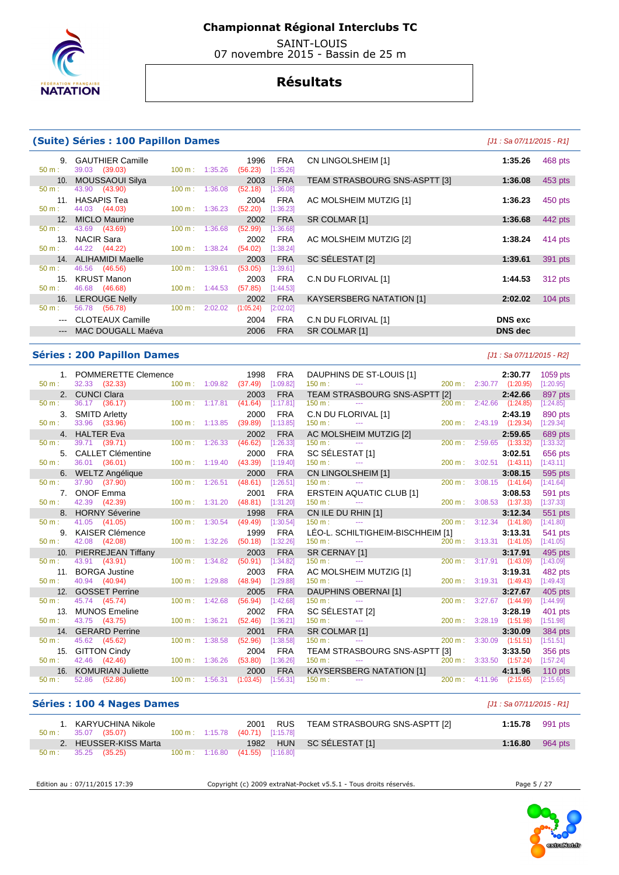

 SAINT-LOUIS 07 novembre 2015 - Bassin de 25 m

## **Résultats**

 $(52.18)$   $[1:36.08]$ 

 $(54.02)$  [1:38.24]

#### **(Suite) Séries : 100 Papillon Dames (Suite) Séries : 100 Papillon Dames and Lateration Communist Communist Communist Communist Communist Communist Communist Communist Communist Communist Communist Communist Communist**

50 m : 43.69 (43.69) 100 m : 1:36.68 (52.99) [1:36.68]

50 m : 46.56 (46.56) 100 m : 1:39.61 (53.05) [1:39.61]

56.78 (56.78) 100 m : 2:02.02

 $100 m : 1:44.53$ 

39.03 (39.03)

44.03 (44.03)

# 9. GAUTHIER Camille 1996 FRA CN LINGOLSHEIM [1] **1:35.26** 468 pts 10. MOUSSAOUI Silya 2003 FRA TEAM STRASBOURG SNS-ASPTT [3] **1:36.08** 453 pts 11. HASAPIS Tea 2004 FRA AC MOLSHEIM MUTZIG [1] **1:36.23** 450 pts 12. MICLO Maurine 2002 FRA SR COLMAR [1] **1:36.68** 442 pts 13. NACIR Sara 2002 FRA AC MOLSHEIM MUTZIG [2] **1:38.24** 414 pts 14. ALIHAMIDI Maelle 2003 FRA SC SÉLESTAT [2] **1:39.61** 391 pts 15. KRUST Manon 2003 FRA C.N DU FLORIVAL [1] **1:44.53** 312 pts 16. LEROUGE Nelly 2002 FRA KAYSERSBERG NATATION [1] **2:02.02** 104 pts --- CLOTEAUX Camille 2004 FRA C.N DU FLORIVAL [1] **DNS exc**  --- MAC DOUGALL Maéva 2006 FRA SR COLMAR [1] **DNS dec**

#### **Séries : 200 Papillon Dames** [J1 : Sa 07/11/2015 - R2]

| $50 m$ :     | 1. POMMERETTE Clemence<br>32.33 (32.33)   | 100 m: 1:09.82 (37.49) [1:09.82] |         | 1998                | <b>FRA</b>              | DAUPHINS DE ST-LOUIS [1]<br>150 m :           ---                                                                                                                                                       |           | 200 m: 2:30.77 (1:20.95) | 2:30.77               | 1059 pts<br>[1:20.95] |
|--------------|-------------------------------------------|----------------------------------|---------|---------------------|-------------------------|---------------------------------------------------------------------------------------------------------------------------------------------------------------------------------------------------------|-----------|--------------------------|-----------------------|-----------------------|
|              | 2. CUNCI Clara                            |                                  |         | 2003                | <b>FRA</b>              | TEAM STRASBOURG SNS-ASPTT [2]                                                                                                                                                                           |           |                          | 2:42.66               | 897 pts               |
| 50 m:        | 36.17 (36.17)                             | $100 m$ : 1:17.81                |         | (41.64)             | [1:17.81]               |                                                                                                                                                                                                         |           | 200 m: 2:42.66 (1:24.85) |                       | [1:24.85]             |
| 3.           | <b>SMITD Arletty</b>                      |                                  |         | 2000                | <b>FRA</b>              |                                                                                                                                                                                                         |           |                          | 2:43.19               | 890 pts               |
| $50 m$ :     | 33.96 (33.96)                             | $100 \text{ m}$ : 1:13.85        |         | (39.89)             | [1:13.85]               |                                                                                                                                                                                                         |           | 200 m: 2:43.19 (1:29.34) |                       | [1:29.34]             |
|              | 4. HALTER Eva                             |                                  |         | 2002                | <b>FRA</b>              | AC MOLSHEIM MUTZIG [2]                                                                                                                                                                                  |           |                          | 2:59.65               | 689 pts               |
| 50 m:        | 39.71 (39.71)                             | $100 \text{ m}$ : 1:26.33        |         | (46.62)             | [1:26.33]               | 150 m:                                                                                                                                                                                                  |           | 200 m: 2:59.65 (1:33.32) |                       | [1:33.32]             |
|              | <b>CALLET Clémentine</b>                  |                                  |         | 2000                | <b>FRA</b>              | SC SÉLESTAT [1]                                                                                                                                                                                         |           |                          | 3:02.51               | 656 pts               |
| $50 m$ :     | 36.01 (36.01)                             | $100 \text{ m}$ : 1:19.40        |         | (43.39)             | [1:19.40]               | 150 m:<br>$\sim$ $\sim$                                                                                                                                                                                 |           | 200 m: 3:02.51 (1:43.11) |                       | [1:43.11]             |
|              | 6. WELTZ Angélique                        |                                  |         | 2000                | <b>FRA</b>              | CN LINGOLSHEIM [1]                                                                                                                                                                                      |           |                          | 3:08.15               | 595 pts               |
| 50 m:        | 37.90 (37.90)                             | 100 m: 1:26.51                   |         | (48.61)             | [1:26.51]               | 150 m:<br>$\sim$ $\sim$                                                                                                                                                                                 |           | 200 m: 3:08.15 (1:41.64) |                       | [1:41.64]             |
|              | 7. ONOF Emma                              |                                  |         | 2001                | <b>FRA</b>              | <b>ERSTEIN AQUATIC CLUB [1]</b>                                                                                                                                                                         |           |                          | 3:08.53               | 591 pts               |
| $50 m$ :     | 42.39 (42.39)                             | $100 \text{ m}$ : 1:31.20        |         | $(48.81)$ [1:31.20] |                         | 150 m : $\frac{1}{200 \text{ m}}$ : $\frac{1}{200 \text{ m}}$ : $\frac{200 \text{ m}}{150 \text{ m}}$ : $\frac{1}{200 \text{ m}}$ : $\frac{1}{200 \text{ m}}$ : $\frac{200 \text{ m}}{200 \text{ m}}$ : |           | 200 m: 3:08.53 (1:37.33) |                       | [1:37.33]             |
|              | 8. HORNY Séverine                         |                                  |         | 1998                | <b>FRA</b>              |                                                                                                                                                                                                         |           |                          | 3:12.34               | 551 pts               |
| $50 m$ :     | 41.05 (41.05)                             | $100 \text{ m}$ :                | 1:30.54 | (49.49)             | [1:30.54]               |                                                                                                                                                                                                         |           |                          | $3:12.34$ $(1:41.80)$ | [1:41.80]             |
|              |                                           |                                  |         |                     |                         |                                                                                                                                                                                                         |           |                          |                       |                       |
|              | 9. KAISER Clémence                        |                                  |         | 1999                | <b>FRA</b>              | LÉO-L. SCHILTIGHEIM-BISCHHEIM [1]                                                                                                                                                                       |           |                          | 3:13.31               | 541 pts               |
| $50 m$ :     | 42.08 (42.08)                             | $100 m$ : 1:32.26                |         | (50.18)             | [1:32.26]               | 150 m:<br><b>State State</b>                                                                                                                                                                            |           | 200 m: 3:13.31 (1:41.05) |                       | [1:41.05]             |
|              | 10. PIERREJEAN Tiffany                    |                                  |         | 2003                | <b>FRA</b>              | SR CERNAY [1]                                                                                                                                                                                           |           |                          | 3:17.91               | 495 pts               |
| $50 m$ :     | 43.91 (43.91)                             | 100 m: 1:34.82                   |         | (50.91)             | [1:34.82]               | $\mathbf{I}$<br>and the contract of the contract of<br>150 m:                                                                                                                                           |           | 200 m: 3:17.91 (1:43.09) |                       | [1:43.09]             |
| 11.          | <b>BORGA Justine</b>                      |                                  |         | 2003                | <b>FRA</b>              | AC MOLSHEIM MUTZIG [1]                                                                                                                                                                                  |           |                          | 3:19.31               | 482 pts               |
| $50 m$ :     | 40.94 (40.94)                             | 100 m: 1:29.88                   |         | (48.94)             | [1:29.88]               | 150 m:<br>$\sim$ $\sim$ $\sim$                                                                                                                                                                          |           | 200 m: 3:19.31 (1:49.43) |                       | [1:49.43]             |
|              | 12. GOSSET Perrine                        |                                  |         | 2005                | <b>FRA</b>              | DAUPHINS OBERNAI [1]                                                                                                                                                                                    |           |                          | 3:27.67               | 405 pts               |
| $50 m$ :     | 45.74 (45.74)                             | $100 \text{ m}$ : 1:42.68        |         | (56.94)             | [1:42.68]               | 150 m:                                                                                                                                                                                                  |           | 200 m: 3:27.67 (1:44.99) |                       | [1:44.99]             |
| 13.          | <b>MUNOS Emeline</b>                      |                                  |         | 2002                | <b>FRA</b>              | SC SÉLESTAT [2]                                                                                                                                                                                         |           |                          | 3:28.19               | 401 pts               |
| $50 m$ :     | 43.75 (43.75)                             | 100 m: 1:36.21                   |         | (52.46)             | [1:36.21]               | 150 m:                                                                                                                                                                                                  |           | 200 m: 3:28.19 (1:51.98) |                       | [1:51.98]             |
|              | 14. GERARD Perrine                        |                                  |         | 2001                | <b>FRA</b>              | SR COLMAR [1]                                                                                                                                                                                           |           |                          | 3:30.09               | 384 pts               |
| 50 m:        | 45.62 (45.62)                             | $100 \text{ m}$ :                | 1:38.58 | (52.96)             | [1:38.58]               | $150 m$ :                                                                                                                                                                                               | $200 m$ : |                          | $3:30.09$ $(1:51.51)$ | [1:51.51]             |
| 15.          | <b>GITTON Cindy</b>                       |                                  |         | 2004                | <b>FRA</b>              | TEAM STRASBOURG SNS-ASPTT [3]                                                                                                                                                                           |           |                          | 3:33.50               | 356 pts               |
| 50 m:        | 42.46 (42.46)                             | $100 m$ : 1:36.26                |         | (53.80)             | [1:36.26]               | 150 m:<br>$\sim 100$ and $\sim 100$                                                                                                                                                                     |           | 200 m: 3:33.50 (1:57.24) |                       | [1:57.24]             |
| 16.<br>50 m: | <b>KOMURIAN Juliette</b><br>52.86 (52.86) | $100 \text{ m}: 1:56.31$         |         | 2000<br>(1:03.45)   | <b>FRA</b><br>[1:56.31] | KAYSERSBERG NATATION [1]<br>$150 \text{ m}$ :<br>the second control of the control of                                                                                                                   |           | 200 m: 4:11.96 (2:15.65) | 4:11.96               | 110 pts<br>[2:15.65]  |

#### **Séries : 100 4 Nages Dames and** *Series* **: 100 4 Nages Dames and** *Series* **: 100 4 Nages Dames <b>and** *Series* : 100 4 Nages Dames **and** *Series* : 100 4 Nages Dames **and** *Series* : 100 4 Nages Dames **and** *Series* : 10

| 1. KARYUCHINA Nikole<br>$50 \text{ m}: 35.07 (35.07)$ | 2001<br>100 m: 1:15.78 (40.71) [1:15.78] | RUS TEAM STRASBOURG SNS-ASPTT [2] | 1:15.78 991 pts |         |
|-------------------------------------------------------|------------------------------------------|-----------------------------------|-----------------|---------|
| 2. HEUSSER-KISS Marta                                 |                                          | 1982 HUN SC SÉLESTAT [1]          | 1:16.80         | 964 pts |
| 35.25 (35.25)<br>$50 \text{ m}$ :                     | 100 m: 1:16.80 (41.55) [1:16.80]         |                                   |                 |         |

Edition au : 07/11/2015 17:39 Copyright (c) 2009 extraNat-Pocket v5.5.1 - Tous droits réservés. Page 5 / 27

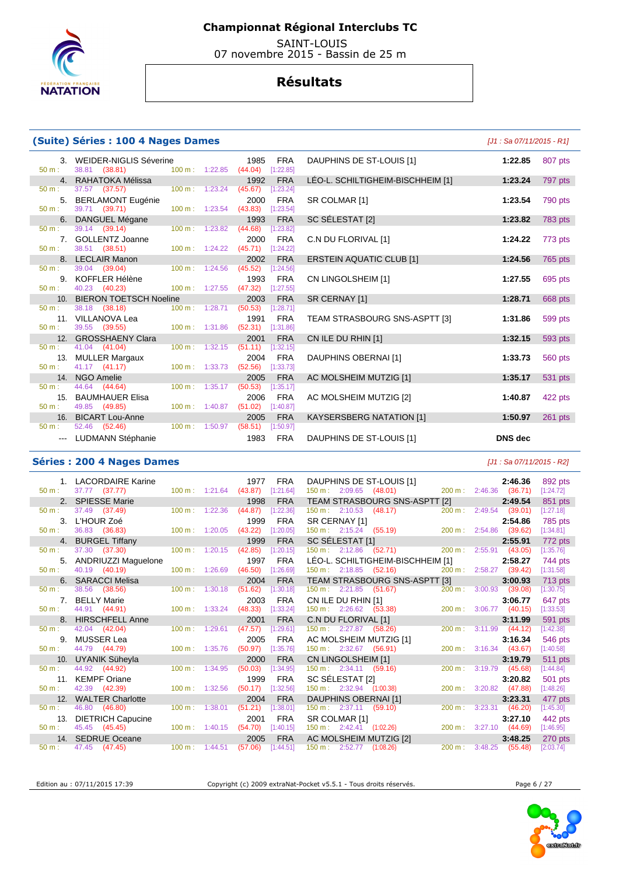

 SAINT-LOUIS 07 novembre 2015 - Bassin de 25 m

## **Résultats**

#### **(Suite) Séries : 100 4 Nages Dames**

**3. WEIDER-NIGLIS Séverine 1985 FRA 50 m : 38.81 (38.81) 100 m : 1:22.85 (44.04)** [1:22.85] 50 m : 38.81 (38.81) 100 m : 1:22.85 (44.04) [1:22.85] 4. RAHATOKA Mélissa 1992 FRA 197.57 (37.57) **100 m**: 1:23.24 (45.67) **1:23.24** 50 m : 37.57 (37.57) 100 m : 1:23.24 (45.67) [1:23.24] 5. BERLAMONT Eugénie 2000 FRA SR COLMAR [1] **1:23.54** 790 pts 39.71 (39.71) **6. DANGUEL Mégane 1993 FRA 50 m**: 39.14 (39.14) **100 m**: 1:23.82 (44.68) [1:23.82] 39.14 (39.14) 7. GOLLENTZ Joanne 2000 FRA C.N DU FLORIVAL [1] **1:24.22** 773 pts  $38.51$   $(38.51)$ 8. LECLAIR Manon 2002 FRA<br>
50 m : 39.04 (39.04) 100 m : 1:24.56 (45.52) [1:24.56] 50 m : 39.04 (39.04) 100 m : 1:24.56 (45.52) [1:24.56] 9. KOFFLER Hélène 1993 FRA<br>
50 m : 40.23 (40.23) 100 m : 1:27.55 (47.32) [1:27.55] 40.23 (40.23) 10. BIERON TOETSCH Noeline 2003 FRA<br>  $\frac{50 \text{ m}}{28.71}$  38.18 (38.18) **100 m**: 1:28.71 (50.53) [1:28.71] 50 m : 38.18 (38.18) 100 m : 1:28.71 (50.53) [1:28.71] 11. **VILLANOVA Lea** 1991 FRA 1991 **FRA**<br>50 m · 39.55 (39.55) **100 m · 1:31.86** (52.31) [1:31.86] 50 m : 39.55 (39.55) 100 m : 1:31.86 (52.31) [1:31.86] 12. GROSSHAENY Clara 2001 FRA<br>  $\frac{50 \text{ m}}{2}$  1.04 (41.04) **100 m**: 1:32.15 (51.11) [1:32.15]  $41.04$   $(41.04)$   $100 \text{ m}$ : 1:32.15  $(51.11)$ 13. MULLER Margaux 2004 FRA<br>  $13. 41.17$  (41.17) 100 m: 1:33.73 **52.56** [1:33.73] 41.17 (41.17) 14. NGO Amelie 2005 FRA<br>: 44.64 (44.64) 100 m: 1:35.17 (50.53) [1:35.17] 50 m : 44.64 (44.64) 100 m : 1:35.17 (50.53) [1:35.17] 15. BAUMHAUER Elisa 2006 FRA<br>
100 m: 1:40.87 **(51.02)** [1:40.87] 50 m : 49.85 (49.85) 100 m : 1:40.87 (51.02) [1:40.87] 16. BICART Lou-Anne 2005 FRA<br>  $\frac{50 \text{ m}}{2}$  100 m; 1:50.97 (58.51) [1:50.97] 52.46 (52.46) --- LUDMANN Stéphanie 1983 FRA

|                                   | $[J1: Sa 07/11/2015 - R1]$ |                |
|-----------------------------------|----------------------------|----------------|
| DAUPHINS DE ST-LOUIS [1]          | 1:22.85                    | 807 pts        |
| LÉO-L. SCHILTIGHEIM-BISCHHEIM [1] | 1:23.24                    | 797 pts        |
| SR COLMAR [1]                     | 1:23.54                    | 790 pts        |
| SC SÉLESTAT [2]                   | 1:23.82                    | 783 pts        |
| C.N DU FLORIVAL [1]               | 1:24.22                    | 773 pts        |
| <b>ERSTEIN AQUATIC CLUB [1]</b>   | 1:24.56                    | 765 pts        |
| CN LINGOLSHEIM [1]                | 1:27.55                    | 695 pts        |
| SR CERNAY [1]                     | 1:28.71                    | 668 pts        |
| TEAM STRASBOURG SNS-ASPTT [3]     | 1:31.86                    | 599 pts        |
| CN ILE DU RHIN [1]                | 1:32.15                    | 593 pts        |
| <b>DAUPHINS OBERNAI [1]</b>       | 1:33.73                    | <b>560 pts</b> |
| AC MOLSHEIM MUTZIG [1]            | 1:35.17                    | 531 pts        |
| AC MOLSHEIM MUTZIG [2]            | 1:40.87                    | 422 pts        |
| <b>KAYSERSBERG NATATION [1]</b>   | 1:50.97                    | 261 pts        |
| DAUPHINS DE ST-LOUIS [1]          | <b>DNS</b> dec             |                |

#### **Séries : 200 4 Nages Dames** [J1 : Sa 07/11/2015 - R2]

|          | 1. LACORDAIRE Karine     |                           |         | 1977                | <b>FRA</b> | DAUPHINS DE ST-LOUIS [1]         |                                                                |                           |                        | 2:46.36 | 892 pts        |
|----------|--------------------------|---------------------------|---------|---------------------|------------|----------------------------------|----------------------------------------------------------------|---------------------------|------------------------|---------|----------------|
| 50 m:    | 37.77 (37.77)            | $100 \text{ m}: 1:21.64$  |         | $(43.87)$ [1:21.64] |            |                                  | 150 m : 2:09.65 (48.01)                                        | 200 m: 2:46.36 (36.71)    |                        |         | [1:24.72]      |
|          | 2. SPIESSE Marie         |                           |         | 1998                | <b>FRA</b> |                                  | TEAM STRASBOURG SNS-ASPTT [2]                                  |                           |                        | 2:49.54 | 851 pts        |
| 50 m:    | 37.49 (37.49)            | $100 \text{ m}$ : 1:22.36 |         | (44.87)             | [1:22.36]  | $150 \text{ m}: 2:10.53$ (48.17) |                                                                | 200 m:                    | 2:49.54                | (39.01) | [1:27.18]      |
|          | 3. L'HOUR Zoé            |                           |         | 1999                | <b>FRA</b> |                                  |                                                                |                           |                        |         | 785 pts        |
| $50 m$ : | 36.83 (36.83)            | $100 \text{ m}$ : 1:20.05 |         | (43.22)             | [1:20.05]  |                                  | SR CERNAY [1]<br>150 m: 2:15.24 (55.19) 200 m: 2:54.86 (39.62) |                           |                        |         | [1:34.81]      |
|          | 4. BURGEL Tiffany        |                           |         | 1999                | <b>FRA</b> | SC SÉLESTAT [1]                  |                                                                |                           |                        | 2:55.91 | 772 pts        |
| $50 m$ : | 37.30 (37.30)            | 100 m: 1:20.15            |         | (42.85)             | [1:20.15]  |                                  | 150 m : 2:12.86 (52.71)                                        | 200 m: 2:55.91 (43.05)    |                        |         | [1:35.76]      |
|          | 5. ANDRIUZZI Maguelone   |                           |         | 1997                | <b>FRA</b> |                                  | LÉO-L. SCHILTIGHEIM-BISCHHEIM [1]                              |                           |                        | 2:58.27 | 744 pts        |
| 50 m:    | 40.19 (40.19)            | $100 \text{ m}$ : 1:26.69 |         | (46.50)             | [1:26.69]  |                                  | $150 \text{ m}: \quad 2:18.85 \quad (52.16)$                   |                           | 200 m: 2:58.27 (39.42) |         | [1:31.58]      |
|          | 6. SARACCI Melisa        |                           |         | 2004                | <b>FRA</b> |                                  | TEAM STRASBOURG SNS-ASPTT [3]                                  |                           |                        | 3:00.93 | <b>713 pts</b> |
| 50 m:    | 38.56 (38.56)            | $100 \text{ m}$ : 1:30.18 |         | (51.62)             | [1:30.18]  |                                  | 150 m : 2:21.85 (51.67)                                        |                           | 200 m: 3:00.93         | (39.08) | [1:30.75]      |
|          | 7. BELLY Marie           |                           |         | 2003                | <b>FRA</b> |                                  | CN ILE DU RHIN [1]<br>150 m : 2:26.62 (53.38) 200 m            |                           |                        | 3:06.77 | 647 pts        |
| 50 m:    | 44.91 (44.91)            | 100 m: 1:33.24            |         | (48.33)             | [1:33.24]  |                                  |                                                                |                           | 200 m: 3:06.77 (40.15) |         | [1:33.53]      |
|          | 8. HIRSCHFELL Anne       |                           |         | 2001                | <b>FRA</b> |                                  | C.N DU FLORIVAL [1]                                            |                           |                        | 3:11.99 | 591 pts        |
| 50 m:    | 42.04 (42.04)            | $100 \text{ m}$ : 1:29.61 |         | (47.57)             | [1:29.61]  | 150 m: 2:27.87 (58.26)           |                                                                |                           | 200 m: 3:11.99 (44.12) |         | [1:42.38]      |
| 9.       | MUSSER Lea               |                           |         | 2005                | <b>FRA</b> | AC MOLSHEIM MUTZIG [1]           |                                                                |                           |                        | 3:16.34 | 546 pts        |
| $50 m$ : | 44.79 (44.79)            | $100 \text{ m}$ : 1:35.76 |         | (50.97)             | [1:35.76]  | 150 m : 2:32.67 (56.91)          |                                                                |                           | 200 m: 3:16.34 (43.67) |         | [1:40.58]      |
|          | 10. UYANIK Süheyla       |                           |         | 2000                | <b>FRA</b> | CN LINGOLSHEIM [1]               |                                                                |                           |                        | 3:19.79 | 511 pts        |
| $50 m$ : | 44.92 (44.92)            | $100 \text{ m}$ : 1:34.95 |         | (50.03)             | [1:34.95]  | $150 \text{ m}: 2:34.11 (59.16)$ |                                                                |                           | 200 m: 3:19.79 (45.68) |         | [1:44.84]      |
| 11.      | <b>KEMPF Oriane</b>      |                           |         | 1999                | <b>FRA</b> | SC SÉLESTAT [2]                  |                                                                |                           |                        | 3:20.82 | 501 pts        |
| $50 m$ : | 42.39 (42.39)            | $100 \text{ m}$ : 1:32.56 |         | (50.17)             | [1:32.56]  | 150 m: 2:32.94 (1:00.38)         |                                                                |                           | 200 m: 3:20.82 (47.88) |         | [1:48.26]      |
| 12.      | <b>WALTER Charlotte</b>  |                           |         | 2004                | <b>FRA</b> | DAUPHINS OBERNAI [1]             |                                                                |                           |                        | 3:23.31 | 477 pts        |
| 50 m:    | 46.80 (46.80)            | $100 \text{ m}$ :         | 1:38.01 | (51.21)             | [1:38.01]  | $150 \text{ m}: 2:37.11 (59.10)$ |                                                                | $200 \text{ m}$ : 3:23.31 |                        | (46.20) | [1:45.30]      |
| 13.      | <b>DIETRICH Capucine</b> |                           |         | 2001                | <b>FRA</b> | SR COLMAR [1]                    |                                                                |                           |                        | 3:27.10 | 442 pts        |
| $50 m$ : | 45.45 (45.45)            | $100 \text{ m}$ : 1:40.15 |         | (54.70)             | [1:40.15]  |                                  | 150 m : 2:42.41 (1:02.26)                                      |                           | 200 m: 3:27.10 (44.69) |         | [1:46.95]      |
|          | 14. SEDRUE Oceane        |                           |         | 2005                | <b>FRA</b> | AC MOLSHEIM MUTZIG [2]           |                                                                |                           |                        | 3:48.25 | 270 pts        |
| $50 m$ : | 47.45 (47.45)            | $100 \text{ m}$ : 1:44.51 |         | (57.06)             | [1:44.51]  | 150 m: 2:52.77                   | (1:08.26)                                                      | 200 m: 3:48.25            |                        | (55.48) | [2:03.74]      |

Edition au : 07/11/2015 17:39 Copyright (c) 2009 extraNat-Pocket v5.5.1 - Tous droits réservés. Page 6 / 27



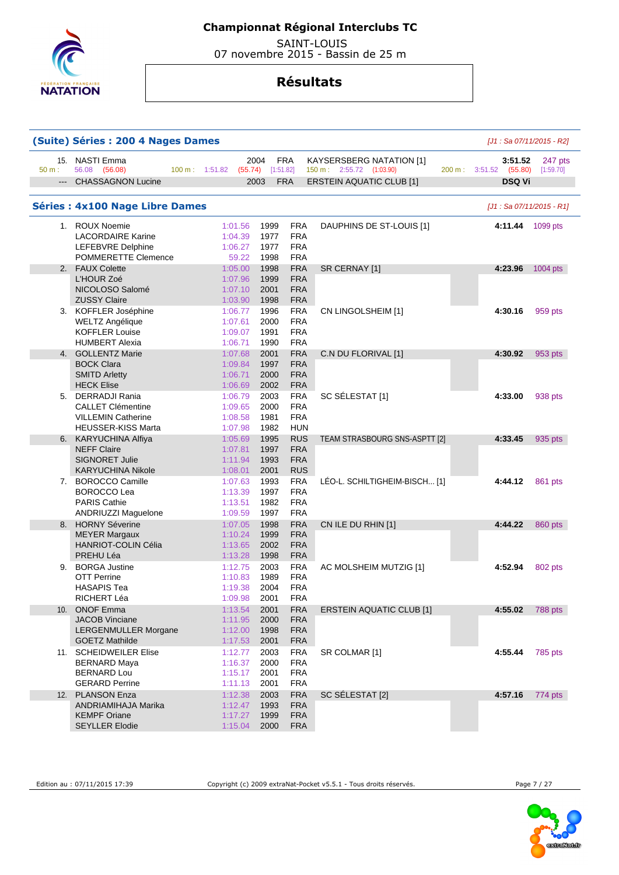

 SAINT-LOUIS 07 novembre 2015 - Bassin de 25 m

## **Résultats**

| (Suite) Séries : 200 4 Nages Dames<br>[J1 : Sa 07/11/2015 - R2] |                                                                                                         |                                                                                                                                                                                |                      |  |  |  |  |  |  |  |
|-----------------------------------------------------------------|---------------------------------------------------------------------------------------------------------|--------------------------------------------------------------------------------------------------------------------------------------------------------------------------------|----------------------|--|--|--|--|--|--|--|
| $50 m$ :                                                        | 15. NASTI Emma<br>56.08 (56.08)                                                                         | 2004<br><b>FRA</b><br>KAYSERSBERG NATATION [1]<br>3:51.52<br>150 m: 2:55.72 (1:03.90)<br>100 m: 1:51.82<br>(55.74)<br>[1:51.82]<br>200 m: 3:51.52 (55.80)                      | 247 pts<br>[1:59.70] |  |  |  |  |  |  |  |
| $---$                                                           | <b>CHASSAGNON Lucine</b>                                                                                | <b>FRA</b><br><b>ERSTEIN AQUATIC CLUB [1]</b><br><b>DSQ Vi</b><br>2003                                                                                                         |                      |  |  |  |  |  |  |  |
|                                                                 | <b>Séries: 4x100 Nage Libre Dames</b>                                                                   | [J1 : Sa 07/11/2015 - R1]                                                                                                                                                      |                      |  |  |  |  |  |  |  |
|                                                                 | 1. ROUX Noemie<br><b>LACORDAIRE Karine</b><br><b>LEFEBVRE Delphine</b><br>POMMERETTE Clemence           | 1:01.56<br>1999<br>FRA<br>DAUPHINS DE ST-LOUIS [1]<br>4:11.44<br><b>FRA</b><br>1977<br>1:04.39<br>1:06.27<br>1977<br><b>FRA</b><br>59.22<br>1998<br><b>FRA</b>                 | 1099 pts             |  |  |  |  |  |  |  |
| 2.                                                              | <b>FAUX Colette</b><br>L'HOUR Zoé<br>NICOLOSO Salomé<br><b>ZUSSY Claire</b>                             | <b>FRA</b><br>1:05.00<br>1998<br>SR CERNAY [1]<br>4:23.96<br><b>FRA</b><br>1:07.96<br>1999<br><b>FRA</b><br>1:07.10<br>2001<br>1:03.90<br>1998<br><b>FRA</b>                   | 1004 pts             |  |  |  |  |  |  |  |
|                                                                 | 3. KOFFLER Joséphine<br>WELTZ Angélique<br><b>KOFFLER Louise</b><br><b>HUMBERT Alexia</b>               | 1996<br><b>FRA</b><br>1:06.77<br>4:30.16<br>CN LINGOLSHEIM [1]<br><b>FRA</b><br>1:07.61<br>2000<br>1:09.07<br>1991<br><b>FRA</b><br><b>FRA</b><br>1:06.71<br>1990              | 959 pts              |  |  |  |  |  |  |  |
|                                                                 | 4. GOLLENTZ Marie<br><b>BOCK Clara</b><br><b>SMITD Arletty</b><br><b>HECK Elise</b>                     | 1:07.68<br>2001<br>FRA<br>C.N DU FLORIVAL [1]<br>4:30.92<br><b>FRA</b><br>1:09.84<br>1997<br>1:06.71<br>2000<br><b>FRA</b><br><b>FRA</b><br>1:06.69<br>2002                    | 953 pts              |  |  |  |  |  |  |  |
|                                                                 | 5. DERRADJI Rania<br><b>CALLET Clémentine</b><br><b>VILLEMIN Catherine</b><br><b>HEUSSER-KISS Marta</b> | <b>FRA</b><br>2003<br>SC SÉLESTAT [1]<br>1:06.79<br>4:33.00<br>1:09.65<br>2000<br><b>FRA</b><br>1:08.58<br>1981<br><b>FRA</b><br>1:07.98<br>1982<br>HUN                        | 938 pts              |  |  |  |  |  |  |  |
| 6.                                                              | <b>KARYUCHINA Alfiya</b><br><b>NEFF Claire</b><br><b>SIGNORET Julie</b><br><b>KARYUCHINA Nikole</b>     | <b>RUS</b><br>1:05.69<br>1995<br>TEAM STRASBOURG SNS-ASPTT [2]<br>4:33.45<br>1:07.81<br>1997<br><b>FRA</b><br><b>FRA</b><br>1:11.94<br>1993<br><b>RUS</b><br>1:08.01<br>2001   | 935 pts              |  |  |  |  |  |  |  |
|                                                                 | 7. BOROCCO Camille<br><b>BOROCCO Lea</b><br><b>PARIS Cathie</b><br>ANDRIUZZI Maguelone                  | 1:07.63<br>1993<br><b>FRA</b><br>LÉO-L. SCHILTIGHEIM-BISCH [1]<br>4:44.12<br>1997<br><b>FRA</b><br>1:13.39<br><b>FRA</b><br>1:13.51<br>1982<br>1997<br><b>FRA</b><br>1:09.59   | 861 pts              |  |  |  |  |  |  |  |
| 8.                                                              | <b>HORNY Séverine</b><br><b>MEYER Margaux</b><br><b>HANRIOT-COLIN Célia</b><br>PREHU Léa                | <b>FRA</b><br>1:07.05<br>1998<br>CN ILE DU RHIN [1]<br>4:44.22<br>1:10.24<br>1999<br><b>FRA</b><br>1:13.65<br>2002<br><b>FRA</b><br>1:13.28<br>1998<br><b>FRA</b>              | 860 pts              |  |  |  |  |  |  |  |
| 9.                                                              | <b>BORGA Justine</b><br><b>OTT Perrine</b><br><b>HASAPIS Tea</b><br>RICHERT Léa                         | 1:12.75<br>2003<br><b>FRA</b><br>4:52.94<br>AC MOLSHEIM MUTZIG [1]<br>1989<br><b>FRA</b><br>1:10.83<br>2004<br><b>FRA</b><br>1:19.38<br>1:09.98<br>2001<br>FRA                 | 802 pts              |  |  |  |  |  |  |  |
|                                                                 | 10. ONOF Emma<br><b>JACOB Vinciane</b><br><b>LERGENMULLER Morgane</b><br><b>GOETZ Mathilde</b>          | 1:13.54<br>2001<br><b>FRA</b><br>4:55.02<br><b>ERSTEIN AQUATIC CLUB [1]</b><br><b>FRA</b><br>1:11.95<br>2000<br>1:12.00<br>1998<br><b>FRA</b><br>1:17.53<br><b>FRA</b><br>2001 | 788 pts              |  |  |  |  |  |  |  |
|                                                                 | 11. SCHEIDWEILER Elise<br>BERNARD Maya<br><b>BERNARD Lou</b><br><b>GERARD Perrine</b>                   | <b>FRA</b><br>1:12.77<br>2003<br>SR COLMAR [1]<br>4:55.44<br>1:16.37<br>2000<br><b>FRA</b><br><b>FRA</b><br>1:15.17<br>2001<br>2001<br><b>FRA</b><br>1:11.13                   | 785 pts              |  |  |  |  |  |  |  |
| 12.                                                             | <b>PLANSON Enza</b><br>ANDRIAMIHAJA Marika<br><b>KEMPF Oriane</b><br><b>SEYLLER Elodie</b>              | <b>FRA</b><br>SC SÉLESTAT [2]<br>1:12.38<br>2003<br>4:57.16<br>1:12.47<br>1993<br><b>FRA</b><br>1:17.27<br>1999<br><b>FRA</b><br>1:15.04<br>2000<br><b>FRA</b>                 | 774 pts              |  |  |  |  |  |  |  |

Edition au : 07/11/2015 17:39 Copyright (c) 2009 extraNat-Pocket v5.5.1 - Tous droits réservés.

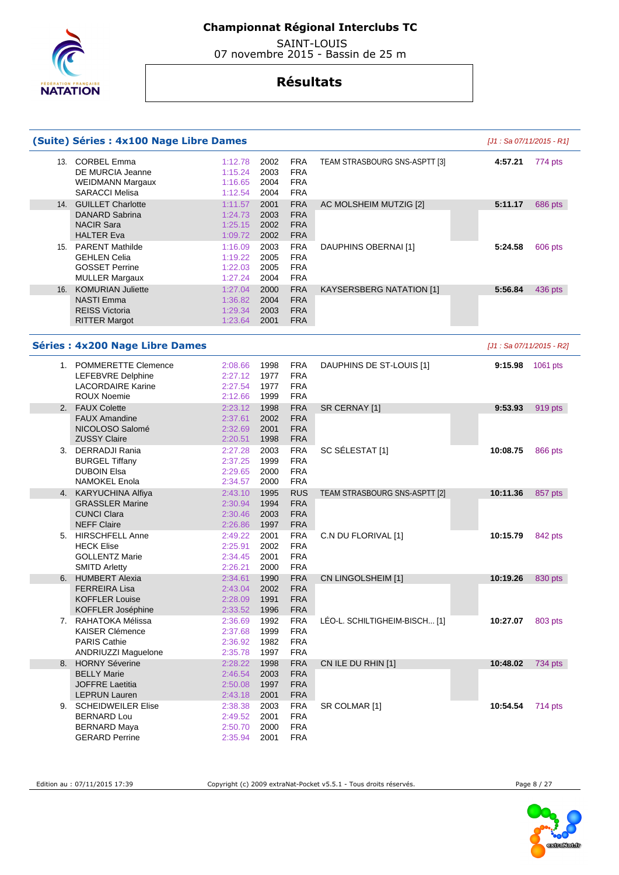

 SAINT-LOUIS 07 novembre 2015 - Bassin de 25 m

## **Résultats**

|     | (Suite) Séries : 4x100 Nage Libre Dames                                                              |                                          |                              |                                                      |                               | [J1 : Sa 07/11/2015 - R1] |          |
|-----|------------------------------------------------------------------------------------------------------|------------------------------------------|------------------------------|------------------------------------------------------|-------------------------------|---------------------------|----------|
|     | 13. CORBEL Emma<br>DE MURCIA Jeanne<br><b>WEIDMANN Margaux</b><br><b>SARACCI Melisa</b>              | 1:12.78<br>1:15.24<br>1:16.65<br>1:12.54 | 2002<br>2003<br>2004<br>2004 | <b>FRA</b><br><b>FRA</b><br><b>FRA</b><br><b>FRA</b> | TEAM STRASBOURG SNS-ASPTT [3] | 4:57.21                   | 774 pts  |
| 14. | <b>GUILLET Charlotte</b><br><b>DANARD Sabrina</b><br><b>NACIR Sara</b><br><b>HALTER Eva</b>          | 1:11.57<br>1:24.73<br>1:25.15<br>1:09.72 | 2001<br>2003<br>2002<br>2002 | <b>FRA</b><br><b>FRA</b><br><b>FRA</b><br><b>FRA</b> | AC MOLSHEIM MUTZIG [2]        | 5:11.17                   | 686 pts  |
|     | 15. PARENT Mathilde<br><b>GEHLEN Celia</b><br><b>GOSSET Perrine</b><br><b>MULLER Margaux</b>         | 1:16.09<br>1:19.22<br>1:22.03<br>1:27.24 | 2003<br>2005<br>2005<br>2004 | <b>FRA</b><br><b>FRA</b><br><b>FRA</b><br><b>FRA</b> | DAUPHINS OBERNAI [1]          | 5:24.58                   | 606 pts  |
| 16. | <b>KOMURIAN Juliette</b><br><b>NASTI Emma</b><br><b>REISS Victoria</b><br><b>RITTER Margot</b>       | 1:27.04<br>1:36.82<br>1:29.34<br>1:23.64 | 2000<br>2004<br>2003<br>2001 | <b>FRA</b><br><b>FRA</b><br><b>FRA</b><br><b>FRA</b> | KAYSERSBERG NATATION [1]      | 5:56.84                   | 436 pts  |
|     | <b>Séries : 4x200 Nage Libre Dames</b>                                                               |                                          |                              |                                                      |                               | [J1 : Sa 07/11/2015 - R2] |          |
|     | 1. POMMERETTE Clemence<br><b>LEFEBVRE Delphine</b><br><b>LACORDAIRE Karine</b><br><b>ROUX Noemie</b> | 2:08.66<br>2:27.12<br>2:27.54<br>2:12.66 | 1998<br>1977<br>1977<br>1999 | <b>FRA</b><br><b>FRA</b><br><b>FRA</b><br><b>FRA</b> | DAUPHINS DE ST-LOUIS [1]      | 9:15.98                   | 1061 pts |
|     | 2. FAUX Colette                                                                                      | 2:23.12                                  | 1998                         | <b>FRA</b>                                           | SR CERNAY [1]                 | 9:53.93                   | 919 pts  |
|     | <b>FAUX Amandine</b><br>NICOLOSO Salomé<br><b>ZUSSY Claire</b>                                       | 2:37.61<br>2:32.69<br>2:20.51            | 2002<br>2001<br>1998         | <b>FRA</b><br><b>FRA</b><br><b>FRA</b>               |                               |                           |          |
|     | 3. DERRADJI Rania<br><b>BURGEL Tiffany</b><br><b>DUBOIN Elsa</b><br><b>NAMOKEL Enola</b>             | 2:27.28<br>2:37.25<br>2:29.65<br>2:34.57 | 2003<br>1999<br>2000<br>2000 | <b>FRA</b><br><b>FRA</b><br><b>FRA</b><br><b>FRA</b> | SC SÉLESTAT [1]               | 10:08.75                  | 866 pts  |
|     | 4. KARYUCHINA Alfiya<br><b>GRASSLER Marine</b><br><b>CUNCI Clara</b><br><b>NEFF Claire</b>           | 2:43.10<br>2:30.94<br>2:30.46<br>2:26.86 | 1995<br>1994<br>2003<br>1997 | <b>RUS</b><br><b>FRA</b><br><b>FRA</b><br><b>FRA</b> | TEAM STRASBOURG SNS-ASPTT [2] | 10:11.36                  | 857 pts  |
|     | 5. HIRSCHFELL Anne<br><b>HECK Elise</b><br><b>GOLLENTZ Marie</b><br><b>SMITD Arletty</b>             | 2:49.22<br>2:25.91<br>2:34.45<br>2:26.21 | 2001<br>2002<br>2001<br>2000 | <b>FRA</b><br><b>FRA</b><br><b>FRA</b><br><b>FRA</b> | C.N DU FLORIVAL [1]           | 10:15.79                  | 842 pts  |
| 6.  | <b>HUMBERT Alexia</b><br>FERREIRA Lisa<br><b>KOFFLER Louise</b><br>KOFFLER Joséphine                 | 2:34.61<br>2:43.04<br>2:28.09<br>2:33.52 | 1990<br>2002<br>1991<br>1996 | <b>FRA</b><br><b>FRA</b><br><b>FRA</b><br><b>FRA</b> | CN LINGOLSHEIM [1]            | 10:19.26                  | 830 pts  |
|     | 7. RAHATOKA Mélissa<br><b>KAISER Clémence</b><br><b>PARIS Cathie</b><br>ANDRIUZZI Maguelone          | 2:36.69<br>2:37.68<br>2:36.92<br>2:35.78 | 1992<br>1999<br>1982<br>1997 | <b>FRA</b><br><b>FRA</b><br><b>FRA</b><br><b>FRA</b> | LÉO-L. SCHILTIGHEIM-BISCH [1] | 10:27.07                  | 803 pts  |
| 8.  | <b>HORNY Séverine</b>                                                                                | 2:28.22                                  | 1998                         | <b>FRA</b>                                           | CN ILE DU RHIN [1]            | 10:48.02                  | 734 pts  |
|     | <b>BELLY Marie</b><br><b>JOFFRE Laetitia</b><br><b>LEPRUN Lauren</b>                                 | 2:46.54<br>2:50.08<br>2:43.18            | 2003<br>1997<br>2001         | <b>FRA</b><br><b>FRA</b><br><b>FRA</b>               |                               |                           |          |
|     | 9. SCHEIDWEILER Elise<br><b>BERNARD Lou</b><br><b>BERNARD Maya</b><br><b>GERARD Perrine</b>          | 2:38.38<br>2:49.52<br>2:50.70<br>2:35.94 | 2003<br>2001<br>2000<br>2001 | <b>FRA</b><br><b>FRA</b><br><b>FRA</b><br><b>FRA</b> | SR COLMAR [1]                 | 10:54.54                  | 714 pts  |

Edition au : 07/11/2015 17:39 Copyright (c) 2009 extraNat-Pocket v5.5.1 - Tous droits réservés. Page 8 / 27

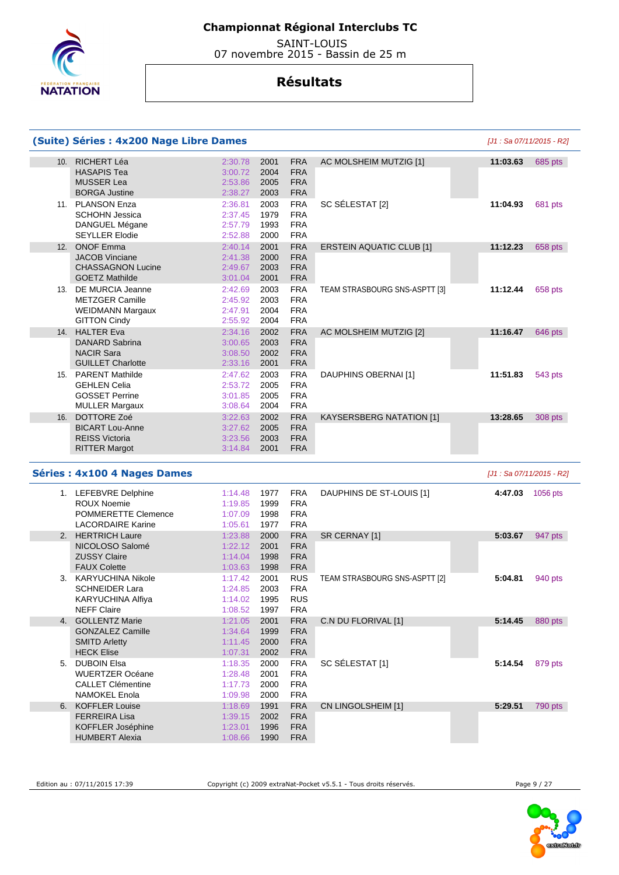

 SAINT-LOUIS 07 novembre 2015 - Bassin de 25 m

|     | (Suite) Séries : 4x200 Nage Libre Dames                                                          |                                          |                              |                                                      |                                 |                           | [J1 : Sa 07/11/2015 - R2] |
|-----|--------------------------------------------------------------------------------------------------|------------------------------------------|------------------------------|------------------------------------------------------|---------------------------------|---------------------------|---------------------------|
| 10. | <b>RICHERT Léa</b><br><b>HASAPIS Tea</b><br><b>MUSSER Lea</b><br><b>BORGA Justine</b>            | 2:30.78<br>3:00.72<br>2:53.86<br>2:38.27 | 2001<br>2004<br>2005<br>2003 | <b>FRA</b><br><b>FRA</b><br><b>FRA</b><br><b>FRA</b> | AC MOLSHEIM MUTZIG [1]          | 11:03.63                  | 685 pts                   |
|     | 11. PLANSON Enza<br><b>SCHOHN Jessica</b><br>DANGUEL Mégane<br><b>SEYLLER Elodie</b>             | 2:36.81<br>2:37.45<br>2:57.79<br>2:52.88 | 2003<br>1979<br>1993<br>2000 | <b>FRA</b><br><b>FRA</b><br><b>FRA</b><br><b>FRA</b> | SC SÉLESTAT [2]                 | 11:04.93                  | 681 pts                   |
|     | 12. ONOF Emma<br><b>JACOB Vinciane</b><br><b>CHASSAGNON Lucine</b><br><b>GOETZ Mathilde</b>      | 2:40.14<br>2:41.38<br>2:49.67<br>3:01.04 | 2001<br>2000<br>2003<br>2001 | <b>FRA</b><br><b>FRA</b><br><b>FRA</b><br><b>FRA</b> | <b>ERSTEIN AQUATIC CLUB [1]</b> | 11:12.23                  | 658 pts                   |
|     | 13. DE MURCIA Jeanne<br><b>METZGER Camille</b><br><b>WEIDMANN Margaux</b><br><b>GITTON Cindy</b> | 2:42.69<br>2:45.92<br>2:47.91<br>2:55.92 | 2003<br>2003<br>2004<br>2004 | <b>FRA</b><br><b>FRA</b><br><b>FRA</b><br><b>FRA</b> | TEAM STRASBOURG SNS-ASPTT [3]   | 11:12.44                  | 658 pts                   |
| 14. | <b>HALTER Eva</b><br>DANARD Sabrina<br><b>NACIR Sara</b><br><b>GUILLET Charlotte</b>             | 2:34.16<br>3:00.65<br>3:08.50<br>2:33.16 | 2002<br>2003<br>2002<br>2001 | <b>FRA</b><br><b>FRA</b><br><b>FRA</b><br><b>FRA</b> | AC MOLSHEIM MUTZIG [2]          | 11:16.47                  | 646 pts                   |
|     | 15. PARENT Mathilde<br><b>GEHLEN Celia</b><br><b>GOSSET Perrine</b><br><b>MULLER Margaux</b>     | 2:47.62<br>2:53.72<br>3:01.85<br>3:08.64 | 2003<br>2005<br>2005<br>2004 | <b>FRA</b><br><b>FRA</b><br><b>FRA</b><br><b>FRA</b> | DAUPHINS OBERNAI [1]            | 11:51.83                  | 543 pts                   |
| 16. | <b>DOTTORE Zoé</b><br><b>BICART Lou-Anne</b><br><b>REISS Victoria</b><br><b>RITTER Margot</b>    | 3:22.63<br>3:27.62<br>3:23.56<br>3:14.84 | 2002<br>2005<br>2003<br>2001 | <b>FRA</b><br><b>FRA</b><br><b>FRA</b><br><b>FRA</b> | KAYSERSBERG NATATION [1]        | 13:28.65                  | 308 pts                   |
|     | <b>Séries: 4x100 4 Nages Dames</b>                                                               |                                          |                              |                                                      |                                 | [J1 : Sa 07/11/2015 - R2] |                           |
|     | 1. LEFEBVRE Delphine<br>ROUX Noemie<br>POMMERETTE Clemence<br><b>LACORDAIRE Karine</b>           | 1:14.48<br>1:19.85<br>1:07.09<br>1:05.61 | 1977<br>1999<br>1998<br>1977 | <b>FRA</b><br><b>FRA</b><br><b>FRA</b><br><b>FRA</b> | DAUPHINS DE ST-LOUIS [1]        | 4:47.03                   | 1056 pts                  |
|     | 2. HERTRICH Laure<br>NICOLOSO Salomé<br><b>ZUSSY Claire</b><br><b>FAUX Colette</b>               | 1:23.88<br>1:22.12<br>1:14.04<br>1:03.63 | 2000<br>2001<br>1998<br>1998 | <b>FRA</b><br><b>FRA</b><br><b>FRA</b><br><b>FRA</b> | SR CERNAY [1]                   | 5:03.67                   | 947 pts                   |
|     | 3. KARYUCHINA Nikole<br><b>SCHNEIDER Lara</b><br>KARYUCHINA Alfiya<br><b>NEFF Claire</b>         | 1:17.42<br>1:24.85<br>1:14.02<br>1:08.52 | 2001<br>2003<br>1995<br>1997 | <b>RUS</b><br><b>FRA</b><br><b>RUS</b><br><b>FRA</b> | TEAM STRASBOURG SNS-ASPTT [2]   | 5:04.81                   | 940 pts                   |
|     | 4. GOLLENTZ Marie<br><b>GONZALEZ Camille</b><br><b>SMITD Arletty</b><br><b>HECK Elise</b>        | 1:21.05<br>1:34.64<br>1:11.45<br>1:07.31 | 2001<br>1999<br>2000<br>2002 | <b>FRA</b><br><b>FRA</b><br><b>FRA</b><br><b>FRA</b> | C.N DU FLORIVAL [1]             | 5:14.45                   | 880 pts                   |
|     | 5. DUBOIN Elsa<br><b>WUERTZER Océane</b><br><b>CALLET Clémentine</b><br>NAMOKEL Enola            | 1:18.35<br>1:28.48<br>1:17.73<br>1:09.98 | 2000<br>2001<br>2000<br>2000 | <b>FRA</b><br><b>FRA</b><br><b>FRA</b><br><b>FRA</b> | SC SÉLESTAT [1]                 | 5:14.54                   | 879 pts                   |
| 6.  | <b>KOFFLER Louise</b><br><b>FERREIRA Lisa</b><br>KOFFLER Joséphine<br><b>HUMBERT Alexia</b>      | 1:18.69<br>1:39.15<br>1:23.01<br>1:08.66 | 1991<br>2002<br>1996<br>1990 | <b>FRA</b><br><b>FRA</b><br><b>FRA</b><br><b>FRA</b> | CN LINGOLSHEIM [1]              | 5:29.51                   | 790 pts                   |



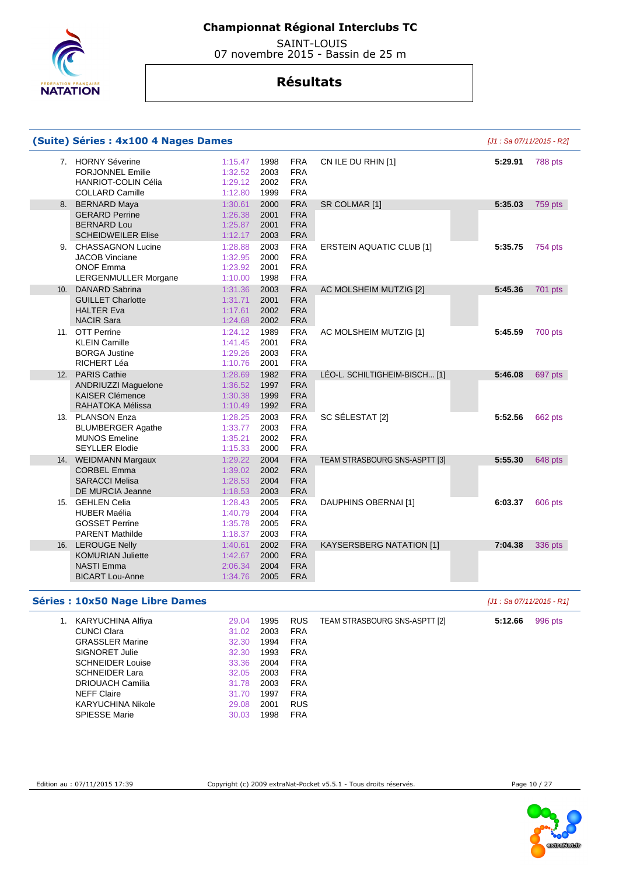

 SAINT-LOUIS 07 novembre 2015 - Bassin de 25 m

## **Résultats**

| (Suite) Séries : 4x100 4 Nages Dames                                                                 |                                          |                              |                                                      |                                 | [J1 : Sa 07/11/2015 - R2] |         |
|------------------------------------------------------------------------------------------------------|------------------------------------------|------------------------------|------------------------------------------------------|---------------------------------|---------------------------|---------|
| 7. HORNY Séverine<br><b>FORJONNEL Emilie</b><br><b>HANRIOT-COLIN Célia</b><br><b>COLLARD Camille</b> | 1:15.47<br>1:32.52<br>1:29.12<br>1:12.80 | 1998<br>2003<br>2002<br>1999 | <b>FRA</b><br><b>FRA</b><br><b>FRA</b><br><b>FRA</b> | CN ILE DU RHIN [1]              | 5:29.91                   | 788 pts |
| 8. BERNARD Maya                                                                                      | 1:30.61                                  | 2000                         | <b>FRA</b>                                           | SR COLMAR [1]                   | 5:35.03                   | 759 pts |
| <b>GERARD Perrine</b><br><b>BERNARD Lou</b><br><b>SCHEIDWEILER Elise</b>                             | 1:26.38<br>1:25.87<br>1:12.17            | 2001<br>2001<br>2003         | <b>FRA</b><br><b>FRA</b><br><b>FRA</b>               |                                 |                           |         |
| 9. CHASSAGNON Lucine<br><b>JACOB Vinciane</b><br><b>ONOF Emma</b><br><b>LERGENMULLER Morgane</b>     | 1:28.88<br>1:32.95<br>1:23.92<br>1:10.00 | 2003<br>2000<br>2001<br>1998 | <b>FRA</b><br><b>FRA</b><br><b>FRA</b><br><b>FRA</b> | <b>ERSTEIN AQUATIC CLUB [1]</b> | 5:35.75                   | 754 pts |
| 10. DANARD Sabrina                                                                                   | 1:31.36                                  | 2003                         | <b>FRA</b>                                           | AC MOLSHEIM MUTZIG [2]          | 5:45.36                   | 701 pts |
| <b>GUILLET Charlotte</b><br><b>HALTER Eva</b><br><b>NACIR Sara</b>                                   | 1:31.71<br>1:17.61<br>1:24.68            | 2001<br>2002<br>2002         | <b>FRA</b><br><b>FRA</b><br><b>FRA</b>               |                                 |                           |         |
| 11. OTT Perrine<br><b>KLEIN Camille</b><br><b>BORGA Justine</b><br>RICHERT Léa                       | 1:24.12<br>1:41.45<br>1:29.26<br>1:10.76 | 1989<br>2001<br>2003<br>2001 | <b>FRA</b><br><b>FRA</b><br><b>FRA</b><br><b>FRA</b> | AC MOLSHEIM MUTZIG [1]          | 5:45.59                   | 700 pts |
| 12. PARIS Cathie                                                                                     | 1:28.69                                  | 1982                         | <b>FRA</b>                                           | LÉO-L. SCHILTIGHEIM-BISCH [1]   | 5:46.08                   | 697 pts |
| ANDRIUZZI Maguelone<br><b>KAISER Clémence</b><br>RAHATOKA Mélissa                                    | 1:36.52<br>1:30.38<br>1:10.49            | 1997<br>1999<br>1992         | <b>FRA</b><br><b>FRA</b><br><b>FRA</b>               |                                 |                           |         |
| 13. PLANSON Enza<br><b>BLUMBERGER Agathe</b><br><b>MUNOS Emeline</b><br><b>SEYLLER Elodie</b>        | 1:28.25<br>1:33.77<br>1:35.21<br>1:15.33 | 2003<br>2003<br>2002<br>2000 | <b>FRA</b><br><b>FRA</b><br><b>FRA</b><br><b>FRA</b> | SC SÉLESTAT [2]                 | 5:52.56                   | 662 pts |
| 14. WEIDMANN Margaux                                                                                 | 1:29.22                                  | 2004                         | <b>FRA</b>                                           | TEAM STRASBOURG SNS-ASPTT [3]   | 5:55.30                   | 648 pts |
| <b>CORBEL Emma</b><br><b>SARACCI Melisa</b><br>DE MURCIA Jeanne                                      | 1:39.02<br>1:28.53<br>1:18.53            | 2002<br>2004<br>2003         | <b>FRA</b><br><b>FRA</b><br><b>FRA</b>               |                                 |                           |         |
| 15. GEHLEN Celia<br><b>HUBER Maélia</b><br><b>GOSSET Perrine</b><br><b>PARENT Mathilde</b>           | 1:28.43<br>1:40.79<br>1:35.78<br>1:18.37 | 2005<br>2004<br>2005<br>2003 | <b>FRA</b><br><b>FRA</b><br><b>FRA</b><br><b>FRA</b> | DAUPHINS OBERNAI [1]            | 6:03.37                   | 606 pts |
| 16. LEROUGE Nelly<br><b>KOMURIAN Juliette</b><br><b>NASTI Emma</b><br><b>BICART Lou-Anne</b>         | 1:40.61<br>1:42.67<br>2:06.34<br>1:34.76 | 2002<br>2000<br>2004<br>2005 | <b>FRA</b><br><b>FRA</b><br><b>FRA</b><br><b>FRA</b> | KAYSERSBERG NATATION [1]        | 7:04.38                   | 336 pts |

#### **Séries : 10x50 Nage Libre Dames Séries : 10x50 Nage Libre Dames** *Magnetic Libre 30* **Nage 11: Sa 07/11/2015 - R1]**

| 1. | KARYUCHINA Alfiya        | 29.04 | 1995 | <b>RUS</b> | TEAM STRASBOURG SNS-ASPTT [2] | 5:12.66 | 996 pts |
|----|--------------------------|-------|------|------------|-------------------------------|---------|---------|
|    | <b>CUNCI Clara</b>       | 31.02 | 2003 | <b>FRA</b> |                               |         |         |
|    | <b>GRASSLER Marine</b>   | 32.30 | 1994 | <b>FRA</b> |                               |         |         |
|    | SIGNORET Julie           | 32.30 | 1993 | <b>FRA</b> |                               |         |         |
|    | <b>SCHNEIDER Louise</b>  | 33.36 | 2004 | <b>FRA</b> |                               |         |         |
|    | <b>SCHNEIDER Lara</b>    | 32.05 | 2003 | <b>FRA</b> |                               |         |         |
|    | DRIOUACH Camilia         | 31.78 | 2003 | <b>FRA</b> |                               |         |         |
|    | <b>NEFF Claire</b>       | 31.70 | 1997 | <b>FRA</b> |                               |         |         |
|    | <b>KARYUCHINA Nikole</b> | 29.08 | 2001 | <b>RUS</b> |                               |         |         |
|    | <b>SPIESSE Marie</b>     | 30.03 | 1998 | <b>FRA</b> |                               |         |         |



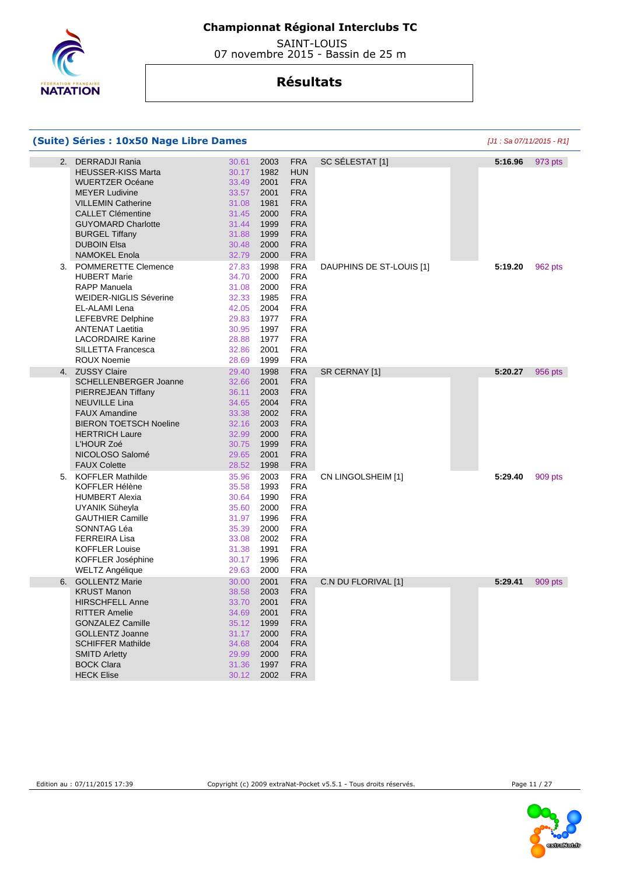

 SAINT-LOUIS 07 novembre 2015 - Bassin de 25 m

|    | (Suite) Séries : 10x50 Nage Libre Dames |       |      |            |                          | $[J1: Sa 07/11/2015 - R1]$ |         |
|----|-----------------------------------------|-------|------|------------|--------------------------|----------------------------|---------|
| 2. | <b>DERRADJI Rania</b>                   | 30.61 | 2003 | <b>FRA</b> | SC SÉLESTAT [1]          | 5:16.96                    | 973 pts |
|    | <b>HEUSSER-KISS Marta</b>               | 30.17 | 1982 | <b>HUN</b> |                          |                            |         |
|    | <b>WUERTZER Océane</b>                  | 33.49 | 2001 | <b>FRA</b> |                          |                            |         |
|    | <b>MEYER Ludivine</b>                   | 33.57 | 2001 | <b>FRA</b> |                          |                            |         |
|    | <b>VILLEMIN Catherine</b>               | 31.08 | 1981 | <b>FRA</b> |                          |                            |         |
|    | <b>CALLET Clémentine</b>                | 31.45 | 2000 | <b>FRA</b> |                          |                            |         |
|    | <b>GUYOMARD Charlotte</b>               | 31.44 | 1999 | <b>FRA</b> |                          |                            |         |
|    | <b>BURGEL Tiffany</b>                   | 31.88 | 1999 | <b>FRA</b> |                          |                            |         |
|    | <b>DUBOIN Elsa</b>                      | 30.48 | 2000 | <b>FRA</b> |                          |                            |         |
|    | <b>NAMOKEL Enola</b>                    | 32.79 | 2000 | <b>FRA</b> |                          |                            |         |
| 3. | <b>POMMERETTE Clemence</b>              | 27.83 | 1998 | <b>FRA</b> | DAUPHINS DE ST-LOUIS [1] | 5:19.20                    | 962 pts |
|    | <b>HUBERT Marie</b>                     | 34.70 | 2000 | <b>FRA</b> |                          |                            |         |
|    | <b>RAPP Manuela</b>                     | 31.08 | 2000 | <b>FRA</b> |                          |                            |         |
|    | <b>WEIDER-NIGLIS Séverine</b>           | 32.33 | 1985 | <b>FRA</b> |                          |                            |         |
|    |                                         |       |      |            |                          |                            |         |
|    | EL-ALAMI Lena                           | 42.05 | 2004 | <b>FRA</b> |                          |                            |         |
|    | LEFEBVRE Delphine                       | 29.83 | 1977 | <b>FRA</b> |                          |                            |         |
|    | <b>ANTENAT Laetitia</b>                 | 30.95 | 1997 | <b>FRA</b> |                          |                            |         |
|    | <b>LACORDAIRE Karine</b>                | 28.88 | 1977 | <b>FRA</b> |                          |                            |         |
|    | SILLETTA Francesca                      | 32.86 | 2001 | <b>FRA</b> |                          |                            |         |
|    | <b>ROUX Noemie</b>                      | 28.69 | 1999 | <b>FRA</b> |                          |                            |         |
|    | 4. ZUSSY Claire                         | 29.40 | 1998 | <b>FRA</b> | SR CERNAY [1]            | 5:20.27                    | 956 pts |
|    | SCHELLENBERGER Joanne                   | 32.66 | 2001 | <b>FRA</b> |                          |                            |         |
|    | PIERREJEAN Tiffany                      | 36.11 | 2003 | <b>FRA</b> |                          |                            |         |
|    | <b>NEUVILLE Lina</b>                    | 34.65 | 2004 | <b>FRA</b> |                          |                            |         |
|    | <b>FAUX Amandine</b>                    | 33.38 | 2002 | <b>FRA</b> |                          |                            |         |
|    | <b>BIERON TOETSCH Noeline</b>           | 32.16 | 2003 | <b>FRA</b> |                          |                            |         |
|    | <b>HERTRICH Laure</b>                   | 32.99 | 2000 | <b>FRA</b> |                          |                            |         |
|    | L'HOUR Zoé                              | 30.75 | 1999 | <b>FRA</b> |                          |                            |         |
|    | NICOLOSO Salomé                         | 29.65 | 2001 | <b>FRA</b> |                          |                            |         |
|    | <b>FAUX Colette</b>                     | 28.52 | 1998 | <b>FRA</b> |                          |                            |         |
| 5. | <b>KOFFLER Mathilde</b>                 | 35.96 | 2003 | <b>FRA</b> | CN LINGOLSHEIM [1]       | 5:29.40                    | 909 pts |
|    | KOFFLER Hélène                          | 35.58 | 1993 | <b>FRA</b> |                          |                            |         |
|    | <b>HUMBERT Alexia</b>                   | 30.64 | 1990 | <b>FRA</b> |                          |                            |         |
|    | UYANIK Süheyla                          | 35.60 | 2000 | <b>FRA</b> |                          |                            |         |
|    | <b>GAUTHIER Camille</b>                 | 31.97 | 1996 | <b>FRA</b> |                          |                            |         |
|    | SONNTAG Léa                             | 35.39 | 2000 | <b>FRA</b> |                          |                            |         |
|    | <b>FERREIRA Lisa</b>                    | 33.08 | 2002 | <b>FRA</b> |                          |                            |         |
|    | <b>KOFFLER Louise</b>                   | 31.38 | 1991 | <b>FRA</b> |                          |                            |         |
|    | KOFFLER Joséphine                       | 30.17 | 1996 | <b>FRA</b> |                          |                            |         |
|    | WELTZ Angélique                         | 29.63 | 2000 | <b>FRA</b> |                          |                            |         |
| 6. | <b>GOLLENTZ Marie</b>                   | 30.00 | 2001 | <b>FRA</b> | C.N DU FLORIVAL [1]      | 5:29.41                    | 909 pts |
|    | <b>KRUST Manon</b>                      | 38.58 | 2003 | <b>FRA</b> |                          |                            |         |
|    | <b>HIRSCHFELL Anne</b>                  | 33.70 | 2001 | <b>FRA</b> |                          |                            |         |
|    | <b>RITTER Amelie</b>                    | 34.69 | 2001 | <b>FRA</b> |                          |                            |         |
|    | <b>GONZALEZ Camille</b>                 | 35.12 | 1999 | <b>FRA</b> |                          |                            |         |
|    |                                         |       |      |            |                          |                            |         |
|    | <b>GOLLENTZ Joanne</b>                  | 31.17 | 2000 | <b>FRA</b> |                          |                            |         |
|    | <b>SCHIFFER Mathilde</b>                | 34.68 | 2004 | <b>FRA</b> |                          |                            |         |
|    | <b>SMITD Arletty</b>                    | 29.99 | 2000 | <b>FRA</b> |                          |                            |         |
|    | <b>BOCK Clara</b>                       | 31.36 | 1997 | <b>FRA</b> |                          |                            |         |
|    | <b>HECK Elise</b>                       | 30.12 | 2002 | <b>FRA</b> |                          |                            |         |

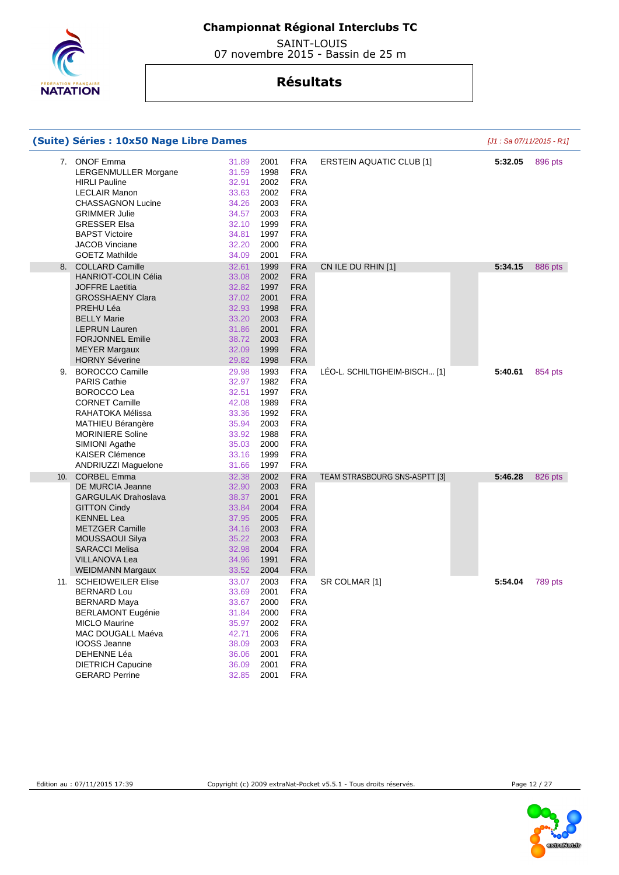

 SAINT-LOUIS 07 novembre 2015 - Bassin de 25 m

|    | (Suite) Séries : 10x50 Nage Libre Dames                                                                                                                                                                                                              |                                                                                        |                                                                              |                                                                                                                                          |                                 | [J1: Sa 07/11/2015 - R1] |         |
|----|------------------------------------------------------------------------------------------------------------------------------------------------------------------------------------------------------------------------------------------------------|----------------------------------------------------------------------------------------|------------------------------------------------------------------------------|------------------------------------------------------------------------------------------------------------------------------------------|---------------------------------|--------------------------|---------|
| 7. | <b>ONOF Emma</b><br>LERGENMULLER Morgane<br><b>HIRLI Pauline</b><br><b>LECLAIR Manon</b><br><b>CHASSAGNON Lucine</b><br><b>GRIMMER Julie</b><br><b>GRESSER Elsa</b><br><b>BAPST Victoire</b><br><b>JACOB Vinciane</b><br><b>GOETZ Mathilde</b>       | 31.89<br>31.59<br>32.91<br>33.63<br>34.26<br>34.57<br>32.10<br>34.81<br>32.20<br>34.09 | 2001<br>1998<br>2002<br>2002<br>2003<br>2003<br>1999<br>1997<br>2000<br>2001 | <b>FRA</b><br><b>FRA</b><br><b>FRA</b><br><b>FRA</b><br><b>FRA</b><br><b>FRA</b><br><b>FRA</b><br><b>FRA</b><br><b>FRA</b><br><b>FRA</b> | <b>ERSTEIN AQUATIC CLUB [1]</b> | 5:32.05                  | 896 pts |
|    | 8. COLLARD Camille<br><b>HANRIOT-COLIN Célia</b><br><b>JOFFRE Laetitia</b><br><b>GROSSHAENY Clara</b><br>PREHU Léa<br><b>BELLY Marie</b><br><b>LEPRUN Lauren</b><br><b>FORJONNEL Emilie</b><br><b>MEYER Margaux</b><br><b>HORNY Séverine</b>         | 32.61<br>33.08<br>32.82<br>37.02<br>32.93<br>33.20<br>31.86<br>38.72<br>32.09<br>29.82 | 1999<br>2002<br>1997<br>2001<br>1998<br>2003<br>2001<br>2003<br>1999<br>1998 | <b>FRA</b><br><b>FRA</b><br><b>FRA</b><br><b>FRA</b><br><b>FRA</b><br><b>FRA</b><br><b>FRA</b><br><b>FRA</b><br><b>FRA</b><br><b>FRA</b> | CN ILE DU RHIN [1]              | 5:34.15                  | 886 pts |
| 9. | BOROCCO Camille<br><b>PARIS Cathie</b><br><b>BOROCCO Lea</b><br><b>CORNET Camille</b><br>RAHATOKA Mélissa<br>MATHIEU Bérangère<br><b>MORINIERE Soline</b><br>SIMIONI Agathe<br><b>KAISER Clémence</b><br>ANDRIUZZI Maguelone                         | 29.98<br>32.97<br>32.51<br>42.08<br>33.36<br>35.94<br>33.92<br>35.03<br>33.16<br>31.66 | 1993<br>1982<br>1997<br>1989<br>1992<br>2003<br>1988<br>2000<br>1999<br>1997 | <b>FRA</b><br><b>FRA</b><br><b>FRA</b><br><b>FRA</b><br><b>FRA</b><br><b>FRA</b><br><b>FRA</b><br><b>FRA</b><br><b>FRA</b><br><b>FRA</b> | LÉO-L. SCHILTIGHEIM-BISCH [1]   | 5:40.61                  | 854 pts |
|    | 10. CORBEL Emma<br><b>DE MURCIA Jeanne</b><br><b>GARGULAK Drahoslava</b><br><b>GITTON Cindy</b><br><b>KENNEL Lea</b><br><b>METZGER Camille</b><br><b>MOUSSAOUI Silya</b><br><b>SARACCI Melisa</b><br><b>VILLANOVA Lea</b><br><b>WEIDMANN Margaux</b> | 32.38<br>32.90<br>38.37<br>33.84<br>37.95<br>34.16<br>35.22<br>32.98<br>34.96<br>33.52 | 2002<br>2003<br>2001<br>2004<br>2005<br>2003<br>2003<br>2004<br>1991<br>2004 | <b>FRA</b><br><b>FRA</b><br><b>FRA</b><br><b>FRA</b><br><b>FRA</b><br><b>FRA</b><br><b>FRA</b><br><b>FRA</b><br><b>FRA</b><br><b>FRA</b> | TEAM STRASBOURG SNS-ASPTT [3]   | 5:46.28                  | 826 pts |
|    | 11. SCHEIDWEILER Elise<br><b>BERNARD Lou</b><br><b>BERNARD Maya</b><br><b>BERLAMONT Eugénie</b><br><b>MICLO Maurine</b><br>MAC DOUGALL Maéva<br><b>IOOSS Jeanne</b><br>DEHENNE Léa<br><b>DIETRICH Capucine</b><br><b>GERARD Perrine</b>              | 33.07<br>33.69<br>33.67<br>31.84<br>35.97<br>42.71<br>38.09<br>36.06<br>36.09<br>32.85 | 2003<br>2001<br>2000<br>2000<br>2002<br>2006<br>2003<br>2001<br>2001<br>2001 | <b>FRA</b><br><b>FRA</b><br><b>FRA</b><br><b>FRA</b><br><b>FRA</b><br><b>FRA</b><br><b>FRA</b><br><b>FRA</b><br><b>FRA</b><br>FRA        | SR COLMAR [1]                   | 5:54.04                  | 789 pts |

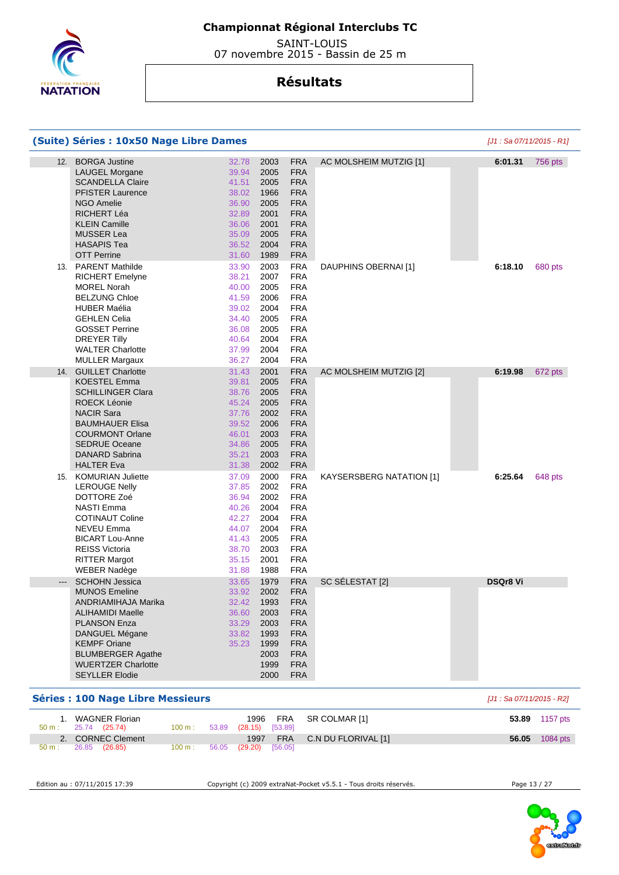

 SAINT-LOUIS 07 novembre 2015 - Bassin de 25 m

## **Résultats**

|                     | (Suite) Séries : 10x50 Nage Libre Dames                                                                                                                                                                                                           |                                                                                        |                                                                              |                                                                                                                                          |                                 |                 | [J1 : Sa 07/11/2015 - R1] |
|---------------------|---------------------------------------------------------------------------------------------------------------------------------------------------------------------------------------------------------------------------------------------------|----------------------------------------------------------------------------------------|------------------------------------------------------------------------------|------------------------------------------------------------------------------------------------------------------------------------------|---------------------------------|-----------------|---------------------------|
| 12.                 | <b>BORGA Justine</b><br><b>LAUGEL Morgane</b><br><b>SCANDELLA Claire</b><br><b>PFISTER Laurence</b><br><b>NGO Amelie</b><br>RICHERT Léa<br><b>KLEIN Camille</b><br><b>MUSSER Lea</b><br><b>HASAPIS Tea</b><br><b>OTT Perrine</b>                  | 32.78<br>39.94<br>41.51<br>38.02<br>36.90<br>32.89<br>36.06<br>35.09<br>36.52<br>31.60 | 2003<br>2005<br>2005<br>1966<br>2005<br>2001<br>2001<br>2005<br>2004<br>1989 | <b>FRA</b><br><b>FRA</b><br><b>FRA</b><br><b>FRA</b><br><b>FRA</b><br><b>FRA</b><br><b>FRA</b><br><b>FRA</b><br><b>FRA</b><br><b>FRA</b> | AC MOLSHEIM MUTZIG [1]          | 6:01.31         | <b>756 pts</b>            |
|                     | 13. PARENT Mathilde<br><b>RICHERT Emelyne</b><br><b>MOREL Norah</b><br><b>BELZUNG Chloe</b><br><b>HUBER Maélia</b><br><b>GEHLEN Celia</b><br><b>GOSSET Perrine</b><br>DREYER Tilly<br><b>WALTER Charlotte</b><br><b>MULLER Margaux</b>            | 33.90<br>38.21<br>40.00<br>41.59<br>39.02<br>34.40<br>36.08<br>40.64<br>37.99<br>36.27 | 2003<br>2007<br>2005<br>2006<br>2004<br>2005<br>2005<br>2004<br>2004<br>2004 | <b>FRA</b><br><b>FRA</b><br><b>FRA</b><br><b>FRA</b><br><b>FRA</b><br><b>FRA</b><br><b>FRA</b><br><b>FRA</b><br><b>FRA</b><br><b>FRA</b> | DAUPHINS OBERNAI [1]            | 6:18.10         | 680 pts                   |
| 14.                 | <b>GUILLET Charlotte</b><br><b>KOESTEL Emma</b><br><b>SCHILLINGER Clara</b><br><b>ROECK Léonie</b><br><b>NACIR Sara</b><br><b>BAUMHAUER Elisa</b><br><b>COURMONT Orlane</b><br><b>SEDRUE Oceane</b><br>DANARD Sabrina<br><b>HALTER Eva</b>        | 31.43<br>39.81<br>38.76<br>45.24<br>37.76<br>39.52<br>46.01<br>34.86<br>35.21<br>31.38 | 2001<br>2005<br>2005<br>2005<br>2002<br>2006<br>2003<br>2005<br>2003<br>2002 | <b>FRA</b><br><b>FRA</b><br><b>FRA</b><br><b>FRA</b><br><b>FRA</b><br><b>FRA</b><br><b>FRA</b><br><b>FRA</b><br><b>FRA</b><br><b>FRA</b> | AC MOLSHEIM MUTZIG [2]          | 6:19.98         | 672 pts                   |
| 15.                 | <b>KOMURIAN Juliette</b><br><b>LEROUGE Nelly</b><br>DOTTORE Zoé<br><b>NASTI Emma</b><br><b>COTINAUT Coline</b><br>NEVEU Emma<br><b>BICART Lou-Anne</b><br><b>REISS Victoria</b><br><b>RITTER Margot</b><br><b>WEBER Nadège</b>                    | 37.09<br>37.85<br>36.94<br>40.26<br>42.27<br>44.07<br>41.43<br>38.70<br>35.15<br>31.88 | 2000<br>2002<br>2002<br>2004<br>2004<br>2004<br>2005<br>2003<br>2001<br>1988 | <b>FRA</b><br><b>FRA</b><br><b>FRA</b><br><b>FRA</b><br><b>FRA</b><br><b>FRA</b><br><b>FRA</b><br><b>FRA</b><br><b>FRA</b><br><b>FRA</b> | <b>KAYSERSBERG NATATION [1]</b> | 6:25.64         | 648 pts                   |
| $\qquad \qquad - -$ | <b>SCHOHN Jessica</b><br><b>MUNOS Emeline</b><br>ANDRIAMIHAJA Marika<br><b>ALIHAMIDI Maelle</b><br><b>PLANSON Enza</b><br>DANGUEL Mégane<br><b>KEMPF Oriane</b><br><b>BLUMBERGER Agathe</b><br><b>WUERTZER Charlotte</b><br><b>SEYLLER Elodie</b> | 33.65<br>33.92<br>32.42<br>36.60<br>33.29<br>33.82<br>35.23                            | 1979<br>2002<br>1993<br>2003<br>2003<br>1993<br>1999<br>2003<br>1999<br>2000 | <b>FRA</b><br><b>FRA</b><br><b>FRA</b><br><b>FRA</b><br><b>FRA</b><br><b>FRA</b><br><b>FRA</b><br><b>FRA</b><br><b>FRA</b><br><b>FRA</b> | SC SÉLESTAT [2]                 | <b>DSQr8 Vi</b> |                           |

#### **Séries : 100 Nage Libre Messieurs Séries : 100 Nage Libre Messieurs Exercía de Libre Messieurs Exercía de Libre Messieurs Exercía de Libre Messieurs Exercía de Libre Messieurs Exercía de Libre Messieurs Exer**

|                  | WAGNER Florian<br>$50 \text{ m}: 25.74 (25.74)$ | 100 m : l         | 53.89 (28.15) [53.89] | 1996 FRA SR COLMAR [1]       | 53.89 1157 pts        |
|------------------|-------------------------------------------------|-------------------|-----------------------|------------------------------|-----------------------|
|                  | 2. CORNEC Clement                               |                   |                       | 1997 FRA C.N DU FLORIVAL [1] | <b>56.05</b> 1084 pts |
| $50 \text{ m}$ : | 26.85 (26.85)                                   | $100 \text{ m}$ : | 56.05 (29.20) [56.05] |                              |                       |

Edition au : 07/11/2015 17:39 Copyright (c) 2009 extraNat-Pocket v5.5.1 - Tous droits réservés. Page 13 / 27

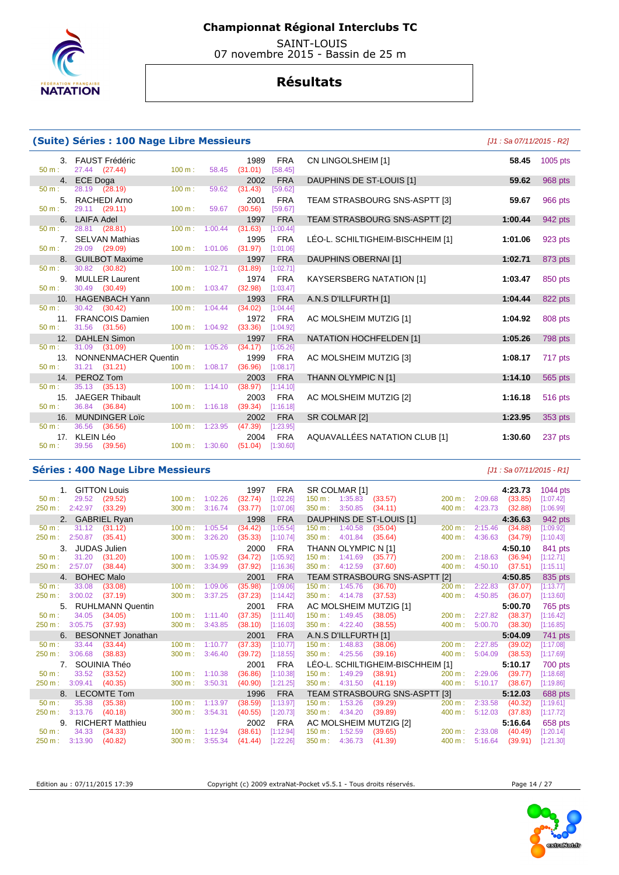

 SAINT-LOUIS 07 novembre 2015 - Bassin de 25 m

## **Résultats**

#### **(Suite) Séries : 100 Nage Libre Messieurs (Suite)**  $[J1: Sa 07/11/2015 - R2]$

| 50 m:            | 3. FAUST Frédéric<br>27.44 (27.44) |                             | $100 \text{ m}: 58.45$      | 1989 FRA<br>$(31.01)$ [58.45] |
|------------------|------------------------------------|-----------------------------|-----------------------------|-------------------------------|
| 4.               | ECE Doga                           |                             |                             | 2002 FRA                      |
| 50 m:            | 28.19 (28.19)                      | $100 \text{ m}$ :           | 59.62                       | (31.43)<br>[59.62]            |
|                  | 5. RACHEDI Arno                    |                             |                             | 2001 FRA                      |
|                  | $50 \text{ m}: 29.11 (29.11)$      | $100 \text{ m}$ :           | 59.67                       | $(30.56)$ [59.67]             |
| 6.               | <b>LAIFA Adel</b>                  |                             |                             | 1997 FRA                      |
| $50 \text{ m}$ : | 28.81 (28.81)                      | $100 \text{ m}$ :           | 1:00.44                     | $(31.63)$ [1:00.44]           |
| 7.               | <b>SELVAN Mathias</b>              |                             |                             | 1995 FRA                      |
| $50 \text{ m}$ : | 29.09 (29.09)                      |                             | 100 m: 1:01.06              | $(31.97)$ [1:01.06]           |
| 8.               | <b>GUILBOT Maxime</b>              |                             |                             | 1997 FRA                      |
| 50 m:            | 30.82 (30.82)                      | $100 \text{ m}$ :           | 1:02.71                     | $(31.89)$ [1:02.71]           |
| 9.               | <b>MULLER Laurent</b>              |                             |                             | 1974 FRA                      |
| 50 m:            | 30.49 (30.49)                      |                             | $100 \text{ m}: 1:03.47$    | $(32.98)$ [1:03.47]           |
|                  | 10. HAGENBACH Yann                 |                             |                             | 1993 FRA                      |
|                  | $50 \text{ m}: 30.42 (30.42)$      | $100 \text{ m}$ : $1:04.44$ |                             | $(34.02)$ [1:04.44]           |
| 11.              | <b>FRANCOIS Damien</b>             |                             |                             | 1972 FRA                      |
|                  | $50 \text{ m}: 31.56 (31.56)$      |                             | $100 \text{ m}$ : $1:04.92$ | $(33.36)$ [1:04.92]           |
|                  | 12. DAHLEN Simon                   |                             |                             | 1997 FRA                      |
| 50 m:            | 31.09 (31.09)                      | 100 m : 1:05.26             |                             | $(34.17)$ [1:05.26]           |
| 13.              | NONNENMACHER Quentin               |                             |                             | 1999 FRA                      |
| 50 m:            | 31.21 (31.21) 100 m: 1:08.17       |                             |                             | $(36.96)$ [1:08.17]           |
|                  | 14. PEROZ Tom                      |                             |                             | 2003 FRA                      |
| 50 m:            | 35.13 (35.13)                      | $100 \text{ m}$ :           | 1:14.10                     | $(38.97)$ [1:14.10]           |
| 15.              | <b>JAEGER Thibault</b>             |                             |                             | 2003 FRA                      |
|                  | $50 \text{ m}: 36.84 (36.84)$      | $100 \text{ m}$ :           | 1:16.18                     | $(39.34)$ [1:16.18]           |
|                  | 16. MUNDINGER Loïc                 |                             |                             | 2002 FRA                      |
| $50 \text{ m}$ : | 36.56 (36.56)                      |                             | $100 \text{ m}: 1:23.95$    | $(47.39)$ [1:23.95]           |
| 17 <sub>1</sub>  | KLEIN Léo                          |                             |                             | 2004 FRA                      |
| 50 m:            | 39.56 (39.56)                      | $100 \text{ m}$ :           | 1:30.60                     | (51.04)<br>[1:30.60]          |
|                  |                                    |                             |                             |                               |

|                | <u>sy senies i ave nage alsi e nessiem s</u> |                           |                             |                 |                         |                                   |         |            |
|----------------|----------------------------------------------|---------------------------|-----------------------------|-----------------|-------------------------|-----------------------------------|---------|------------|
|                | 3. FAUST Frédéric<br>27.44 (27.44)           | $100 \text{ m}$ :         | 58.45                       | 1989<br>(31.01) | <b>FRA</b><br>[58.45]   | CN LINGOLSHEIM [1]                | 58.45   | $1005$ pts |
|                | 4. ECE Doga                                  |                           |                             | 2002            | <b>FRA</b>              | DAUPHINS DE ST-LOUIS [1]          | 59.62   | 968 pts    |
|                | 28.19 (28.19)                                | $100 \text{ m}$ :         | 59.62                       | (31.43)         | [59.62]                 |                                   |         |            |
|                | 5. RACHEDI Arno                              |                           |                             | 2001            | <b>FRA</b>              | TEAM STRASBOURG SNS-ASPTT [3]     | 59.67   | 966 pts    |
|                | 29.11 (29.11)                                | 100 m:                    | 59.67                       | (30.56)         | [59.67]                 |                                   |         |            |
|                | 6. LAIFA Adel                                |                           |                             | 1997            | <b>FRA</b>              | TEAM STRASBOURG SNS-ASPTT [2]     | 1:00.44 | 942 pts    |
|                | 28.81 (28.81)                                |                           | $100 \text{ m}$ : $1:00.44$ | (31.63)         | [1:00.44]               |                                   |         |            |
| 7 <sup>1</sup> | <b>SELVAN Mathias</b><br>29.09 (29.09)       |                           | $100 \text{ m}$ : $1:01.06$ | 1995<br>(31.97) | <b>FRA</b><br>[1:01.06] | LÉO-L. SCHILTIGHEIM-BISCHHEIM [1] | 1:01.06 | 923 pts    |
|                | 8. GUILBOT Maxime                            |                           |                             | 1997            | <b>FRA</b>              | DAUPHINS OBERNAI [1]              | 1:02.71 | 873 pts    |
|                | 30.82 (30.82)                                |                           | 100 m: 1:02.71              | (31.89)         | [1:02.71]               |                                   |         |            |
|                | 9. MULLER Laurent                            |                           |                             | 1974            | <b>FRA</b>              | <b>KAYSERSBERG NATATION [1]</b>   | 1:03.47 | 850 pts    |
|                | 30.49 (30.49)                                |                           | $100 \text{ m}$ : $1:03.47$ | (32.98)         | [1:03.47]               |                                   |         |            |
|                | 10. HAGENBACH Yann                           |                           |                             | 1993            | <b>FRA</b>              | A.N.S D'ILLFURTH [1]              | 1:04.44 | 822 pts    |
|                | 30.42 (30.42)                                |                           | $100 \text{ m}$ : $1:04.44$ | (34.02)         | [1:04.44]               |                                   |         |            |
|                | 11. FRANCOIS Damien                          |                           |                             | 1972            | FRA                     | AC MOLSHEIM MUTZIG [1]            | 1:04.92 | 808 pts    |
|                | 31.56 (31.56)                                | 100 m: 1:04.92            |                             | (33.36)         | [1:04.92]               |                                   |         |            |
| 12.            | <b>DAHLEN Simon</b>                          |                           |                             | 1997            | <b>FRA</b>              | NATATION HOCHFELDEN [1]           | 1:05.26 | 798 pts    |
|                | 31.09 (31.09)                                | $100 \text{ m}$ : 1:05.26 |                             | (34.17)         | [1:05.26]               |                                   |         |            |
| 13.            | NONNENMACHER Quentin                         |                           |                             | 1999            | <b>FRA</b>              | AC MOLSHEIM MUTZIG [3]            | 1:08.17 | 717 pts    |
|                | $31.21$ $(31.21)$                            |                           | $100 m$ : 1:08.17           | (36.96)         | [1:08.17]               |                                   |         |            |
| ÷              | 14. PEROZ Tom<br>35.13 (35.13)               | $100 \text{ m}: 1:14.10$  |                             | 2003<br>(38.97) | <b>FRA</b><br>[1:14.10] | THANN OLYMPIC N [1]               | 1:14.10 | 565 pts    |
| 15.            | <b>JAEGER Thibault</b>                       |                           |                             | 2003            | <b>FRA</b>              | AC MOLSHEIM MUTZIG [2]            | 1:16.18 | 516 pts    |
| ÷              | 36.84 (36.84)                                |                           | $100 \text{ m}: 1:16.18$    | (39.34)         | [1:16.18]               |                                   |         |            |
|                | 16. MUNDINGER Loïc                           |                           |                             | 2002            | <b>FRA</b>              | SR COLMAR [2]                     | 1:23.95 | 353 pts    |
|                | 36.56 (36.56)                                | $100 \text{ m}$ : 1:23.95 |                             | (47.39)         | [1:23.95]               |                                   |         |            |
|                | 17. KLEIN Léo                                |                           |                             | 2004            | FRA                     | AQUAVALLÉES NATATION CLUB [1]     | 1:30.60 | 237 pts    |

#### **Séries : 400 Nage Libre Messieurs** [J1 : Sa 07/11/2015 - R1]

| 1. GITTON Louis                           |                              | <b>FRA</b><br>1997   | SR COLMAR [1]                                     | 4:23.73                         | 1044 pts  |
|-------------------------------------------|------------------------------|----------------------|---------------------------------------------------|---------------------------------|-----------|
| 29.52<br>(29.52)<br>$50 m$ :              | $100 \text{ m}$ :<br>1:02.26 | [1:02.26]<br>(32.74) | 150 m: 1:35.83<br>(33.57)<br>200 m:               | 2:09.68<br>(33.85)              | [1:07.42] |
| 2:42.97<br>(33.29)<br>250 m:              | 3:16.74<br>300 m:            | (33.77)<br>[1:07.06] | 350 m: 3:50.85<br>(34.11)<br>400 m:               | 4:23.73<br>(32.88)              | [1:06.99] |
| 2. GABRIEL Ryan                           |                              | <b>FRA</b><br>1998   | DAUPHINS DE ST-LOUIS [1]                          | 4:36.63                         | 942 pts   |
| 31.12<br>(31.12)<br>$50 m$ :              | 1:05.54<br>100 m:            | [1:05.54]<br>(34.42) | 1:40.58<br>$150 m$ :<br>(35.04)<br>200 m:         | 2:15.46<br>(34.88)              | [1:09.92] |
| 2:50.87<br>250 m:<br>(35.41)              | 3:26.20<br>300 m:            | (35.33)<br>[1:10.74] | 350 m:<br>4:01.84<br>(35.64)<br>400 m:            | 4:36.63<br>[1:10.43]<br>(34.79) |           |
| $\mathbf{3}$<br>JUDAS Julien              |                              | <b>FRA</b><br>2000   | THANN OLYMPIC N [1]                               | 4:50.10                         | 841 pts   |
| 31.20<br>(31.20)<br>$50 m$ :              | 1:05.92<br>100 m:            | (34.72)<br>[1:05.92] | $150 \text{ m}$ : 1:41.69<br>(35.77)<br>200 m:    | 2:18.63<br>(36.94)              | [1:12.71] |
| 2:57.07<br>250 m:<br>(38.44)              | 300 m:<br>3:34.99            | (37.92)<br>[1:16.36] | 350 m:<br>4:12.59<br>(37.60)<br>400 m:            | 4:50.10<br>(37.51)<br>[1:15.11] |           |
| 4. BOHEC Malo                             |                              | <b>FRA</b><br>2001   | TEAM STRASBOURG SNS-ASPTT [2]                     | 4:50.85                         | 835 pts   |
| (33.08)<br>33.08<br>$50 m$ :              | 1:09.06<br>100 m:            | (35.98)<br>[1:09.06] | 150 m: 1:45.76<br>(36.70)<br>200 m:               | 2:22.83<br>(37.07)              | [1:13.77] |
| 3:00.02<br>(37.19)<br>$250 m$ :           | 3:37.25<br>300 m:            | (37.23)<br>[1:14.42] | 350 m:<br>4:14.78<br>(37.53)<br>400 m:            | 4:50.85<br>(36.07)              | [1:13.60] |
| <b>RUHLMANN Quentin</b><br>5 <sub>1</sub> |                              | <b>FRA</b><br>2001   | AC MOLSHEIM MUTZIG [1]                            | 5:00.70                         | 765 pts   |
| 34.05<br>(34.05)<br>$50 m$ :              | 1:11.40<br>$100 m$ :         | (37.35)<br>[1:11.40] | 150 m: 1:49.45<br>(38.05)<br>$200 \text{ m}$ :    | 2:27.82<br>(38.37)              | [1:16.42] |
| 3:05.75<br>(37.93)<br>$250 m$ :           | 3:43.85<br>300 m:            | (38.10)<br>[1:16.03] | 350 m:<br>4:22.40<br>(38.55)<br>400 m:            | 5:00.70<br>(38.30)              | [1:16.85] |
| <b>BESONNET Jonathan</b>                  |                              | <b>FRA</b><br>2001   | A.N.S D'ILLFURTH [1]                              | 5:04.09                         | 741 pts   |
| 33.44<br>(33.44)<br>$50 m$ :              | 1:10.77<br>100 m:            | (37.33)<br>[1:10.77] | $150 \text{ m}$ : 1:48.83<br>(38.06)<br>200 m:    | 2:27.85<br>(39.02)              | [1:17.08] |
| 3:06.68<br>(38.83)<br>250 m:              | 3:46.40<br>300 m:            | (39.72)<br>[1:18.55] | 350 m:<br>4:25.56<br>(39.16)<br>400 m:            | 5:04.09<br>(38.53)              | [1:17.69] |
| 7. SOUINIA Théo                           |                              | <b>FRA</b><br>2001   | LÉO-L. SCHILTIGHEIM-BISCHHEIM [1]                 | 5:10.17                         | 700 pts   |
| 33.52<br>(33.52)<br>$50 m$ :              | $100 \text{ m}$ :<br>1:10.38 | (36.86)<br>[1:10.38] | $150 \text{ m}$ : 1:49.29<br>(38.91)<br>200 m:    | 2:29.06<br>(39.77)              | [1:18.68] |
| 3:09.41<br>(40.35)<br>250 m:              | 3:50.31<br>300 m:            | (40.90)<br>[1:21.25] | 350 m:<br>4:31.50<br>400 m:<br>(41.19)            | 5:10.17<br>(38.67)              | [1:19.86] |
| LECOMTE Tom<br>8.                         |                              | 1996<br><b>FRA</b>   | TEAM STRASBOURG SNS-ASPTT [3]                     | 5:12.03                         | 688 pts   |
| 35.38<br>(35.38)<br>$50 m$ :              | 1:13.97<br>100 m:            | (38.59)<br>[1:13.97] | $150 \text{ m}$ :<br>1:53.26<br>(39.29)<br>200 m: | 2:33.58<br>(40.32)              | [1:19.61] |
| 3:13.76<br>250 m:<br>(40.18)              | 300 m:<br>3:54.31            | (40.55)<br>[1:20.73] | 400 m:<br>350 m:<br>4:34.20<br>(39.89)            | 5:12.03<br>(37.83)              | [1:17.72] |
| <b>RICHERT Matthieu</b><br>9.             |                              | <b>FRA</b><br>2002   | AC MOLSHEIM MUTZIG [2]                            | 5:16.64                         | 658 pts   |
| 34.33<br>(34.33)<br>$50 m$ :              | 100 m:<br>1:12.94            | (38.61)<br>[1:12.94] | 150 m:<br>1:52.59<br>(39.65)<br>200 m:            | 2:33.08<br>(40.49)<br>[1:20.14] |           |
| 250 m:<br>3:13.90<br>(40.82)              | 300 m:<br>3:55.34            | (41.44)<br>[1:22.26] | 350 m:<br>4:36.73<br>400 m:<br>(41.39)            | 5:16.64<br>[1:21.30]<br>(39.91) |           |

Edition au : 07/11/2015 17:39 Copyright (c) 2009 extraNat-Pocket v5.5.1 - Tous droits réservés. Page 14 / 27

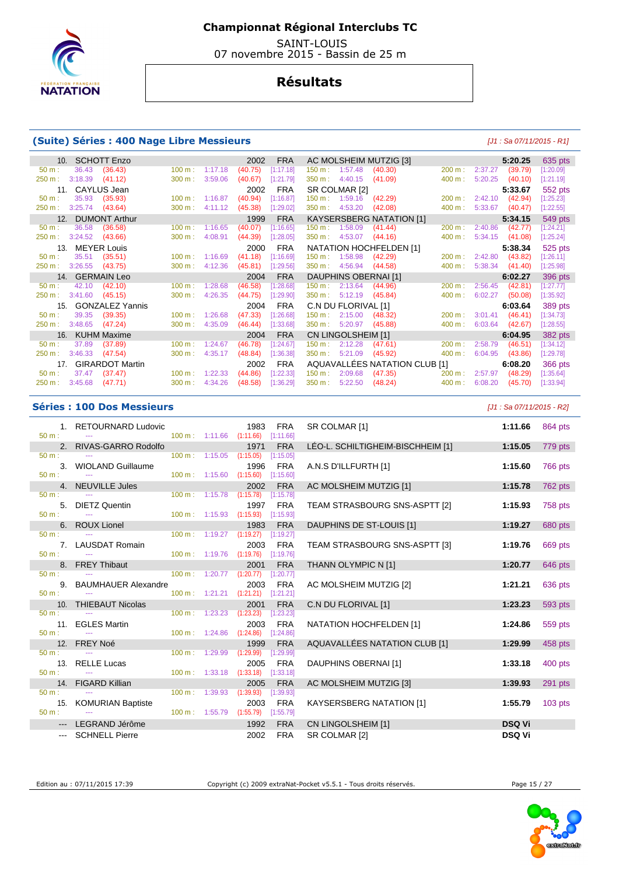

 SAINT-LOUIS 07 novembre 2015 - Bassin de 25 m

## **Résultats**

#### **(Suite) Séries : 400 Nage Libre Messieurs (Suite) Séries : 400 Nage Libre Messieurs (J1 : Sa 07/11/2015 - R1]**

| 10. SCHOTT Enzo                           |                   | 2002<br><b>FRA</b>   | AC MOLSHEIM MUTZIG [3]                  |                   | 5:20.25            | 635 pts     |
|-------------------------------------------|-------------------|----------------------|-----------------------------------------|-------------------|--------------------|-------------|
| 36.43<br>(36.43)<br>$50 m$ :              | 100 m:<br>1:17.18 | (40.75)<br>[1:17.18] | $150 \text{ m}$ : 1:57.48<br>(40.30)    | 200 m:            | 2:37.27<br>(39.79) | [1:20.09]   |
| 3:18.39<br>250 m:<br>(41.12)              | 300 m:<br>3:59.06 | (40.67)<br>[1:21.79] | $350 \text{ m}: 4:40.15$<br>(41.09)     | 400 m:            | 5:20.25<br>(40.10) | [1:21.19]   |
| CAYLUS Jean<br>11.                        |                   | <b>FRA</b><br>2002   | SR COLMAR [2]                           |                   | 5:33.67            | 552 pts     |
| 35.93<br>(35.93)<br>$50 m$ :              | 1:16.87<br>100 m: | (40.94)<br>[1:16.87] | 150 m: 1:59.16<br>(42.29)               | $200 \text{ m}$ : | 2:42.10<br>(42.94) | [1:25.23]   |
| 3:25.74<br>(43.64)<br>250 m:              | 300 m:<br>4:11.12 | (45.38)<br>[1:29.02] | $350 \text{ m}$ :<br>4:53.20<br>(42.08) | 400 m:            | 5:33.67<br>(40.47) | [1:22.55]   |
| <b>DUMONT Arthur</b><br>12.               |                   | <b>FRA</b><br>1999   | <b>KAYSERSBERG NATATION [1]</b>         |                   | 5:34.15            | 549 pts     |
| 36.58<br>(36.58)<br>$50 m$ :              | 100 m:<br>1:16.65 | (40.07)<br>[1:16.65] | $150 \text{ m}$ :<br>1:58.09<br>(41.44) | 200 m:            | 2:40.86<br>(42.77) | [1:24.21]   |
| 250 m:<br>3:24.52<br>(43.66)              | 4:08.91<br>300 m: | (44.39)<br>[1:28.05] | 350 m:<br>4:53.07<br>(44.16)            | 400 m:            | 5:34.15<br>(41.08) | [1:25.24]   |
| <b>MEYER Louis</b><br>13.                 |                   | <b>FRA</b><br>2000   | NATATION HOCHFELDEN [1]                 |                   | 5:38.34            | 525 pts     |
| 35.51<br>(35.51)<br>$50 m$ :              | 1:16.69<br>100 m: | (41.18)<br>[1:16.69] | 150 m: 1:58.98<br>(42.29)               | 200 m:            | 2:42.80<br>(43.82) | [1:26.11]   |
| 3:26.55<br>250 m:<br>(43.75)              | 4:12.36<br>300 m: | (45.81)<br>[1:29.56] | 350 m:<br>4:56.94<br>(44.58)            | 400 m:            | 5:38.34<br>(41.40) | [1:25.98]   |
|                                           |                   |                      |                                         |                   |                    |             |
| 14. GERMAIN Leo                           |                   | <b>FRA</b><br>2004   | DAUPHINS OBERNAI [1]                    |                   | 6:02.27            | 396 pts     |
| (42.10)<br>42.10<br>$50 m$ :              | 1:28.68<br>100 m: | (46.58)<br>[1:28.68] | 2:13.64<br>150 m:<br>(44.96)            | 200 m:            | 2:56.45<br>(42.81) | [1:27.77]   |
| 3:41.60<br>250 m:<br>(45.15)              | 4:26.35<br>300 m: | (44.75)<br>[1:29.90] | 5:12.19<br>$350 \text{ m}$ :<br>(45.84) | 400 m:            | 6:02.27<br>(50.08) | [1:35.92]   |
| 15. GONZALEZ Yannis                       |                   | <b>FRA</b><br>2004   | C.N DU FLORIVAL [1]                     |                   | 6:03.64            | 389 pts     |
| (39.35)<br>39.35<br>$50 m$ :              | 100 m:<br>1:26.68 | (47.33)<br>[1:26.68] | 2:15.00<br>150 m :<br>(48.32)           | $200 \text{ m}$ : | 3:01.41<br>(46.41) | [1:34.73]   |
| 3:48.65<br>(47.24)<br>250 m:              | 4:35.09<br>300 m: | (46.44)<br>[1:33.68] | 5:20.97<br>(45.88)<br>$350 \text{ m}$ : | 400 m:            | 6:03.64<br>(42.67) | $[1:28.55]$ |
| KUHM Maxime<br>16.                        |                   | <b>FRA</b><br>2004   | CN LINGOLSHEIM [1]                      |                   | 6:04.95            | 382 pts     |
| (37.89)<br>37.89<br>$50 m$ :              | 1:24.67<br>100 m: | (46.78)<br>[1:24.67] | 150 m: 2:12.28<br>(47.61)               | $200 \text{ m}$ : | 2:58.79<br>(46.51) | [1:34.12]   |
| 3:46.33<br>(47.54)<br>250 m:              | 4:35.17<br>300 m: | (48.84)<br>[1:36.38] | 5:21.09<br>$350 \text{ m}$ :<br>(45.92) | $400 \text{ m}$ : | 6:04.95<br>(43.86) | [1:29.78]   |
| <b>GIRARDOT Martin</b><br>17 <sub>1</sub> |                   | <b>FRA</b><br>2002   | AQUAVALLÉES NATATION CLUB [1]           |                   | 6:08.20            | 366 pts     |
| 37.47<br>(37.47)<br>$50 m$ :              | 100 m:<br>1:22.33 | (44.86)<br>[1:22.33] | 2:09.68<br>(47.35)<br>$150 \text{ m}$ : | $200 \text{ m}$ : | 2:57.97<br>(48.29) | [1:35.64]   |
| 3:45.68<br>(47.71)<br>250 m:              | 4:34.26<br>300 m: | (48.58)<br>[1:36.29] | 350 m:<br>(48.24)<br>5:22.50            | 400 m:            | 6:08.20<br>(45.70) | [1:33.94]   |

#### **Séries : 100 Dos Messieurs** [J1 : Sa 07/11/2015 - R2]

|          | 1. RETOURNARD Ludovic  |                           |                                    | 1983              | <b>FRA</b>              | SR COLMAR [1]                     | 1:11.66       | 864 pts   |
|----------|------------------------|---------------------------|------------------------------------|-------------------|-------------------------|-----------------------------------|---------------|-----------|
| $50 m$ : |                        |                           | 100 m: 1:11.66                     | (1:11.66)         | [1:11.66]               |                                   |               |           |
|          | 2. RIVAS-GARRO Rodolfo |                           |                                    | 1971              | <b>FRA</b>              | LÉO-L. SCHILTIGHEIM-BISCHHEIM [1] | 1:15.05       | 779 pts   |
| $50 m$ : |                        | 100 m: 1:15.05            |                                    | (1:15.05)         | [1:15.05]               |                                   |               |           |
|          | 3. WIOLAND Guillaume   |                           |                                    | 1996              | <b>FRA</b>              | A.N.S D'ILLFURTH [1]              | 1:15.60       | 766 pts   |
| $50 m$ : | $\sim$ $\sim$          |                           | $100 \text{ m}: 1:15.60 (1:15.60)$ |                   | [1:15.60]               |                                   |               |           |
|          | 4. NEUVILLE Jules      |                           |                                    | 2002              | <b>FRA</b>              | AC MOLSHEIM MUTZIG [1]            | 1:15.78       | 762 pts   |
| $50 m$ : |                        | 100 m: 1:15.78            |                                    | (1:15.78)         | [1:15.78]               |                                   |               |           |
|          | 5. DIETZ Quentin       |                           |                                    | 1997              | <b>FRA</b>              | TEAM STRASBOURG SNS-ASPTT [2]     | 1:15.93       | 758 pts   |
| $50 m$ : | $\sim$                 | 100 m: 1:15.93            |                                    | (1:15.93)         | [1:15.93]               |                                   |               |           |
| 50 m:    | 6. ROUX Lionel         | $100 \text{ m}: 1:19.27$  |                                    | 1983<br>(1:19.27) | <b>FRA</b><br>[1:19.27] | DAUPHINS DE ST-LOUIS [1]          | 1:19.27       | 680 pts   |
|          |                        |                           |                                    |                   |                         |                                   |               |           |
| $50 m$ : | 7. LAUSDAT Romain      | 100 m: 1:19.76            |                                    | 2003<br>(1:19.76) | <b>FRA</b><br>[1:19.76] | TEAM STRASBOURG SNS-ASPTT [3]     | 1:19.76       | 669 pts   |
|          |                        |                           |                                    |                   |                         |                                   |               |           |
| $50 m$ : | 8. FREY Thibaut        | $100 m$ : 1:20.77         |                                    | 2001<br>(1:20.77) | <b>FRA</b><br>[1:20.77] | THANN OLYMPIC N [1]               | 1:20.77       | 646 pts   |
|          | 9. BAUMHAUER Alexandre |                           |                                    | 2003              | <b>FRA</b>              | AC MOLSHEIM MUTZIG [2]            | 1:21.21       | 636 pts   |
| $50 m$ : |                        | $100 m$ : 1:21.21         |                                    | (1:21.21)         | [1:21.21]               |                                   |               |           |
|          | 10. THIEBAUT Nicolas   |                           |                                    | 2001              | <b>FRA</b>              | C.N DU FLORIVAL [1]               | 1:23.23       | 593 pts   |
| 50 m:    | $\sim$                 | $100 m$ : 1:23.23         |                                    | (1:23.23)         | [1:23.23]               |                                   |               |           |
|          | 11. EGLES Martin       |                           |                                    | 2003              | <b>FRA</b>              | NATATION HOCHFELDEN [1]           | 1:24.86       | 559 pts   |
| $50 m$ : |                        | $100 \text{ m}: 1:24.86$  |                                    | (1:24.86)         | [1:24.86]               |                                   |               |           |
|          | 12. FREY Noé           |                           |                                    | 1999              | <b>FRA</b>              | AQUAVALLÉES NATATION CLUB [1]     | 1:29.99       | 458 pts   |
| $50 m$ : |                        | $100 \text{ m}$ : 1:29.99 |                                    | (1:29.99)         | [1:29.99]               |                                   |               |           |
|          | 13. RELLE Lucas        |                           |                                    | 2005              | <b>FRA</b>              | DAUPHINS OBERNAI [1]              | 1:33.18       | 400 pts   |
| $50 m$ : | $\sim$ $\sim$          | 100 m: 1:33.18            |                                    | (1:33.18)         | [1:33.18]               |                                   |               |           |
|          | 14. FIGARD Killian     |                           |                                    | 2005              | <b>FRA</b>              | AC MOLSHEIM MUTZIG [3]            | 1:39.93       | 291 pts   |
| 50 m:    |                        | 100 m: 1:39.93            |                                    | (1:39.93)         | [1:39.93]               |                                   |               |           |
|          | 15. KOMURIAN Baptiste  |                           |                                    | 2003              | <b>FRA</b>              | <b>KAYSERSBERG NATATION [1]</b>   | 1:55.79       | $103$ pts |
| $50 m$ : |                        | 100 m: 1:55.79            |                                    | (1:55.79)         | [1:55.79]               |                                   |               |           |
|          | LEGRAND Jérôme         |                           |                                    | 1992              | <b>FRA</b>              | CN LINGOLSHEIM [1]                | <b>DSQ Vi</b> |           |
|          | --- SCHNELL Pierre     |                           |                                    | 2002              | <b>FRA</b>              | SR COLMAR [2]                     | <b>DSQ Vi</b> |           |
|          |                        |                           |                                    |                   |                         |                                   |               |           |

| Edition au : 07/11/2015 17:39 |  |  |  |
|-------------------------------|--|--|--|
|                               |  |  |  |

Copyright (c) 2009 extraNat-Pocket v5.5.1 - Tous droits réservés. Page 15 / 27



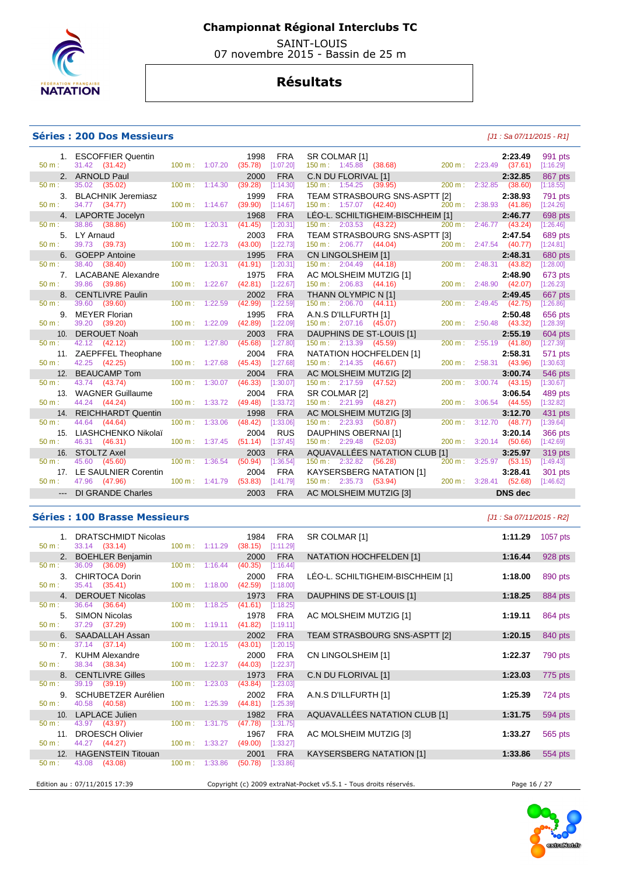

 SAINT-LOUIS 07 novembre 2015 - Bassin de 25 m

## **Résultats**

#### **Séries : 200 Dos Messieurs and the series of the series of the series of the series of the series of the series of the series of the series of the series of the series of the series of the series of the series of the se**

|          | 1. ESCOFFIER Quentin    |                                  | 1998    | <b>FRA</b> | SR COLMAR [1]                            |                                                   |        |                                  | 2:23.49        | 991 pts        |
|----------|-------------------------|----------------------------------|---------|------------|------------------------------------------|---------------------------------------------------|--------|----------------------------------|----------------|----------------|
| $50 m$ : | 31.42 (31.42)           | $100 m$ : $1:07.20$              | (35.78) | [1:07.20]  |                                          | 150 m : 1:45.88 (38.68) 200 m : 2:23.49 (37.61)   |        |                                  |                | [1:16.29]      |
|          | 2. ARNOLD Paul          |                                  | 2000    | <b>FRA</b> |                                          | C.N DU FLORIVAL [1]                               |        |                                  | 2:32.85        | 867 pts        |
| 50 m:    | 35.02 (35.02)           | 100 m: 1:14.30                   | (39.28) | [1:14.30]  |                                          | $150 \text{ m}: 1:54.25 (39.95)$                  |        | 200 m: 2:32.85 (38.60)           |                | [1:18.55]      |
|          | 3. BLACHNIK Jeremiasz   |                                  | 1999    | <b>FRA</b> |                                          | TEAM STRASBOURG SNS-ASPTT [2]                     |        |                                  | 2:38.93        | 791 pts        |
| $50 m$ : | 34.77 (34.77)           | $100 m$ : 1:14.67                | (39.90) | [1:14.67]  | 150 m: 1:57.07 (42.40)                   |                                                   |        | 200 m: 2:38.93 (41.86)           |                | [1:24.26]      |
|          | 4. LAPORTE Jocelyn      |                                  | 1968    | <b>FRA</b> |                                          | LÉO-L. SCHILTIGHEIM-BISCHHEIM [1]                 |        |                                  | 2:46.77        | 698 pts        |
| 50 m:    | 38.86 (38.86)           | 100 m: 1:20.31                   | (41.45) | [1:20.31]  | 150 m : 2:03.53 (43.22)                  |                                                   |        | 200 m: 2:46.77 (43.24)           |                | [1:26.46]      |
|          | 5. LY Arnaud            |                                  | 2003    | <b>FRA</b> |                                          | TEAM STRASBOURG SNS-ASPTT [3]                     |        |                                  | 2:47.54        | 689 pts        |
| 50 m:    | 39.73 (39.73)           | $100 \text{ m}: 1:22.73$ (43.00) |         | [1:22.73]  | $150 \text{ m}: 2:06.77$ (44.04)         |                                                   |        | 200 m: 2:47.54 (40.77)           |                | [1:24.81]      |
|          | 6. GOEPP Antoine        |                                  | 1995    | <b>FRA</b> |                                          | CN LINGOLSHEIM [1]<br>150 m : 2:04.49 (44.18) 200 |        |                                  | 2:48.31        | 680 pts        |
| $50 m$ : | 38.40 (38.40)           | 100 m: 1:20.31                   | (41.91) | [1:20.31]  |                                          |                                                   |        | 200 m: 2:48.31 (43.82)           |                | [1:28.00]      |
|          | 7. LACABANE Alexandre   |                                  | 1975    | <b>FRA</b> | AC MOLSHEIM MUTZIG [1]                   |                                                   |        |                                  | 2:48.90        | 673 pts        |
| $50 m$ : | 39.86 (39.86)           | 100 m: 1:22.67                   | (42.81) | [1:22.67]  | $150 \text{ m}: 2:06.83$ $(44.16)$       |                                                   |        | 200 m: 2:48.90 (42.07)           |                | [1:26.23]      |
| 8.       | <b>CENTLIVRE Paulin</b> |                                  | 2002    | <b>FRA</b> | THANN OLYMPIC N [1]                      |                                                   |        |                                  | 2:49.45        | 667 pts        |
| $50 m$ : | 39.60 (39.60)           | 100 m: 1:22.59                   | (42.99) | [1:22.59]  | $150 \text{ m}: 2:06.70 \text{ (44.11)}$ |                                                   | 200 m: | $2:49.45$ (42.75)                |                | [1:26.86]      |
| 9.       | <b>MEYER Florian</b>    |                                  | 1995    | <b>FRA</b> | A.N.S D'ILLFURTH [1]                     |                                                   |        |                                  | 2:50.48        | 656 pts        |
| $50 m$ : | 39.20 (39.20)           | $100 \text{ m}: 1:22.09$         | (42.89) | [1:22.09]  | $150 \text{ m}: 2:07.16$ (45.07)         |                                                   |        | 200 m: 2:50.48 (43.32)           |                | [1:28.39]      |
|          | 10. DEROUET Noah        |                                  | 2003    | <b>FRA</b> | DAUPHINS DE ST-LOUIS [1]                 |                                                   |        |                                  | 2:55.19        | 604 pts        |
| 50 m:    | 42.12 (42.12)           | $100 m$ : 1:27.80                | (45.68) | [1:27.80]  | 150 m: 2:13.39 (45.59)                   |                                                   |        | 200 m: 2:55.19 (41.80)           |                | [1:27.39]      |
|          | 11. ZAEPFFEL Theophane  |                                  | 2004    | <b>FRA</b> |                                          | NATATION HOCHFELDEN [1]                           |        |                                  | 2:58.31        | 571 pts        |
| 50 m:    | 42.25 (42.25)           | 100 m: 1:27.68                   | (45.43) | [1:27.68]  | $150 \text{ m}: 2:14.35$ (46.67)         |                                                   |        | 200 m: 2:58.31 (43.96)           |                | [1:30.63]      |
| 12.      | <b>BEAUCAMP Tom</b>     |                                  | 2004    | <b>FRA</b> | AC MOLSHEIM MUTZIG [2]                   |                                                   |        |                                  | 3:00.74        | <b>546 pts</b> |
| $50 m$ : | 43.74 (43.74)           | 100 m: 1:30.07                   | (46.33) | [1:30.07]  | 150 m : 2:17.59 (47.52)                  |                                                   |        | $200 \text{ m}: 3:00.74$ (43.15) |                | [1:30.67]      |
| 13.      | <b>WAGNER Guillaume</b> |                                  | 2004    | <b>FRA</b> | SR COLMAR [2]                            |                                                   |        |                                  | 3:06.54        | 489 pts        |
| $50 m$ : | 44.24 (44.24)           | 100 m: 1:33.72                   | (49.48) | [1:33.72]  | 150 m: 2:21.99 (48.27)                   |                                                   |        | 200 m: 3:06.54 (44.55)           |                | [1:32.82]      |
|          | 14. REICHHARDT Quentin  |                                  | 1998    | <b>FRA</b> | AC MOLSHEIM MUTZIG [3]                   |                                                   |        |                                  | 3:12.70        | 431 pts        |
| 50 m:    | 44.64 (44.64)           | $100 \text{ m}$ : 1:33.06        | (48.42) | [1:33.06]  | $150 \text{ m}: 2:23.93$ (50.87)         |                                                   |        | 200 m: 3:12.70 (48.77)           |                | [1:39.64]      |
| 15.      | LIASHCHENKO Nikolaï     |                                  | 2004    | <b>RUS</b> | DAUPHINS OBERNAI [1]                     |                                                   |        |                                  | 3:20.14        | 366 pts        |
| $50 m$ : | 46.31 (46.31)           | 100 m: 1:37.45                   | (51.14) | [1:37.45]  |                                          | 150 m : 2:29.48 (52.03)                           |        | 200 m: 3:20.14 (50.66)           |                | [1:42.69]      |
| 16.      | <b>STOLTZ Axel</b>      |                                  | 2003    | <b>FRA</b> |                                          | AQUAVALLÉES NATATION CLUB [1]                     |        |                                  | 3:25.97        | 319 pts        |
| $50 m$ : | 45.60 (45.60)           | $100 \text{ m}$ : 1:36.54        | (50.94) | [1:36.54]  | 150 m: 2:32.82 (56.28)                   |                                                   |        | 200 m: 3:25.97 (53.15)           |                | [1:49.43]      |
| 17.      | LE SAULNIER Corentin    |                                  | 2004    | <b>FRA</b> |                                          | KAYSERSBERG NATATION [1]                          |        |                                  | 3:28.41        | 301 pts        |
| $50 m$ : | 47.96 (47.96)           | 100 m: 1:41.79                   | (53.83) | [1:41.79]  | 150 m : 2:35.73 (53.94)                  |                                                   |        | 200 m: 3:28.41 (52.68)           |                | [1:46.62]      |
|          | --- DI GRANDE Charles   |                                  | 2003    | <b>FRA</b> |                                          | AC MOLSHEIM MUTZIG [3]                            |        |                                  | <b>DNS</b> dec |                |
|          |                         |                                  |         |            |                                          |                                                   |        |                                  |                |                |

### **Séries : 100 Brasse Messieurs** [J1 : Sa 07/11/2015 - R2]

|                  | 1. DRATSCHMIDT Nicolas        |                           |                                  | 1984    | <b>FRA</b> | SR COLMAR [1]                                                     | 1:11.29      | 1057 pts |
|------------------|-------------------------------|---------------------------|----------------------------------|---------|------------|-------------------------------------------------------------------|--------------|----------|
| $50 \text{ m}$ : | 33.14 (33.14)                 |                           | 100 m: 1:11.29 (38.15)           |         | [1:11.29]  |                                                                   |              |          |
|                  | 2. BOEHLER Benjamin           |                           |                                  | 2000    | <b>FRA</b> | NATATION HOCHFELDEN [1]                                           | 1:16.44      | 928 pts  |
| 50 m:            | 36.09 (36.09)                 | $100 m$ : 1:16.44         |                                  | (40.35) | [1:16.44]  |                                                                   |              |          |
|                  | 3. CHIRTOCA Dorin             |                           |                                  | 2000    | <b>FRA</b> | LÉO-L. SCHILTIGHEIM-BISCHHEIM [1]                                 | 1:18.00      | 890 pts  |
| $50 \text{ m}$ : | 35.41 (35.41)                 | $100 \text{ m}$ : 1:18.00 |                                  | (42.59) | [1:18.00]  |                                                                   |              |          |
|                  | 4. DEROUET Nicolas            |                           |                                  | 1973    | <b>FRA</b> | DAUPHINS DE ST-LOUIS [1]                                          | 1:18.25      | 884 pts  |
| $50 \text{ m}$ : | 36.64 (36.64)                 | $100 \text{ m}$ : 1:18.25 |                                  | (41.61) | [1:18.25]  |                                                                   |              |          |
|                  | 5. SIMON Nicolas              |                           |                                  | 1978    | <b>FRA</b> | AC MOLSHEIM MUTZIG [1]                                            | 1:19.11      | 864 pts  |
|                  | 50 m : 37.29 (37.29)          |                           | $100 \text{ m}: 1:19.11 (41.82)$ |         | [1:19.11]  |                                                                   |              |          |
|                  | 6. SAADALLAH Assan            |                           |                                  | 2002    | <b>FRA</b> | TEAM STRASBOURG SNS-ASPTT [2]                                     | 1:20.15      | 840 pts  |
| $50 \text{ m}$ : | $37.14$ $(37.14)$             |                           | $100 \text{ m}: 1:20.15$ (43.01) |         | [1:20.15]  |                                                                   |              |          |
|                  | 7. KUHM Alexandre             |                           |                                  | 2000    | <b>FRA</b> | CN LINGOLSHEIM [1]                                                | 1:22.37      | 790 pts  |
| $50 \text{ m}$ : | 38.34 (38.34)                 |                           | $100 \text{ m}: 1:22.37$ (44.03) |         | [1:22.37]  |                                                                   |              |          |
|                  | 8. CENTLIVRE Gilles           |                           |                                  | 1973    | <b>FRA</b> | C.N DU FLORIVAL [1]                                               | 1:23.03      | 775 pts  |
| $50 \text{ m}$ : | 39.19 (39.19)                 | $100 \text{ m}$ : 1:23.03 |                                  | (43.84) | [1:23.03]  |                                                                   |              |          |
|                  | 9. SCHUBETZER Aurélien        |                           |                                  | 2002    | FRA        | A.N.S D'ILLFURTH [1]                                              | 1:25.39      | 724 pts  |
| 50 m:            | 40.58 (40.58)                 |                           | $100 \text{ m}: 1:25.39$         | (44.81) | [1:25.39]  |                                                                   |              |          |
|                  | 10. LAPLACE Julien            |                           |                                  | 1982    | <b>FRA</b> | AQUAVALLÉES NATATION CLUB [1]                                     | 1:31.75      | 594 pts  |
| $50 \text{ m}$ : | 43.97 (43.97)                 | $100 m$ : 1:31.75         |                                  | (47.78) | [1:31.75]  |                                                                   |              |          |
|                  | 11. DROESCH Olivier           |                           |                                  | 1967    | FRA        | AC MOLSHEIM MUTZIG [3]                                            | 1:33.27      | 565 pts  |
| $50 m$ :         | 44.27 (44.27)                 |                           | $100 \text{ m}: 1:33.27$ (49.00) |         | [1:33.27]  |                                                                   |              |          |
|                  | 12. HAGENSTEIN Titouan        |                           |                                  | 2001    | <b>FRA</b> | <b>KAYSERSBERG NATATION [1]</b>                                   | 1:33.86      | 554 pts  |
| 50 m:            | 43.08 (43.08)                 |                           | $100 \text{ m}: 1:33.86$ (50.78) |         | [1:33.86]  |                                                                   |              |          |
|                  |                               |                           |                                  |         |            |                                                                   |              |          |
|                  | Edition au : 07/11/2015 17:39 |                           |                                  |         |            | Copyright (c) 2009 extraNat-Pocket v5.5.1 - Tous droits réservés. | Page 16 / 27 |          |

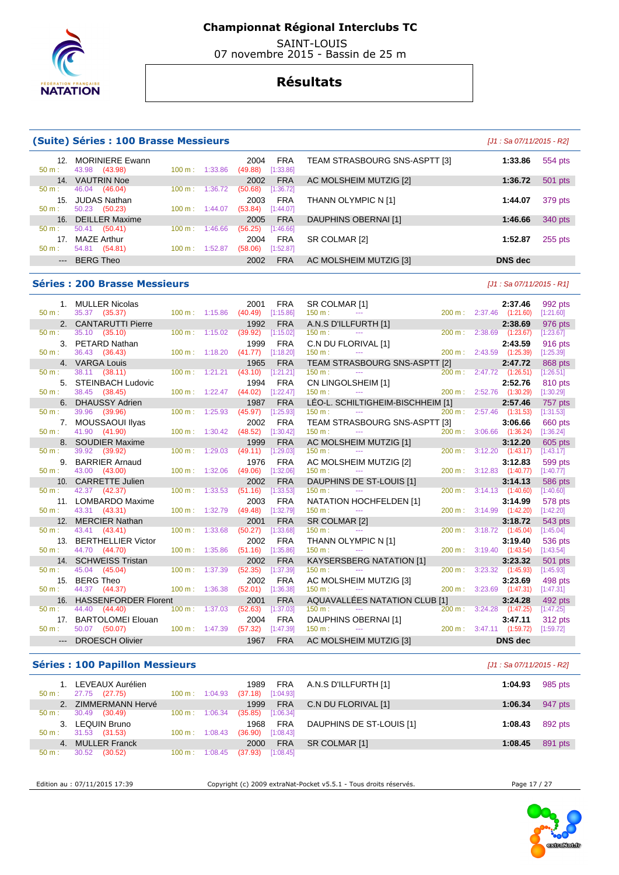

 SAINT-LOUIS 07 novembre 2015 - Bassin de 25 m

### **Résultats**

#### **(Suite) Séries : 100 Brasse Messieurs** [J1 : Sa 07/11/2015 - R2]

| 14. VAUTRIN Noe<br><b>FRA</b><br>2002<br>46.04<br>(46.04)<br>(50.68)<br>[1:36.72]<br>1:36.72<br>100 m:<br>$50 m$ :<br>15. JUDAS Nathan<br><b>FRA</b><br>2003 |
|--------------------------------------------------------------------------------------------------------------------------------------------------------------|
|                                                                                                                                                              |
|                                                                                                                                                              |
|                                                                                                                                                              |
| 50.23 (50.23)<br>(53.84)<br>[1:44.07]<br>$50 m$ :<br>100 m:<br>1:44.07                                                                                       |
| 16. DEILLER Maxime<br><b>FRA</b><br>2005                                                                                                                     |
| 50.41<br>(56.25)<br>(50.41)<br>1:46.66<br>[1:46.66]<br>100 m :<br>$50 m$ :                                                                                   |
| MAZE Arthur<br><b>FRA</b><br>17<br>2004                                                                                                                      |
| (58.06)<br>54.81<br>(54.81)<br>[1:52.87]<br>1:52.87<br>$50 m$ :<br>100 m :                                                                                   |
| <b>BERG Theo</b><br><b>FRA</b><br>2002                                                                                                                       |

#### **Séries : 200 Brasse Messieurs** [J1 : Sa 07/11/2015 - R1]

TEAM STRASBOURG SNS-ASPTT [3] **1:33.86** 554 pts AC MOLSHEIM MUTZIG [2] **1:36.72** 501 pts THANN OLYMPIC N [1] **1:44.07** 379 pts **DAUPHINS OBERNAI [1] 1:46.66** 340 pts SR COLMAR [2] **1:52.87 255 pts**  $AC$  MOLSHEIM MUTZIG [3] **DNS dec** 

| 50 m:            | 1. MULLER Nicolas<br>35.37 (35.37)    | 100 m: 1:15.86            | 2001<br>(40.49)                  | <b>FRA</b><br>[1:15.86] | SR COLMAR [1]<br>R [1]<br>---<br>150 m:                                                                                                                            |             | 2:37.46<br>200 m: 2:37.46 (1:21.60) | 992 pts<br>[1:21.60] |
|------------------|---------------------------------------|---------------------------|----------------------------------|-------------------------|--------------------------------------------------------------------------------------------------------------------------------------------------------------------|-------------|-------------------------------------|----------------------|
|                  | 2. CANTARUTTI Pierre                  |                           | 1992                             | <b>FRA</b>              |                                                                                                                                                                    |             | 2:38.69                             | 976 pts              |
| $50 m$ :         | 35.10 (35.10)                         |                           | 100 m: 1:15.02 (39.92) [1:15.02] |                         |                                                                                                                                                                    |             | 200 m: 2:38.69 (1:23.67)            | [1:23.67]            |
|                  | 3. PETARD Nathan                      |                           | 1999                             | <b>FRA</b>              | C.N DU FLORIVAL [1]                                                                                                                                                |             | 2:43.59                             | 916 pts              |
| 50 m:            | 36.43 (36.43)                         |                           | $100 \text{ m}: 1:18.20 (41.77)$ | [1:18.20]               | 150 m:<br><b>Service Contracts</b>                                                                                                                                 |             | 200 m: 2:43.59 (1:25.39)            | [1:25.39]            |
|                  | 4. VARGA Louis                        |                           | 1965                             | <b>FRA</b>              | TEAM STRASBOURG SNS-ASPTT [2]                                                                                                                                      |             | 2:47.72                             | 868 pts              |
| $50 m$ :         | 38.11 (38.11)                         | 100 m: 1:21.21            | (43.10)                          | [1:21.21]               | 150 m:<br>$\mathcal{L}(\mathcal{L}(\mathcal{L}))$ and $\mathcal{L}(\mathcal{L}(\mathcal{L}))$ . The contribution of the contribution of $\mathcal{L}(\mathcal{L})$ |             | 200 m: 2:47.72 (1:26.51)            | [1:26.51]            |
| 5.               | <b>STEINBACH Ludovic</b>              |                           | 1994                             | <b>FRA</b>              |                                                                                                                                                                    |             | 2:52.76                             | 810 pts              |
| $50 m$ :         | 38.45 (38.45)                         | $100 m$ : 1:22.47         | (44.02)                          | [1:22.47]               | $150 m$ :                                                                                                                                                          |             | 200 m: 2:52.76 (1:30.29)            | [1:30.29]            |
|                  | 6. DHAUSSY Adrien                     |                           | 1987                             | <b>FRA</b>              | LÉO-L. SCHILTIGHEIM-BISCHHEIM [1]                                                                                                                                  |             | 2:57.46                             | 757 pts              |
| $50 m$ :         | 39.96 (39.96)                         | $100 m$ : 1:25.93         | (45.97)                          | [1:25.93]               | $150 m$ :<br>see the company of the company of the                                                                                                                 | 200 m:      | 2:57.46 (1:31.53)                   | [1:31.53]            |
|                  | 7. MOUSSAOUI Ilyas                    |                           | 2002                             | <b>FRA</b>              | TEAM STRASBOURG SNS-ASPTT [3]                                                                                                                                      |             | 3:06.66                             | 660 pts              |
| $50 m$ :         | 41.90 (41.90)                         | 100 m: 1:30.42            | (48.52)                          | [1:30.42]               | 150 m:<br><b>State State</b>                                                                                                                                       |             | 200 m: 3:06.66 (1:36.24)            | [1:36.24]            |
| $50 m$ :         | 8. SOUDIER Maxime<br>39.92 (39.92)    | $100 \text{ m}: 1:29.03$  | 1999<br>(49.11)                  | <b>FRA</b><br>[1:29.03] | AC MOLSHEIM MUTZIG [1]<br>150 m:<br>$\sim$ $\sim$                                                                                                                  |             | 3:12.20<br>200 m: 3:12.20 (1:43.17) | 605 pts<br>[1:43.17] |
| 9.               | <b>BARRIER Arnaud</b>                 |                           | 1976                             | <b>FRA</b>              |                                                                                                                                                                    |             | 3:12.83                             |                      |
| $50 m$ :         | 43.00 (43.00)                         | 100 m: 1:32.06            | (49.06)                          | [1:32.06]               | AC MOLSHEIM MUTZIG [2]<br>$150 m$ :<br>$\scriptstyle\cdots$                                                                                                        |             | 200 m: 3:12.83 (1:40.77)            | 599 pts<br>[1:40.77] |
|                  | 10. CARRETTE Julien                   |                           | 2002                             | <b>FRA</b>              | DAUPHINS DE ST-LOUIS [1]                                                                                                                                           |             | 3:14.13                             | <b>586 pts</b>       |
| $50 \text{ m}$ : | 42.37 (42.37)                         | $100 \text{ m}$ : 1:33.53 | (51.16)                          | [1:33.53]               | 150 m:<br>$\sim$ $\sim$                                                                                                                                            |             | 200 m: 3:14.13 (1:40.60)            | [1:40.60]            |
|                  | 11. LOMBARDO Maxime                   |                           | 2003                             | <b>FRA</b>              | NATATION HOCHFELDEN [1]                                                                                                                                            |             | 3:14.99                             | 578 pts              |
| $50 m$ :         | 43.31 (43.31)                         |                           | 100 m: 1:32.79 (49.48)           | [1:32.79]               | $150 m$ :<br><b>State State</b>                                                                                                                                    |             | 200 m: 3:14.99 (1:42.20)            | [1:42.20]            |
|                  | 12. MERCIER Nathan                    |                           | 2001                             | <b>FRA</b>              | SR COLMAR [2]                                                                                                                                                      |             | 3:18.72                             | 543 pts              |
| 50 m:            | 43.41 (43.41)                         | $100 \text{ m}$ : 1:33.68 | (50.27)                          | [1:33.68]               | 150 m:<br>the company of the company of the company of the                                                                                                         |             | 200 m: 3:18.72 (1:45.04)            | [1:45.04]            |
| 13.              | <b>BERTHELLIER Victor</b>             |                           | 2002                             | <b>FRA</b>              | THANN OLYMPIC N [1]                                                                                                                                                |             | 3:19.40                             | 536 pts              |
| $50 m$ :         | 44.70 (44.70)                         | 100 m: 1:35.86            | (51.16)                          | [1:35.86]               | $150 m$ :<br>$\sim$ $\sim$                                                                                                                                         |             | 200 m: 3:19.40 (1:43.54)            | [1:43.54]            |
| $50 m$ :         | 14. SCHWEISS Tristan<br>45.04 (45.04) | 100 m: 1:37.39            | 2002<br>(52.35)                  | <b>FRA</b>              | KAYSERSBERG NATATION [1]<br>$150 m$ :                                                                                                                              | $200 m$ :   | 3:23.32<br>$3:23.32$ $(1:45.93)$    | 501 pts<br>[1:45.93] |
|                  | 15. BERG Theo                         |                           |                                  | [1:37.39]<br><b>FRA</b> | the season of the contract of the con-                                                                                                                             |             |                                     |                      |
| $50 m$ :         | 44.37 (44.37)                         | 100 m: 1:36.38            | 2002<br>(52.01)                  | [1:36.38]               | AC MOLSHEIM MUTZIG [3]<br>150 m:<br>$\sim$ $\sim$                                                                                                                  |             | 3:23.69<br>200 m: 3:23.69 (1:47.31) | 498 pts<br>[1:47.31] |
|                  | 16. HASSENFORDER Florent              |                           | 2001                             | <b>FRA</b>              | AQUAVALLÉES NATATION CLUB [1]                                                                                                                                      |             | 3:24.28                             | 492 pts              |
| $50 \text{ m}$ : | 44.40 (44.40)                         | 100 m: 1:37.03            | (52.63)                          | [1:37.03]               | 150 m:                                                                                                                                                             |             | 200 m: 3:24.28 (1:47.25)            | [1:47.25]            |
|                  | 17. BARTOLOMEI Elouan                 |                           | 2004                             | <b>FRA</b>              |                                                                                                                                                                    |             |                                     | 312 pts              |
| $50 m$ :         | 50.07 (50.07)                         | 100 m: 1:47.39 (57.32)    |                                  | [1:47.39]               | 150 m:                                                                                                                                                             |             |                                     | [1:59.72]            |
|                  | --- DROESCH Olivier                   |                           | 1967                             | <b>FRA</b>              | AC MOLSHEIM MUTZIG [3]                                                                                                                                             | a a shekara | <b>DNS</b> dec                      |                      |

#### **Séries : 100 Papillon Messieurs Contract Contract Contract Contract Contract Contract Contract Contract Contract Contract Contract Contract Contract Contract Contract Contract Contract Contract Contract Contract Contrac**

| $50 \text{ m}$ :      | LEVEAUX Aurélien<br>27.75<br>(27.75) | 1:04.93<br>$100 \text{ m}$ : | <b>FRA</b><br>1989<br>[1:04.93]<br>(37.18) | A.N.S D'ILLFURTH [1]     | 1:04.93 | 985 pts |
|-----------------------|--------------------------------------|------------------------------|--------------------------------------------|--------------------------|---------|---------|
|                       | 2. ZIMMERMANN Hervé                  |                              | <b>FRA</b><br>1999                         | C.N DU FLORIVAL [1]      | 1:06.34 | 947 pts |
| $50 \text{ m}$ :      | 30.49<br>(30.49)                     | 1:06.34<br>$100 \text{ m}$ : | (35.85)<br>[1:06.34]                       |                          |         |         |
| $\mathcal{B}_{\cdot}$ | <b>LEQUIN Bruno</b>                  |                              | FRA<br>1968                                | DAUPHINS DE ST-LOUIS [1] | 1:08.43 | 892 pts |
| $50 \text{ m}$ :      | 31.53 (31.53)                        | 1:08.43<br>$100 \text{ m}$ : | [1:08.43]<br>(36.90)                       |                          |         |         |
| 4.                    | <b>MULLER Franck</b>                 |                              | <b>FRA</b><br>2000                         | SR COLMAR [1]            | 1:08.45 | 891 pts |
| $50 \text{ m}$ :      | 30.52<br>(30.52)                     | 1:08.45<br>$100 \text{ m}$ : | (37.93)<br>[1:08.45]                       |                          |         |         |

Edition au : 07/11/2015 17:39 Copyright (c) 2009 extraNat-Pocket v5.5.1 - Tous droits réservés. Page 17 / 27

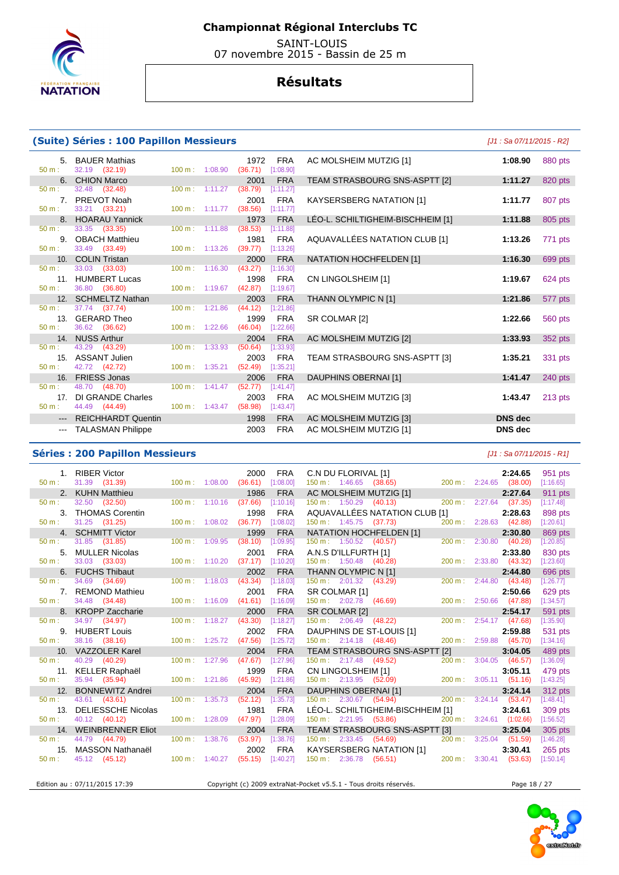

 SAINT-LOUIS 07 novembre 2015 - Bassin de 25 m

### **Résultats**

#### **(Suite) Séries : 100 Papillon Messieurs** [J1 : Sa 07/11/2015 - R2]

37.74 (37.74) 100 m :

48.70 (48.70) 100 m : 1:41.47 (52.77)

44.49 (44.49) 100 m : 1:43.47 (58.98)

33.21 (33.21)

33.49 (33.49)

36.80 (36.80)

42.72 (42.72)

### 5. BAUER Mathias 1972 FRA AC MOLSHEIM MUTZIG [1] **1:08.90** 880 pts 50 m : 32.19 (32.19) 100 m : 1:08.90 (36.71) [1:08.90] 6. CHION Marco 2001 FRA TEAM STRASBOURG SNS-ASPTT [2] **1:11.27** 820 pts 50 m : 32.48 (32.48) 100 m : 1:11.27 (38.79) [1:11.27] 7. PREVOT Noah 2001 FRA KAYSERSBERG NATATION [1] **1:11.77** 807 pts 8. HOARAU Yannick 1973 FRA LÉO-L. SCHILTIGHEIM-BISCHHEIM [1] **1:11.88** 805 pts 50 m : 33.35 (33.35) 100 m : 1:11.88 (38.53) [1:11.88] 9. OBACH Matthieu 1981 FRA AQUAVALLÉES NATATION CLUB [1] **1:13.26** 771 pts 10. COLIN Tristan 2000 FRA NATATION HOCHFELDEN [1] **1:16.30** 699 pts 50 m : 33.03 (33.03) 100 m : 1:16.30 (43.27) [1:16.30] 11. HUMBERT Lucas 1998 FRA CN LINGOLSHEIM [1] **1:19.67** 624 pts 12. SCHMELTZ Nathan 2003 FRA THANN OLYMPIC N [1] **1:21.86** 577 pts 13. GERARD Theo 1999 FRA SR COLMAR [2] **1:22.66** 560 pts 50 m : 36.62 (36.62) 100 m : 1:22.66 (46.04) [1:22.66] 14. NUSS Arthur 2004 FRA AC MOLSHEIM MUTZIG [2] **1:33.93** 352 pts 50 m : 43.29 (43.29) 100 m : 1:33.93 (50.64) [1:33.93] 15. ASSANT Julien 2003 FRA TEAM STRASBOURG SNS-ASPTT [3] **1:35.21** 331 pts 16. FRIESS Jonas 2006 FRA DAUPHINS OBERNAI [1] **1:41.47** 240 pts 17. DI GRANDE Charles 2003 FRA AC MOLSHEIM MUTZIG [3] **1:43.47** 213 pts<br>  $\frac{50 \text{ m}}{44.49}$  (44.49) 100 m : 1:43.47 (58.98) 1:43.47 --- REICHHARDT Quentin 1998 FRA AC MOLSHEIM MUTZIG [3] **DNS dec**  --- TALASMAN Philippe 2003 FRA AC MOLSHEIM MUTZIG [1] **DNS dec**

#### **Séries : 200 Papillon Messieurs** [J1 : Sa 07/11/2015 - R1]

|                  | 1. RIBER Victor                                                      |                                   | 2000                | <b>FRA</b> |                                  |                                                                                |  |                                  | 951 pts   |
|------------------|----------------------------------------------------------------------|-----------------------------------|---------------------|------------|----------------------------------|--------------------------------------------------------------------------------|--|----------------------------------|-----------|
| $50 m$ :         | 31.39 (31.39) 100 m : 1:08.00                                        |                                   | $(36.61)$ [1:08.00] |            |                                  | C.N DU FLORIVAL [1] 2:24.65<br>150 m : 1:46.65 (38.65) 200 m : 2:24.65 (38.00) |  |                                  | [1:16.65] |
|                  | 2. KUHN Matthieu                                                     |                                   | 1986                | <b>FRA</b> |                                  | AC MOLSHEIM MUTZIG [1]                                                         |  | 2:27.64                          | 911 pts   |
| 50 m:            | 32.50 (32.50)                                                        | $100 \text{ m}$ : 1:10.16 (37.66) |                     | [1:10.16]  |                                  | $150 \text{ m}: 1:50.29$ $(40.13)$                                             |  | 200 m: 2:27.64 (37.35)           | [1:17.48] |
|                  | 3. THOMAS Corentin                                                   |                                   | 1998                | <b>FRA</b> |                                  | AQUAVALLÉES NATATION CLUB [1]                                                  |  | 2:28.63                          | 898 pts   |
| $50 \text{ m}$ : | $31.25$ $(31.25)$                                                    | 100 m: 1:08.02 (36.77) [1:08.02]  |                     |            |                                  | 150 m : 1:45.75 (37.73)                                                        |  | 200 m: 2:28.63 (42.88)           | [1:20.61] |
|                  | 4. SCHMITT Victor                                                    |                                   | 1999                | <b>FRA</b> |                                  | NATATION HOCHFELDEN [1]                                                        |  | 2:30.80                          | 869 pts   |
| 50 m:            | 31.85 (31.85)                                                        | $100 \text{ m}: 1:09.95$          | (38.10)             | [1:09.95]  |                                  | $150 \text{ m}: 1:50.52$ (40.57)                                               |  | 200 m: 2:30.80 (40.28)           | [1:20.85] |
|                  | 5. MULLER Nicolas                                                    |                                   | 2001                | <b>FRA</b> |                                  | A.N.S D'ILLFURTH [1]<br>150 m : 1:50.48 (40.28)                                |  | 2:33.80                          | 830 pts   |
| $50 \text{ m}$ : | 33.03 (33.03)                                                        | 100 m: 1:10.20 (37.17) [1:10.20]  |                     |            |                                  |                                                                                |  | 200 m: 2:33.80 (43.32)           | [1:23.60] |
|                  | 6. FUCHS Thibaut                                                     |                                   | 2002                | <b>FRA</b> | THANN OLYMPIC N [1]              |                                                                                |  | 2:44.80                          | 696 pts   |
| 50 m:            | 34.69 (34.69)                                                        | $100 \text{ m}$ : 1:18.03         | (43.34)             | [1:18.03]  | 150 m: 2:01.32 (43.29)           |                                                                                |  | 200 m: 2:44.80 (43.48)           | [1:26.77] |
|                  | 7. REMOND Mathieu                                                    |                                   | 2001                | <b>FRA</b> |                                  | SR COLMAR [1]<br>150 m : 2:02.78 (46.69)                                       |  | 2:50.66                          | 629 pts   |
| $50 \text{ m}$ : | 34.48 (34.48)                                                        | $100 \text{ m}: 1:16.09$ (41.61)  |                     | [1:16.09]  |                                  |                                                                                |  | 200 m: 2:50.66 (47.88)           | [1:34.57] |
|                  | 8. KROPP Zaccharie                                                   |                                   | 2000                | <b>FRA</b> |                                  | SR COLMAR [2]<br>150 m : 2:06.49 (48.22) 200 m                                 |  | 2:54.17                          | 591 pts   |
| 50 m:            | 34.97 (34.97)                                                        | $100 m$ : 1:18.27                 | (43.30)             | [1:18.27]  |                                  |                                                                                |  | 200 m: 2:54.17 (47.68)           | [1:35.90] |
|                  | 9. HUBERT Louis                                                      |                                   | 2002                | <b>FRA</b> |                                  | DAUPHINS DE ST-LOUIS [1]                                                       |  | 2:59.88                          | 531 pts   |
| $50 \text{ m}$ : | 38.16 (38.16)                                                        | $100 \text{ m}: 1:25.72$ (47.56)  |                     | [1:25.72]  | $150 \text{ m}: 2:14.18$ (48.46) |                                                                                |  | 200 m: 2:59.88 (45.70)           | [1:34.16] |
|                  | 10. VAZZOLER Karel                                                   |                                   | 2004                | <b>FRA</b> |                                  | TEAM STRASBOURG SNS-ASPTT [2]                                                  |  | 3:04.05                          | 489 pts   |
| 50 m:            | 40.29 (40.29)                                                        | $100 \text{ m}: 1:27.96$ (47.67)  |                     | [1:27.96]  |                                  | 150 m : 2:17.48 (49.52)                                                        |  | 200 m: 3:04.05 (46.57)           | [1:36.09] |
|                  | 11. KELLER Raphaël                                                   |                                   | 1999                | <b>FRA</b> |                                  |                                                                                |  |                                  | 479 pts   |
| $50 m$ :         | 35.94 (35.94)                                                        | $100 m$ : 1:21.86                 | (45.92)             | [1:21.86]  |                                  | CN LINGOLSHEIM [1]<br>150 m : 2:13.95 (52.09) 200 m : 3:05.11 (51.16)          |  |                                  | [1:43.25] |
|                  | 12. BONNEWITZ Andrei                                                 |                                   | 2004                | <b>FRA</b> |                                  | DAUPHINS OBERNAI [1]<br>150 m : 2:30.67 (54.94) 200 m : 3:24                   |  | 3:24.14                          | 312 pts   |
| $50 m$ :         | 43.61 (43.61)                                                        | $100 \text{ m}$ : 1:35.73         | (52.12)             | [1:35.73]  |                                  |                                                                                |  | 200 m: 3:24.14 (53.47)           | [1:48.41] |
|                  | 13. DELIESSCHE Nicolas                                               |                                   | 1981                | <b>FRA</b> |                                  | LÉO-L. SCHILTIGHEIM-BISCHHEIM [1]                                              |  | 3:24.61                          | 309 pts   |
| 50 m:            | 40.12 (40.12)                                                        | 100 m: 1:28.09                    | $(47.97)$ [1:28.09] |            |                                  | 150 m : 2:21.95 (53.86) 200 m : 3:24.61 (1:02.66)                              |  |                                  | [1:56.52] |
|                  | 14. WEINBRENNER Eliot                                                |                                   | 2004                | <b>FRA</b> |                                  | TEAM STRASBOURG SNS-ASPTT [3]                                                  |  | 3:25.04                          | 305 pts   |
| $50 \text{ m}$ : | 44.79 (44.79)                                                        | $100 \text{ m}: 1:38.76$ (53.97)  |                     | [1:38.76]  |                                  | 150 m : 2:33.45 (54.69)                                                        |  | $200 \text{ m}: 3:25.04$ (51.59) | [1:46.28] |
|                  | 15. MASSON Nathanaël 2002<br>: 45.12 (45.12) 100 m : 1:40.27 (55.15) |                                   | 2002                | <b>FRA</b> |                                  | KAYSERSBERG NATATION [1]                                                       |  | 3:30.41                          | 265 pts   |
| $50 \text{ m}$ : |                                                                      |                                   |                     | [1:40.27]  |                                  | 150 m: 2:36.78 (56.51) 200 m: 3:30.41 (53.63)                                  |  |                                  | [1:50.14] |
|                  |                                                                      |                                   |                     |            |                                  |                                                                                |  |                                  |           |

Edition au : 07/11/2015 17:39 Copyright (c) 2009 extraNat-Pocket v5.5.1 - Tous droits réservés.

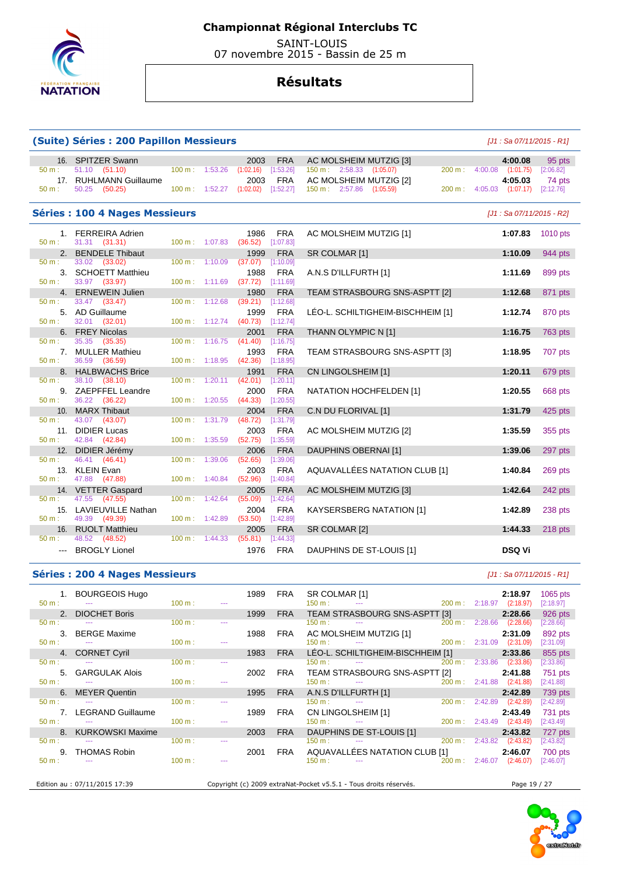

 SAINT-LOUIS 07 novembre 2015 - Bassin de 25 m

## **Résultats**

#### **(Suite) Séries : 200 Papillon Messieurs** [J1 : Sa 07/11/2015 - R1]

#### 16. SPITZER Swann 2003 FRA AC MOLSHEIM MUTZIG [3] **4:00.08** 95 pts 50 m : 51.10 (51.10) 100 m : 1:53.26 (1:02.16) [1:53.26] 150 m : 2:58.33 (1:05.07) 200 m : 4:00.08 (1:01.75) [2:06.82] 17. RUHLMANN Guillaume 2003 FRA AC MOLSHEIM MUTZIG [2] **4:05.03** 74 pts 150 m : 2:57.86 (1:05.59) **Séries : 100 4 Nages Messieurs and the series of the series of the series of the series of the series of the series of the series of the series of the series of the series of the series of the series of the series of th**  1. FERREIRA Adrien 1986 FRA AC MOLSHEIM MUTZIG [1] **1:07.83** 1010 pts 50 m : 31.31 (31.31) 100 m : 1:07.83 (36.52) [1:07.83] 2. BENDELE Thibaut 1999 FRA SR COLMAR [1] **1:10.09** 944 pts 50 m : 33.02 (33.02) 100 m : 1:10.09 (37.07) [1:10.09 3. SCHOETT Matthieu 1988 FRA A.N.S D'ILLFURTH [1] **1:11.69** 899 pts 50 m : 33.97 (33.97) 100 m : 1:11.69 (37.72) [1:11.69] 4. ERNEWEIN Julien 1980 FRA TEAM STRASBOURG SNS-ASPTT [2] **1:12.68** 871 pts 50 m : 33.47 (33.47) 100 m : 1:12.68 (39.21) [1:12.68] 5. AD Guillaume 1999 FRA LÉO-L. SCHILTIGHEIM-BISCHHEIM [1] **1:12.74** 870 pts 50 m : 32.01 (32.01) 100 m : 1:12.74 (40.73) [1:12.74] 6. FREY Nicolas 2001 FRA THANN OLYMPIC N [1] **1:16.75** 763 pts 50 m : 35.35 (35.35) 100 m : 1:16.75 (41.40) [1:16.75] 7. MULLER Mathieu 1993 FRA TEAM STRASBOURG SNS-ASPTT [3] **1:18.95** 707 pts 50 m : 36.59 (36.59) 100 m : 1:18.95 (42.36) [1:18.95] 8. HALBWACHS Brice 1991 FRA CN LINGOLSHEIM [1] **1:20.11** 679 pts 50 m : 38.10 (38.10) 100 m : 1:20.11 (42.01) 9. ZAEPFFEL Leandre 2000 FRA NATATION HOCHFELDEN [1] **1:20.55** 668 pts 36.22 (36.22) 10. MARX Thibaut 2004 FRA C.N DU FLORIVAL [1] **1:31.79** 425 pts 50 m : 43.07 (43.07) 100 m : 1:31.79 (48.72) [1:31.79] 11. DIDIER Lucas 2003 FRA AC MOLSHEIM MUTZIG [2] **1:35.59** 355 pts 50 m : 42.84 (42.84) 12. DIDIER Jérémy 2006 FRA DAUPHINS OBERNAI [1] **1:39.06** 297 pts 50 m : 46.41 (46.41) 100 m : 1:39.06 (52.65) [1:39.06] 13. KLEIN Evan 2003 FRA AQUAVALLÉES NATATION CLUB [1] **1:40.84** 269 pts 50 m : 47.88 (47.88) 100 m : 1:40.84 (52.96) [1:40.84] 14. VETTER Gaspard 2005 FRA AC MOLSHEIM MUTZIG [3] **1:42.64** 242 pts 50 m : 47.55 (47.55) 100 m : 1:42.64 (55.09) [1:42.64] 15. LAVIEUVILLE Nathan 2004 FRA KAYSERSBERG NATATION [1] **1:42.89** 238 pts 49.39 (49.39) 16. RUOLT Matthieu 2005 FRA SR COLMAR [2] **1:44.33** 218 pts  $(48.52)$

#### **Séries : 200 4 Nages Messieurs and the series of the series of the series of the series of the series of the series of the series of the series of the series of the series of the series of the series of the series of th**

|                      | 1. BOURGEOIS Hugo                 |                   |                      | 1989 | FRA        | SR COLMAR [1]                                                                                                                                                                                                                                                                                                     |                |                | 2:18.97                   | 1065 pts    |
|----------------------|-----------------------------------|-------------------|----------------------|------|------------|-------------------------------------------------------------------------------------------------------------------------------------------------------------------------------------------------------------------------------------------------------------------------------------------------------------------|----------------|----------------|---------------------------|-------------|
|                      | $50 \text{ m}$ : $-$              | $100 \text{ m}$ : | $\sim$ $\sim$ $\sim$ |      |            | 150 m : --- 200 m : 2:18.97 (2:18.97)                                                                                                                                                                                                                                                                             |                |                |                           | [2:18.97]   |
|                      | 2. DIOCHET Boris                  |                   |                      | 1999 | FRA        | TEAM STRASBOURG SNS-ASPTT [3]                                                                                                                                                                                                                                                                                     |                |                | 2:28.66                   | 926 pts     |
| $50 m$ :             | <b>Contractor</b>                 | 100 m:            |                      |      |            | $150 \text{ m}$ :<br>$\sim$ $\sim$                                                                                                                                                                                                                                                                                | 200 m: 2:28.66 |                | (2:28.66)                 | [2:28.66]   |
|                      | 3. BERGE Maxime                   |                   |                      | 1988 | FRA        | AC MOLSHEIM MUTZIG [1]                                                                                                                                                                                                                                                                                            |                |                | 2:31.09                   | 892 pts     |
| $50 m:$ $-$          |                                   | 100 m:            |                      |      |            | 150 m : --- --- 200 m : 2:31.09 (2:31.09)                                                                                                                                                                                                                                                                         |                |                |                           | $[2:31.09]$ |
|                      | 4. CORNET Cyril                   |                   |                      | 1983 | <b>FRA</b> | LÉO-L. SCHILTIGHEIM-BISCHHEIM [1]                                                                                                                                                                                                                                                                                 |                |                | 2:33.86                   | 855 pts     |
|                      | $50 \text{ m}$ : $  -$            | 100 m:            |                      |      |            | $150 \text{ m}$ : $150 \text{ m}$ : $150 \text{ m}$ : $150 \text{ m}$ : $150 \text{ m}$ : $150 \text{ m}$ : $150 \text{ m}$ : $150 \text{ m}$ : $150 \text{ m}$ : $150 \text{ m}$ : $150 \text{ m}$ : $150 \text{ m}$ : $150 \text{ m}$ : $150 \text{ m}$ : $150 \text{ m}$ : $150 \text{ m}$ : $150 \text{ m}$ : |                |                | 200 m: 2:33.86 (2:33.86)  | [2:33.86]   |
|                      | 5. GARGULAK Alois                 |                   |                      | 2002 | FRA        | TEAM STRASBOURG SNS-ASPTT [2]                                                                                                                                                                                                                                                                                     |                |                | 2:41.88                   | 751 pts     |
| $50 m:$ $---$        |                                   | $100 \text{ m}$ : |                      |      |            | $150 \text{ m}$ : $-$                                                                                                                                                                                                                                                                                             |                |                | 200 m: 2:41.88 (2:41.88)  | $[2:41.88]$ |
|                      | 6. MEYER Quentin                  |                   |                      | 1995 | FRA        | A.N.S D'ILLFURTH [1]                                                                                                                                                                                                                                                                                              |                |                | 2:42.89                   | 739 pts     |
| $50 \text{ m}$ : $-$ |                                   | $100 \text{ m}$ : |                      |      |            | $150 \text{ m}$ : $-$                                                                                                                                                                                                                                                                                             |                | 200 m: 2:42.89 | (2:42.89)                 | $[2:42.89]$ |
|                      | 7. LEGRAND Guillaume              |                   |                      | 1989 | FRA        | CN LINGOLSHEIM [1]<br>$150 \text{ m}:$ $150 \text{ m}:$ $200 \text{ m}:$                                                                                                                                                                                                                                          |                |                | 2:43.49                   | 731 pts     |
| $50 m$ :             | <b>State State</b>                | 100 m:            |                      |      |            |                                                                                                                                                                                                                                                                                                                   |                |                | 200 m : 2:43.49 (2:43.49) | [2:43.49]   |
|                      | 8. KURKOWSKI Maxime               |                   |                      | 2003 | <b>FRA</b> | DAUPHINS DE ST-LOUIS [1]                                                                                                                                                                                                                                                                                          |                |                | 2:43.82                   | 727 pts     |
| $50 \text{ m}$ :     | $\sim 10^{11}$ and $\sim 10^{11}$ | 100 m:            |                      |      |            | $200 \text{ m}$ : $2:43.82$ (2:43.82)<br>$150 \text{ m}$ :                                                                                                                                                                                                                                                        |                |                |                           | $[2:43.82]$ |
|                      | 9. THOMAS Robin                   |                   |                      | 2001 | FRA        | AQUAVALLÉES NATATION CLUB [1]                                                                                                                                                                                                                                                                                     |                |                | 2:46.07                   | 700 pts     |
| $50 \text{ m}$ : $-$ |                                   | 100 m:            |                      |      |            | $-200 \text{ m}$ : 2:46.07<br>$150 \text{ m}$ :                                                                                                                                                                                                                                                                   |                |                | (2:46.07)                 | [2:46.07]   |
|                      |                                   |                   |                      |      |            |                                                                                                                                                                                                                                                                                                                   |                |                |                           |             |

--- BROGLY Lionel **DSQ Vi 1976** FRA DAUPHINS DE ST-LOUIS [1] **DSQ Vi** 

Edition au : 07/11/2015 17:39 Copyright (c) 2009 extraNat-Pocket v5.5.1 - Tous droits réservés. Page 19 / 27

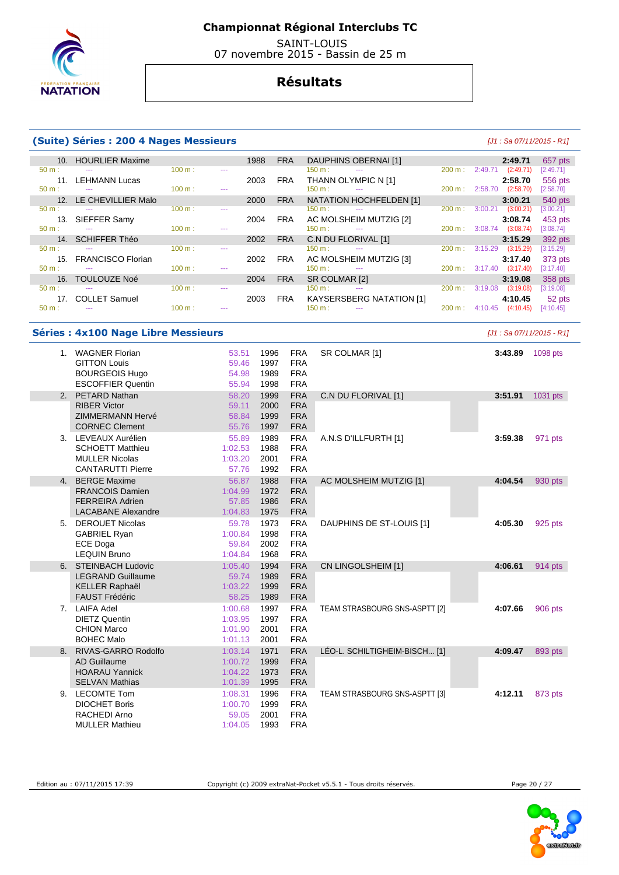

 SAINT-LOUIS 07 novembre 2015 - Bassin de 25 m

## **Résultats**

#### **(Suite) Séries : 200 4 Nages Messieurs** [J1 : Sa 07/11/2015 - R1]

| 10 <sub>1</sub>  | <b>HOURLIER Maxime</b>   |        |         | 1988 | <b>FRA</b> | DAUPHINS OBERNAI [1]                      |                   |         | 2:49.71   | 657 pts   |
|------------------|--------------------------|--------|---------|------|------------|-------------------------------------------|-------------------|---------|-----------|-----------|
| $50 m$ :         | ---                      | 100 m: | $- - -$ |      |            | $150 \text{ m}$ :<br>$\sim$ $\sim$ $\sim$ | 200 m:            | 2:49.71 | (2:49.71) | [2:49.71] |
| 11               | <b>LEHMANN Lucas</b>     |        |         | 2003 | <b>FRA</b> | THANN OLYMPIC N [1]                       |                   |         | 2:58.70   | 556 pts   |
| $50 m$ :         | $- - -$                  | 100 m: | ---     |      |            | $150 \text{ m}$ :<br>$- - -$              | 200 m:            | 2:58.70 | (2:58.70) | [2:58.70] |
| 12 <sub>1</sub>  | LE CHEVILLIER Malo       |        |         | 2000 | <b>FRA</b> | NATATION HOCHFELDEN [1]                   |                   |         | 3:00.21   | 540 pts   |
| $50 m$ :         | ---                      | 100 m: | $- - -$ |      |            | $150 \text{ m}$ :<br>$- - -$              | $200 \text{ m}$ : | 3:00.21 | (3:00.21) | [3:00.21] |
| 13.              | SIEFFER Samy             |        |         | 2004 | <b>FRA</b> | AC MOLSHEIM MUTZIG [2]                    |                   |         | 3:08.74   | 453 pts   |
| $50 \text{ m}$ : | ---                      | 100 m: | $- - -$ |      |            | 150 m:<br>$- - -$                         | 200 m:            | 3:08.74 | (3:08.74) | [3:08.74] |
| 14.              | <b>SCHIFFER Théo</b>     |        |         | 2002 | <b>FRA</b> | C.N DU FLORIVAL [1]                       |                   |         | 3:15.29   | 392 pts   |
| $50 m$ :         |                          | 100 m: | $- - -$ |      |            | 150 m:                                    | $200 \text{ m}$ : | 3:15.29 | (3:15.29) | [3:15.29] |
| 15.              | <b>FRANCISCO Florian</b> |        |         | 2002 | <b>FRA</b> | AC MOLSHEIM MUTZIG [3]                    |                   |         | 3:17.40   | 373 pts   |
| $50 m$ :         | $- - -$                  | 100 m: | $- - -$ |      |            | $150 m$ :<br>$- - -$                      | 200 m:            | 3:17.40 | (3:17.40) | [3:17.40] |
| 16.              | <b>TOULOUZE Noé</b>      |        |         | 2004 | <b>FRA</b> | SR COLMAR [2]                             |                   |         | 3:19.08   | 358 pts   |
| $50 m$ :         | ---                      | 100 m: | $- - -$ |      |            | 150 m:<br>$- - -$                         | 200 m:            | 3:19.08 | (3:19.08) | [3:19.08] |
| 17.              | <b>COLLET Samuel</b>     |        |         | 2003 | FRA        | <b>KAYSERSBERG NATATION [1]</b>           |                   |         | 4:10.45   | 52 pts    |
| $50 m$ :         | ---                      | 100 m: | ---     |      |            | 150 m :<br>---                            | $200 \text{ m}$ : | 4:10.45 | (4:10.45) | [4:10.45] |

#### **Séries : 4x100 Nage Libre Messieurs Contract Contract Contract Contract Contract Contract Contract Contract Contract Contract Contract Contract Contract Contract Contract Contract Contract Contract Contract Contract Con**

| $1_{-}$        | <b>WAGNER Florian</b>     | 53.51   | 1996 | <b>FRA</b> | SR COLMAR [1]                 | 3:43.89 | 1098 pts |
|----------------|---------------------------|---------|------|------------|-------------------------------|---------|----------|
|                | <b>GITTON Louis</b>       | 59.46   | 1997 | <b>FRA</b> |                               |         |          |
|                | <b>BOURGEOIS Hugo</b>     | 54.98   | 1989 | <b>FRA</b> |                               |         |          |
|                | <b>ESCOFFIER Quentin</b>  | 55.94   | 1998 | <b>FRA</b> |                               |         |          |
| 2 <sub>1</sub> | PETARD Nathan             | 58.20   | 1999 | <b>FRA</b> | C.N DU FLORIVAL [1]           | 3:51.91 | 1031 pts |
|                | <b>RIBER Victor</b>       | 59.11   | 2000 | <b>FRA</b> |                               |         |          |
|                | <b>ZIMMERMANN Hervé</b>   | 58.84   | 1999 | <b>FRA</b> |                               |         |          |
|                | <b>CORNEC Clement</b>     | 55.76   | 1997 | <b>FRA</b> |                               |         |          |
|                | 3. LEVEAUX Aurélien       | 55.89   | 1989 | <b>FRA</b> | A.N.S D'ILLFURTH [1]          | 3:59.38 | 971 pts  |
|                | <b>SCHOETT Matthieu</b>   | 1:02.53 | 1988 | <b>FRA</b> |                               |         |          |
|                | <b>MULLER Nicolas</b>     | 1:03.20 | 2001 | <b>FRA</b> |                               |         |          |
|                | <b>CANTARUTTI Pierre</b>  | 57.76   | 1992 | <b>FRA</b> |                               |         |          |
| 4.             | <b>BERGE Maxime</b>       | 56.87   | 1988 | <b>FRA</b> | AC MOLSHEIM MUTZIG [1]        | 4:04.54 | 930 pts  |
|                | <b>FRANCOIS Damien</b>    | 1:04.99 | 1972 | <b>FRA</b> |                               |         |          |
|                | <b>FERREIRA Adrien</b>    | 57.85   | 1986 | <b>FRA</b> |                               |         |          |
|                | <b>LACABANE Alexandre</b> | 1:04.83 | 1975 | <b>FRA</b> |                               |         |          |
| 5.             | <b>DEROUET Nicolas</b>    | 59.78   | 1973 | <b>FRA</b> | DAUPHINS DE ST-LOUIS [1]      | 4:05.30 | 925 pts  |
|                | <b>GABRIEL Ryan</b>       | 1:00.84 | 1998 | <b>FRA</b> |                               |         |          |
|                | <b>ECE Doga</b>           | 59.84   | 2002 | <b>FRA</b> |                               |         |          |
|                | <b>LEQUIN Bruno</b>       | 1:04.84 | 1968 | <b>FRA</b> |                               |         |          |
|                | 6. STEINBACH Ludovic      | 1:05.40 | 1994 | <b>FRA</b> | CN LINGOLSHEIM [1]            | 4:06.61 | 914 pts  |
|                | <b>LEGRAND Guillaume</b>  | 59.74   | 1989 | <b>FRA</b> |                               |         |          |
|                | <b>KELLER Raphaël</b>     | 1:03.22 | 1999 | <b>FRA</b> |                               |         |          |
|                | <b>FAUST Frédéric</b>     | 58.25   | 1989 | <b>FRA</b> |                               |         |          |
| 7.             | <b>LAIFA Adel</b>         | 1:00.68 | 1997 | <b>FRA</b> | TEAM STRASBOURG SNS-ASPTT [2] | 4:07.66 | 906 pts  |
|                | <b>DIETZ Quentin</b>      | 1:03.95 | 1997 | <b>FRA</b> |                               |         |          |
|                | <b>CHION Marco</b>        | 1:01.90 | 2001 | <b>FRA</b> |                               |         |          |
|                | <b>BOHEC Malo</b>         | 1:01.13 | 2001 | <b>FRA</b> |                               |         |          |
| 8.             | RIVAS-GARRO Rodolfo       | 1:03.14 | 1971 | <b>FRA</b> | LÉO-L. SCHILTIGHEIM-BISCH [1] | 4:09.47 | 893 pts  |
|                | <b>AD Guillaume</b>       | 1:00.72 | 1999 | <b>FRA</b> |                               |         |          |
|                | <b>HOARAU Yannick</b>     | 1:04.22 | 1973 | <b>FRA</b> |                               |         |          |
|                | <b>SELVAN Mathias</b>     | 1:01.39 | 1995 | <b>FRA</b> |                               |         |          |
|                | 9. LECOMTE Tom            | 1:08.31 | 1996 | <b>FRA</b> | TEAM STRASBOURG SNS-ASPTT [3] | 4:12.11 | 873 pts  |
|                | <b>DIOCHET Boris</b>      | 1:00.70 | 1999 | <b>FRA</b> |                               |         |          |
|                | RACHEDI Arno              | 59.05   | 2001 | <b>FRA</b> |                               |         |          |
|                | <b>MULLER Mathieu</b>     | 1:04.05 | 1993 | <b>FRA</b> |                               |         |          |

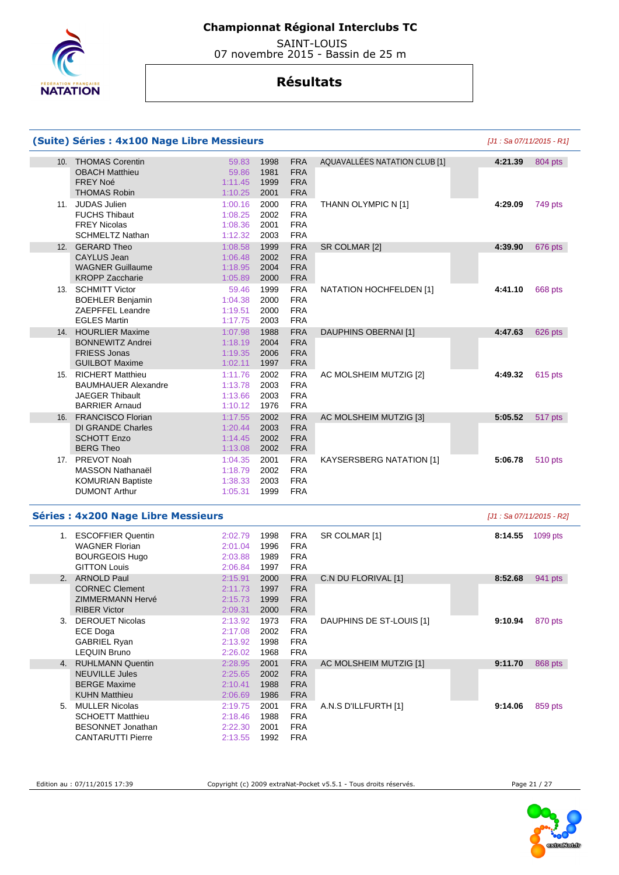

 SAINT-LOUIS 07 novembre 2015 - Bassin de 25 m

|     | (Suite) Séries : 4x100 Nage Libre Messieurs                                                              |                                          |                                                                                      |                                 |         | [J1 : Sa 07/11/2015 - R1] |
|-----|----------------------------------------------------------------------------------------------------------|------------------------------------------|--------------------------------------------------------------------------------------|---------------------------------|---------|---------------------------|
|     | 10. THOMAS Corentin<br><b>OBACH Matthieu</b><br><b>FREY Noé</b><br><b>THOMAS Robin</b>                   | 59.83<br>59.86<br>1:11.45<br>1:10.25     | 1998<br><b>FRA</b><br>1981<br><b>FRA</b><br>1999<br><b>FRA</b><br>2001<br><b>FRA</b> | AQUAVALLÉES NATATION CLUB [1]   | 4:21.39 | 804 pts                   |
|     | 11. JUDAS Julien<br><b>FUCHS Thibaut</b><br><b>FREY Nicolas</b><br><b>SCHMELTZ Nathan</b>                | 1:00.16<br>1:08.25<br>1:08.36<br>1:12.32 | <b>FRA</b><br>2000<br><b>FRA</b><br>2002<br><b>FRA</b><br>2001<br><b>FRA</b><br>2003 | THANN OLYMPIC N [1]             | 4:29.09 | 749 pts                   |
|     | 12. GERARD Theo                                                                                          | 1:08.58                                  | <b>FRA</b><br>1999                                                                   | SR COLMAR [2]                   | 4:39.90 | 676 pts                   |
|     | <b>CAYLUS Jean</b><br><b>WAGNER Guillaume</b><br><b>KROPP Zaccharie</b>                                  | 1:06.48<br>1:18.95<br>1:05.89            | 2002<br><b>FRA</b><br>2004<br><b>FRA</b><br>2000<br><b>FRA</b>                       |                                 |         |                           |
|     | 13. SCHMITT Victor<br><b>BOEHLER Benjamin</b><br>ZAEPFFEL Leandre<br><b>EGLES Martin</b>                 | 59.46<br>1:04.38<br>1:19.51<br>1:17.75   | 1999<br><b>FRA</b><br><b>FRA</b><br>2000<br><b>FRA</b><br>2000<br>2003<br><b>FRA</b> | NATATION HOCHFELDEN [1]         | 4:41.10 | 668 pts                   |
| 14. | <b>HOURLIER Maxime</b>                                                                                   | 1:07.98                                  | <b>FRA</b><br>1988                                                                   | DAUPHINS OBERNAI [1]            | 4:47.63 | 626 pts                   |
|     | <b>BONNEWITZ Andrei</b><br><b>FRIESS Jonas</b><br><b>GUILBOT Maxime</b>                                  | 1:18.19<br>1:19.35<br>1:02.11            | 2004<br><b>FRA</b><br>2006<br><b>FRA</b><br>1997<br><b>FRA</b>                       |                                 |         |                           |
|     | 15. RICHERT Matthieu<br><b>BAUMHAUER Alexandre</b><br><b>JAEGER Thibault</b><br><b>BARRIER Arnaud</b>    | 1:11.76<br>1:13.78<br>1:13.66<br>1:10.12 | <b>FRA</b><br>2002<br>2003<br><b>FRA</b><br>2003<br><b>FRA</b><br>1976<br><b>FRA</b> | AC MOLSHEIM MUTZIG [2]          | 4:49.32 | 615 pts                   |
|     | 16. FRANCISCO Florian<br><b>DI GRANDE Charles</b><br><b>SCHOTT Enzo</b><br><b>BERG Theo</b>              | 1:17.55<br>1:20.44<br>1:14.45<br>1:13.08 | <b>FRA</b><br>2002<br>2003<br><b>FRA</b><br>2002<br><b>FRA</b><br>2002<br><b>FRA</b> | AC MOLSHEIM MUTZIG [3]          | 5:05.52 | 517 pts                   |
|     | 17. PREVOT Noah<br><b>MASSON Nathanaël</b><br><b>KOMURIAN Baptiste</b><br><b>DUMONT Arthur</b>           | 1:04.35<br>1:18.79<br>1:38.33<br>1:05.31 | <b>FRA</b><br>2001<br>2002<br><b>FRA</b><br>2003<br><b>FRA</b><br>1999<br><b>FRA</b> | <b>KAYSERSBERG NATATION [1]</b> | 5:06.78 | 510 pts                   |
|     | <b>Séries: 4x200 Nage Libre Messieurs</b>                                                                |                                          |                                                                                      |                                 |         | [J1 : Sa 07/11/2015 - R2] |
|     | 1. ESCOFFIER Quentin<br><b>WAGNER Florian</b><br><b>BOURGEOIS Hugo</b><br><b>GITTON Louis</b>            | 2:02.79<br>2:01.04<br>2:03.88<br>2:06.84 | 1998<br><b>FRA</b><br>1996<br><b>FRA</b><br>1989<br><b>FRA</b><br><b>FRA</b><br>1997 | SR COLMAR [1]                   | 8:14.55 | 1099 pts                  |
| 2.  | <b>ARNOLD Paul</b><br><b>CORNEC Clement</b><br>ZIMMERMANN Hervé<br><b>RIBER Victor</b>                   | 2:15.91<br>2:11.73<br>2:15.73<br>2:09.31 | 2000<br><b>FRA</b><br>1997<br><b>FRA</b><br><b>FRA</b><br>1999<br>2000<br><b>FRA</b> | C.N DU FLORIVAL [1]             | 8:52.68 | 941 pts                   |
|     | 3. DEROUET Nicolas<br>ECE Doga<br><b>GABRIEL Ryan</b><br><b>LEQUIN Bruno</b>                             | 2:13.92<br>2:17.08<br>2:13.92<br>2:26.02 | 1973<br><b>FRA</b><br>2002<br><b>FRA</b><br>1998<br><b>FRA</b><br><b>FRA</b><br>1968 | DAUPHINS DE ST-LOUIS [1]        | 9:10.94 | 870 pts                   |
| 4.  | <b>RUHLMANN Quentin</b>                                                                                  | 2:28.95                                  | <b>FRA</b><br>2001                                                                   | AC MOLSHEIM MUTZIG [1]          | 9:11.70 | 868 pts                   |
|     | <b>NEUVILLE Jules</b><br><b>BERGE Maxime</b><br><b>KUHN Matthieu</b>                                     | 2:25.65<br>2:10.41<br>2:06.69            | 2002<br><b>FRA</b><br>1988<br><b>FRA</b><br>1986<br><b>FRA</b>                       |                                 |         |                           |
| 5.  | <b>MULLER Nicolas</b><br><b>SCHOETT Matthieu</b><br><b>BESONNET Jonathan</b><br><b>CANTARUTTI Pierre</b> | 2:19.75<br>2:18.46<br>2:22.30<br>2:13.55 | <b>FRA</b><br>2001<br>1988<br><b>FRA</b><br><b>FRA</b><br>2001<br><b>FRA</b><br>1992 | A.N.S D'ILLFURTH [1]            | 9:14.06 | 859 pts                   |



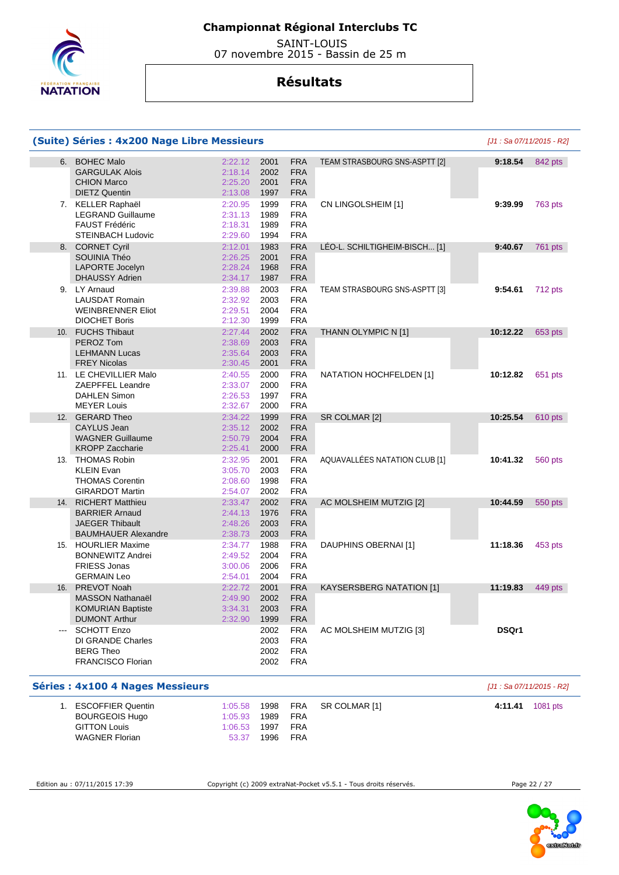

 SAINT-LOUIS 07 novembre 2015 - Bassin de 25 m

## **Résultats**

|                 | (Suite) Séries : 4x200 Nage Libre Messieurs                                                                    |                                                     |                                      |                                                                    |                               |          | [J1 : Sa 07/11/2015 - R2] |
|-----------------|----------------------------------------------------------------------------------------------------------------|-----------------------------------------------------|--------------------------------------|--------------------------------------------------------------------|-------------------------------|----------|---------------------------|
| 6.              | <b>BOHEC Malo</b><br><b>GARGULAK Alois</b><br><b>CHION Marco</b><br><b>DIETZ Quentin</b>                       | 2:22.12<br>2:18.14<br>2:25.20<br>2:13.08            | 2001<br>2002<br>2001<br>1997         | <b>FRA</b><br><b>FRA</b><br><b>FRA</b><br><b>FRA</b>               | TEAM STRASBOURG SNS-ASPTT [2] | 9:18.54  | 842 pts                   |
|                 | 7. KELLER Raphaël<br><b>LEGRAND Guillaume</b><br><b>FAUST Frédéric</b><br><b>STEINBACH Ludovic</b>             | 2:20.95<br>2:31.13<br>2:18.31<br>2:29.60            | 1999<br>1989<br>1989<br>1994         | <b>FRA</b><br><b>FRA</b><br><b>FRA</b><br><b>FRA</b>               | CN LINGOLSHEIM [1]            | 9:39.99  | 763 pts                   |
|                 | 8. CORNET Cyril<br>SOUINIA Théo<br><b>LAPORTE Jocelyn</b><br><b>DHAUSSY Adrien</b>                             | 2:12.01<br>2:26.25<br>2:28.24<br>2:34.17            | 1983<br>2001<br>1968<br>1987         | <b>FRA</b><br><b>FRA</b><br><b>FRA</b><br><b>FRA</b>               | LÉO-L. SCHILTIGHEIM-BISCH [1] | 9:40.67  | <b>761 pts</b>            |
|                 | 9. LY Arnaud<br><b>LAUSDAT Romain</b><br><b>WEINBRENNER Eliot</b><br><b>DIOCHET Boris</b>                      | 2:39.88<br>2:32.92<br>2:29.51<br>2:12.30            | 2003<br>2003<br>2004<br>1999         | <b>FRA</b><br><b>FRA</b><br><b>FRA</b><br><b>FRA</b>               | TEAM STRASBOURG SNS-ASPTT [3] | 9:54.61  | 712 pts                   |
| 10 <sub>1</sub> | <b>FUCHS Thibaut</b><br>PEROZ Tom<br><b>LEHMANN Lucas</b>                                                      | 2:27.44<br>2:38.69<br>2:35.64                       | 2002<br>2003<br>2003                 | <b>FRA</b><br><b>FRA</b><br><b>FRA</b>                             | THANN OLYMPIC N [1]           | 10:12.22 | 653 pts                   |
|                 | <b>FREY Nicolas</b><br>11. LE CHEVILLIER Malo<br>ZAEPFFEL Leandre<br><b>DAHLEN Simon</b><br><b>MEYER Louis</b> | 2:30.45<br>2:40.55<br>2:33.07<br>2:26.53<br>2:32.67 | 2001<br>2000<br>2000<br>1997<br>2000 | <b>FRA</b><br><b>FRA</b><br><b>FRA</b><br><b>FRA</b><br><b>FRA</b> | NATATION HOCHFELDEN [1]       | 10:12.82 | 651 pts                   |
| 12.             | <b>GERARD Theo</b><br><b>CAYLUS Jean</b><br><b>WAGNER Guillaume</b><br><b>KROPP Zaccharie</b>                  | 2:34.22<br>2:35.12<br>2:50.79<br>2:25.41            | 1999<br>2002<br>2004<br>2000         | <b>FRA</b><br><b>FRA</b><br><b>FRA</b><br><b>FRA</b>               | SR COLMAR [2]                 | 10:25.54 | 610 pts                   |
|                 | 13. THOMAS Robin<br><b>KLEIN Evan</b><br><b>THOMAS Corentin</b><br><b>GIRARDOT Martin</b>                      | 2:32.95<br>3:05.70<br>2:08.60<br>2:54.07            | 2001<br>2003<br>1998<br>2002         | <b>FRA</b><br><b>FRA</b><br><b>FRA</b><br><b>FRA</b>               | AQUAVALLÉES NATATION CLUB [1] | 10:41.32 | 560 pts                   |
| 14.             | <b>RICHERT Matthieu</b><br><b>BARRIER Arnaud</b><br><b>JAEGER Thibault</b><br><b>BAUMHAUER Alexandre</b>       | 2:33.47<br>2:44.13<br>2:48.26<br>2:38.73            | 2002<br>1976<br>2003<br>2003         | <b>FRA</b><br><b>FRA</b><br><b>FRA</b><br><b>FRA</b>               | AC MOLSHEIM MUTZIG [2]        | 10:44.59 | 550 pts                   |
| 15.             | <b>HOURLIER Maxime</b><br><b>BONNEWITZ Andrei</b><br><b>FRIESS Jonas</b><br><b>GERMAIN Leo</b>                 | 2:34.77<br>2:49.52<br>3:00.06<br>2:54.01            | 1988<br>2004<br>2006<br>2004         | <b>FRA</b><br><b>FRA</b><br><b>FRA</b><br><b>FRA</b>               | DAUPHINS OBERNAI [1]          | 11:18.36 | 453 pts                   |
| 16.             | PREVOT Noah<br>MASSON Nathanaël<br><b>KOMURIAN Baptiste</b><br><b>DUMONT Arthur</b>                            | 2:22.72<br>2:49.90<br>3:34.31<br>2:32.90            | 2001<br>2002<br>2003<br>1999         | <b>FRA</b><br>FRA<br><b>FRA</b><br><b>FRA</b>                      | KAYSERSBERG NATATION [1]      | 11:19.83 | 449 pts                   |
| $---$           | <b>SCHOTT Enzo</b><br>DI GRANDE Charles<br><b>BERG Theo</b><br><b>FRANCISCO Florian</b>                        |                                                     | 2002<br>2003<br>2002<br>2002         | <b>FRA</b><br><b>FRA</b><br><b>FRA</b><br><b>FRA</b>               | AC MOLSHEIM MUTZIG [3]        | DSQr1    |                           |
|                 | <b>Séries: 4x100 4 Nages Messieurs</b>                                                                         |                                                     |                                      |                                                                    |                               |          | [J1 : Sa 07/11/2015 - R2] |
|                 | 1. ESCOFFIER Quentin<br><b>BOURGEOIS Hugo</b><br><b>GITTON Louis</b>                                           | 1:05.58<br>1:05.93<br>1:06.53                       | 1998<br>1989<br>1997                 | <b>FRA</b><br><b>FRA</b><br>FRA                                    | SR COLMAR [1]                 | 4:11.41  | 1081 pts                  |

WAGNER Florian

Edition au : 07/11/2015 17:39 Copyright (c) 2009 extraNat-Pocket v5.5.1 - Tous droits réservés. Page 22 / 27

53.37 1996 FRA

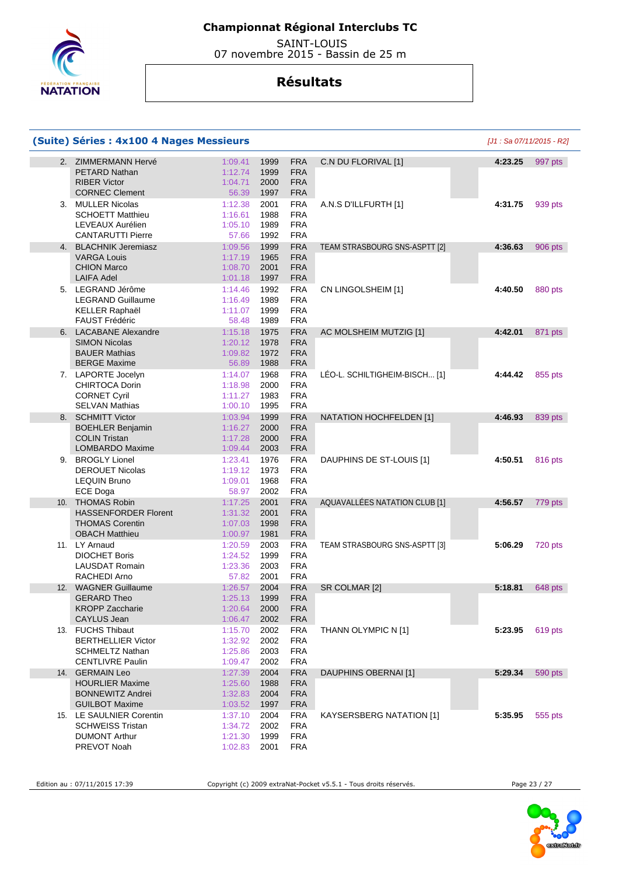

 SAINT-LOUIS 07 novembre 2015 - Bassin de 25 m

## **Résultats**

|                 | (Suite) Séries : 4x100 4 Nages Messieurs                                                              |                                          |                                                                                      |                                 | [J1 : Sa 07/11/2015 - R2] |         |
|-----------------|-------------------------------------------------------------------------------------------------------|------------------------------------------|--------------------------------------------------------------------------------------|---------------------------------|---------------------------|---------|
| 2.              | <b>ZIMMERMANN Hervé</b><br><b>PETARD Nathan</b><br><b>RIBER Victor</b><br><b>CORNEC Clement</b>       | 1:09.41<br>1:12.74<br>1:04.71<br>56.39   | <b>FRA</b><br>1999<br>1999<br><b>FRA</b><br>2000<br><b>FRA</b><br><b>FRA</b><br>1997 | C.N DU FLORIVAL [1]             | 4:23.25                   | 997 pts |
| 3.              | <b>MULLER Nicolas</b><br><b>SCHOETT Matthieu</b><br>LEVEAUX Aurélien<br><b>CANTARUTTI Pierre</b>      | 1:12.38<br>1:16.61<br>1:05.10<br>57.66   | 2001<br><b>FRA</b><br><b>FRA</b><br>1988<br><b>FRA</b><br>1989<br><b>FRA</b><br>1992 | A.N.S D'ILLFURTH [1]            | 4:31.75                   | 939 pts |
| 4.              | <b>BLACHNIK Jeremiasz</b><br><b>VARGA Louis</b><br><b>CHION Marco</b><br><b>LAIFA Adel</b>            | 1:09.56<br>1:17.19<br>1:08.70<br>1:01.18 | <b>FRA</b><br>1999<br><b>FRA</b><br>1965<br><b>FRA</b><br>2001<br>1997<br><b>FRA</b> | TEAM STRASBOURG SNS-ASPTT [2]   | 4:36.63                   | 906 pts |
|                 | 5. LEGRAND Jérôme<br><b>LEGRAND Guillaume</b><br><b>KELLER Raphaël</b><br><b>FAUST Frédéric</b>       | 1:14.46<br>1:16.49<br>1:11.07<br>58.48   | 1992<br><b>FRA</b><br><b>FRA</b><br>1989<br><b>FRA</b><br>1999<br><b>FRA</b><br>1989 | CN LINGOLSHEIM [1]              | 4:40.50                   | 880 pts |
|                 | 6. LACABANE Alexandre<br><b>SIMON Nicolas</b><br><b>BAUER Mathias</b><br><b>BERGE Maxime</b>          | 1:15.18<br>1:20.12<br>1:09.82<br>56.89   | <b>FRA</b><br>1975<br><b>FRA</b><br>1978<br>1972<br><b>FRA</b><br>1988<br><b>FRA</b> | AC MOLSHEIM MUTZIG [1]          | 4:42.01                   | 871 pts |
|                 | 7. LAPORTE Jocelyn<br><b>CHIRTOCA Dorin</b><br><b>CORNET Cyril</b><br><b>SELVAN Mathias</b>           | 1:14.07<br>1:18.98<br>1:11.27<br>1:00.10 | <b>FRA</b><br>1968<br><b>FRA</b><br>2000<br><b>FRA</b><br>1983<br>1995<br><b>FRA</b> | LÉO-L. SCHILTIGHEIM-BISCH [1]   | 4:44.42                   | 855 pts |
| 8.              | <b>SCHMITT Victor</b><br><b>BOEHLER Benjamin</b><br><b>COLIN Tristan</b><br>LOMBARDO Maxime           | 1:03.94<br>1:16.27<br>1:17.28<br>1:09.44 | <b>FRA</b><br>1999<br><b>FRA</b><br>2000<br>2000<br><b>FRA</b><br><b>FRA</b><br>2003 | <b>NATATION HOCHFELDEN [1]</b>  | 4:46.93                   | 839 pts |
| 9.              | <b>BROGLY Lionel</b><br><b>DEROUET Nicolas</b><br><b>LEQUIN Bruno</b><br>ECE Doga                     | 1:23.41<br>1:19.12<br>1:09.01<br>58.97   | 1976<br><b>FRA</b><br><b>FRA</b><br>1973<br><b>FRA</b><br>1968<br>2002<br><b>FRA</b> | DAUPHINS DE ST-LOUIS [1]        | 4:50.51                   | 816 pts |
| 10 <sub>1</sub> | <b>THOMAS Robin</b><br><b>HASSENFORDER Florent</b><br><b>THOMAS Corentin</b><br><b>OBACH Matthieu</b> | 1:17.25<br>1:31.32<br>1:07.03<br>1:00.97 | <b>FRA</b><br>2001<br>2001<br><b>FRA</b><br><b>FRA</b><br>1998<br>1981<br><b>FRA</b> | AQUAVALLÉES NATATION CLUB [1]   | 4:56.57                   | 779 pts |
|                 | 11. LY Arnaud<br><b>DIOCHET Boris</b><br><b>LAUSDAT Romain</b><br>RACHEDI Arno                        | 1:20.59<br>1:24.52<br>1:23.36<br>57.82   | <b>FRA</b><br>2003<br>1999<br><b>FRA</b><br><b>FRA</b><br>2003<br><b>FRA</b><br>2001 | TEAM STRASBOURG SNS-ASPTT [3]   | 5:06.29                   | 720 pts |
| 12.             | <b>WAGNER Guillaume</b><br><b>GERARD Theo</b><br><b>KROPP Zaccharie</b><br><b>CAYLUS Jean</b>         | 1:26.57<br>1:25.13<br>1:20.64<br>1:06.47 | <b>FRA</b><br>2004<br>1999<br><b>FRA</b><br>2000<br><b>FRA</b><br><b>FRA</b><br>2002 | SR COLMAR [2]                   | 5:18.81                   | 648 pts |
|                 | 13. FUCHS Thibaut<br><b>BERTHELLIER Victor</b><br><b>SCHMELTZ Nathan</b><br><b>CENTLIVRE Paulin</b>   | 1:15.70<br>1:32.92<br>1:25.86<br>1:09.47 | <b>FRA</b><br>2002<br>2002<br><b>FRA</b><br><b>FRA</b><br>2003<br>2002<br><b>FRA</b> | THANN OLYMPIC N [1]             | 5:23.95                   | 619 pts |
| 14.             | <b>GERMAIN Leo</b><br><b>HOURLIER Maxime</b><br><b>BONNEWITZ Andrei</b><br><b>GUILBOT Maxime</b>      | 1:27.39<br>1:25.60<br>1:32.83<br>1:03.52 | 2004<br><b>FRA</b><br>1988<br><b>FRA</b><br><b>FRA</b><br>2004<br><b>FRA</b><br>1997 | <b>DAUPHINS OBERNAI [1]</b>     | 5:29.34                   | 590 pts |
|                 | 15. LE SAULNIER Corentin<br><b>SCHWEISS Tristan</b><br><b>DUMONT Arthur</b><br>PREVOT Noah            | 1:37.10<br>1:34.72<br>1:21.30<br>1:02.83 | 2004<br><b>FRA</b><br><b>FRA</b><br>2002<br>1999<br><b>FRA</b><br><b>FRA</b><br>2001 | <b>KAYSERSBERG NATATION [1]</b> | 5:35.95                   | 555 pts |

Edition au : 07/11/2015 17:39 Copyright (c) 2009 extraNat-Pocket v5.5.1 - Tous droits réservés. Page 23 / 27

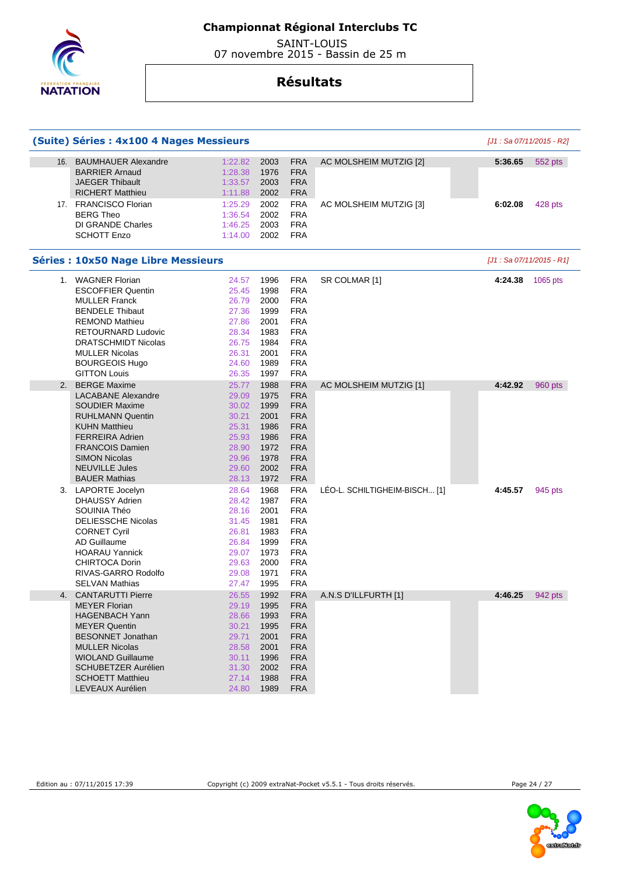

 SAINT-LOUIS 07 novembre 2015 - Bassin de 25 m

|     | (Suite) Séries : 4x100 4 Nages Messieurs                                                                                                                                                                                                                  |                                                                                                                                                                        |                                                                                                                                          |                               | [J1 : Sa 07/11/2015 - R2]  |          |
|-----|-----------------------------------------------------------------------------------------------------------------------------------------------------------------------------------------------------------------------------------------------------------|------------------------------------------------------------------------------------------------------------------------------------------------------------------------|------------------------------------------------------------------------------------------------------------------------------------------|-------------------------------|----------------------------|----------|
| 16. | <b>BAUMHAUER Alexandre</b><br><b>BARRIER Arnaud</b><br><b>JAEGER Thibault</b><br><b>RICHERT Matthieu</b>                                                                                                                                                  | 1:22.82<br>2003<br>1:28.38<br>1976<br>1:33.57<br>2003<br>1:11.88<br>2002                                                                                               | <b>FRA</b><br><b>FRA</b><br><b>FRA</b><br><b>FRA</b>                                                                                     | AC MOLSHEIM MUTZIG [2]        | 5:36.65                    | 552 pts  |
|     | 17. FRANCISCO Florian<br><b>BERG Theo</b><br>DI GRANDE Charles<br><b>SCHOTT Enzo</b>                                                                                                                                                                      | 1:25.29<br>2002<br>1:36.54<br>2002<br>1:46.25<br>2003<br>1:14.00<br>2002                                                                                               | <b>FRA</b><br><b>FRA</b><br><b>FRA</b><br><b>FRA</b>                                                                                     | AC MOLSHEIM MUTZIG [3]        | 6:02.08                    | 428 pts  |
|     | <b>Séries : 10x50 Nage Libre Messieurs</b>                                                                                                                                                                                                                |                                                                                                                                                                        |                                                                                                                                          |                               | $[J1: Sa 07/11/2015 - R1]$ |          |
| 1.  | <b>WAGNER Florian</b><br><b>ESCOFFIER Quentin</b><br><b>MULLER Franck</b><br><b>BENDELE Thibaut</b><br><b>REMOND Mathieu</b><br>RETOURNARD Ludovic<br><b>DRATSCHMIDT Nicolas</b><br><b>MULLER Nicolas</b><br><b>BOURGEOIS Hugo</b><br><b>GITTON Louis</b> | 1996<br>24.57<br>25.45<br>1998<br>2000<br>26.79<br>27.36<br>1999<br>27.86<br>2001<br>28.34<br>1983<br>26.75<br>1984<br>2001<br>26.31<br>1989<br>24.60<br>26.35<br>1997 | <b>FRA</b><br><b>FRA</b><br><b>FRA</b><br><b>FRA</b><br><b>FRA</b><br><b>FRA</b><br><b>FRA</b><br><b>FRA</b><br><b>FRA</b><br><b>FRA</b> | SR COLMAR [1]                 | 4:24.38                    | 1065 pts |
| 2.  | <b>BERGE Maxime</b><br><b>LACABANE Alexandre</b><br><b>SOUDIER Maxime</b><br><b>RUHLMANN Quentin</b><br><b>KUHN Matthieu</b><br><b>FERREIRA Adrien</b><br><b>FRANCOIS Damien</b><br><b>SIMON Nicolas</b><br><b>NEUVILLE Jules</b><br><b>BAUER Mathias</b> | 25.77<br>1988<br>29.09<br>1975<br>30.02<br>1999<br>30.21<br>2001<br>1986<br>25.31<br>25.93<br>1986<br>1972<br>28.90<br>1978<br>29.96<br>2002<br>29.60<br>1972<br>28.13 | <b>FRA</b><br><b>FRA</b><br><b>FRA</b><br><b>FRA</b><br><b>FRA</b><br><b>FRA</b><br><b>FRA</b><br><b>FRA</b><br><b>FRA</b><br><b>FRA</b> | AC MOLSHEIM MUTZIG [1]        | 4:42.92                    | 960 pts  |
|     | 3. LAPORTE Jocelyn<br><b>DHAUSSY Adrien</b><br>SOUINIA Théo<br><b>DELIESSCHE Nicolas</b><br><b>CORNET Cyril</b><br>AD Guillaume<br><b>HOARAU Yannick</b><br><b>CHIRTOCA Dorin</b><br>RIVAS-GARRO Rodolfo<br><b>SELVAN Mathias</b>                         | 28.64<br>1968<br>28.42<br>1987<br>28.16<br>2001<br>1981<br>31.45<br>1983<br>26.81<br>1999<br>26.84<br>29.07<br>1973<br>29.63<br>2000<br>1971<br>29.08<br>27.47<br>1995 | <b>FRA</b><br><b>FRA</b><br><b>FRA</b><br><b>FRA</b><br><b>FRA</b><br><b>FRA</b><br><b>FRA</b><br><b>FRA</b><br><b>FRA</b><br><b>FRA</b> | LEO-L. SCHILTIGHEIM-BISCH [1] | 4:45.57                    | 945 pts  |
| 4.  | <b>CANTARUTTI Pierre</b><br><b>MEYER Florian</b><br><b>HAGENBACH Yann</b><br><b>MEYER Quentin</b><br><b>BESONNET Jonathan</b><br><b>MULLER Nicolas</b><br><b>WIOLAND Guillaume</b><br>SCHUBETZER Aurélien<br><b>SCHOETT Matthieu</b><br>LEVEAUX Aurélien  | 26.55<br>1992<br>29.19<br>1995<br>28.66<br>1993<br>30.21<br>1995<br>29.71<br>2001<br>2001<br>28.58<br>30.11<br>1996<br>31.30<br>2002<br>27.14<br>1988<br>24.80<br>1989 | <b>FRA</b><br><b>FRA</b><br><b>FRA</b><br><b>FRA</b><br><b>FRA</b><br><b>FRA</b><br><b>FRA</b><br><b>FRA</b><br><b>FRA</b><br><b>FRA</b> | A.N.S D'ILLFURTH [1]          | 4:46.25                    | 942 pts  |

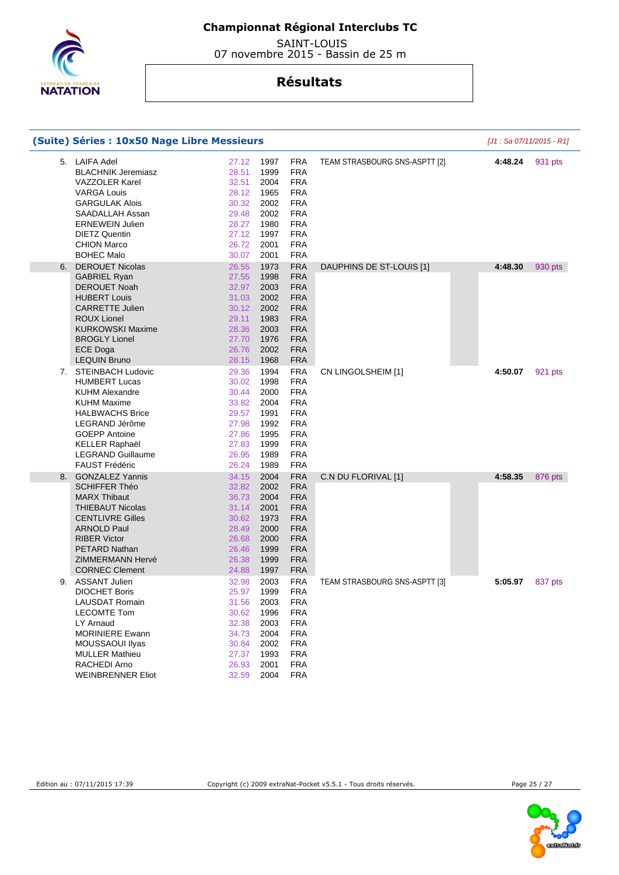

 SAINT-LOUIS 07 novembre 2015 - Bassin de 25 m

|    | (Suite) Séries : 10x50 Nage Libre Messieurs                                                                                                                                                                                                          |                                                                                                                                                                        |                                                                                                                                          |                               |         | [J1 : Sa 07/11/2015 - R1] |
|----|------------------------------------------------------------------------------------------------------------------------------------------------------------------------------------------------------------------------------------------------------|------------------------------------------------------------------------------------------------------------------------------------------------------------------------|------------------------------------------------------------------------------------------------------------------------------------------|-------------------------------|---------|---------------------------|
|    | 5. LAIFA Adel<br><b>BLACHNIK Jeremiasz</b><br><b>VAZZOLER Karel</b><br><b>VARGA Louis</b><br><b>GARGULAK Alois</b><br>SAADALLAH Assan<br><b>ERNEWEIN Julien</b><br><b>DIETZ Quentin</b><br><b>CHION Marco</b><br><b>BOHEC Malo</b>                   | 27.12<br>1997<br>28.51<br>1999<br>32.51<br>2004<br>28.12<br>1965<br>30.32<br>2002<br>2002<br>29.48<br>28.27<br>1980<br>27.12<br>1997<br>26.72<br>2001<br>30.07<br>2001 | <b>FRA</b><br><b>FRA</b><br><b>FRA</b><br><b>FRA</b><br><b>FRA</b><br><b>FRA</b><br><b>FRA</b><br><b>FRA</b><br><b>FRA</b><br><b>FRA</b> | TEAM STRASBOURG SNS-ASPTT [2] | 4:48.24 | 931 pts                   |
|    | 6. DEROUET Nicolas<br><b>GABRIEL Ryan</b><br><b>DEROUET Noah</b><br><b>HUBERT Louis</b><br><b>CARRETTE Julien</b><br><b>ROUX Lionel</b><br><b>KURKOWSKI Maxime</b><br><b>BROGLY Lionel</b><br><b>ECE Doga</b><br><b>LEQUIN Bruno</b>                 | 26.55<br>1973<br>27.55<br>1998<br>2003<br>32.97<br>2002<br>31.03<br>30.12<br>2002<br>29.11<br>1983<br>2003<br>28.36<br>27.70<br>1976<br>2002<br>26.76<br>1968<br>28.15 | <b>FRA</b><br>FRA<br><b>FRA</b><br>FRA<br><b>FRA</b><br><b>FRA</b><br><b>FRA</b><br><b>FRA</b><br><b>FRA</b><br><b>FRA</b>               | DAUPHINS DE ST-LOUIS [1]      | 4:48.30 | 930 pts                   |
|    | 7. STEINBACH Ludovic<br><b>HUMBERT Lucas</b><br><b>KUHM Alexandre</b><br><b>KUHM Maxime</b><br><b>HALBWACHS Brice</b><br>LEGRAND Jérôme<br><b>GOEPP Antoine</b><br><b>KELLER Raphaël</b><br><b>LEGRAND Guillaume</b><br><b>FAUST Frédéric</b>        | 1994<br>29.36<br>1998<br>30.02<br>30.44<br>2000<br>33.82<br>2004<br>1991<br>29.57<br>27.98<br>1992<br>27.86<br>1995<br>1999<br>27.83<br>26.95<br>1989<br>26.24<br>1989 | <b>FRA</b><br><b>FRA</b><br><b>FRA</b><br><b>FRA</b><br><b>FRA</b><br><b>FRA</b><br><b>FRA</b><br><b>FRA</b><br><b>FRA</b><br><b>FRA</b> | CN LINGOLSHEIM [1]            | 4:50.07 | 921 pts                   |
| 8. | <b>GONZALEZ Yannis</b><br><b>SCHIFFER Théo</b><br><b>MARX Thibaut</b><br><b>THIEBAUT Nicolas</b><br><b>CENTLIVRE Gilles</b><br><b>ARNOLD Paul</b><br><b>RIBER Victor</b><br><b>PETARD Nathan</b><br><b>ZIMMERMANN Hervé</b><br><b>CORNEC Clement</b> | 34.15<br>2004<br>32.82<br>2002<br>36.73<br>2004<br>31.14<br>2001<br>1973<br>30.62<br>28.49<br>2000<br>26.68<br>2000<br>1999<br>26.46<br>26.38<br>1999<br>24.88<br>1997 | <b>FRA</b><br><b>FRA</b><br><b>FRA</b><br><b>FRA</b><br><b>FRA</b><br>FRA<br><b>FRA</b><br><b>FRA</b><br>FRA<br><b>FRA</b>               | C.N DU FLORIVAL [1]           | 4:58.35 | 876 pts                   |
|    | 9. ASSANT Julien<br><b>DIOCHET Boris</b><br><b>LAUSDAT Romain</b><br><b>LECOMTE Tom</b><br>LY Arnaud<br><b>MORINIERE Ewann</b><br>MOUSSAOUI IIyas<br><b>MULLER Mathieu</b><br>RACHEDI Arno<br><b>WEINBRENNER Eliot</b>                               | 2003<br>32.98<br>25.97<br>1999<br>2003<br>31.56<br>30.62<br>1996<br>32.38<br>2003<br>34.73<br>2004<br>30.84<br>2002<br>27.37<br>1993<br>26.93<br>2001<br>32.59<br>2004 | <b>FRA</b><br><b>FRA</b><br><b>FRA</b><br><b>FRA</b><br><b>FRA</b><br><b>FRA</b><br><b>FRA</b><br><b>FRA</b><br><b>FRA</b><br><b>FRA</b> | TEAM STRASBOURG SNS-ASPTT [3] | 5:05.97 | 837 pts                   |

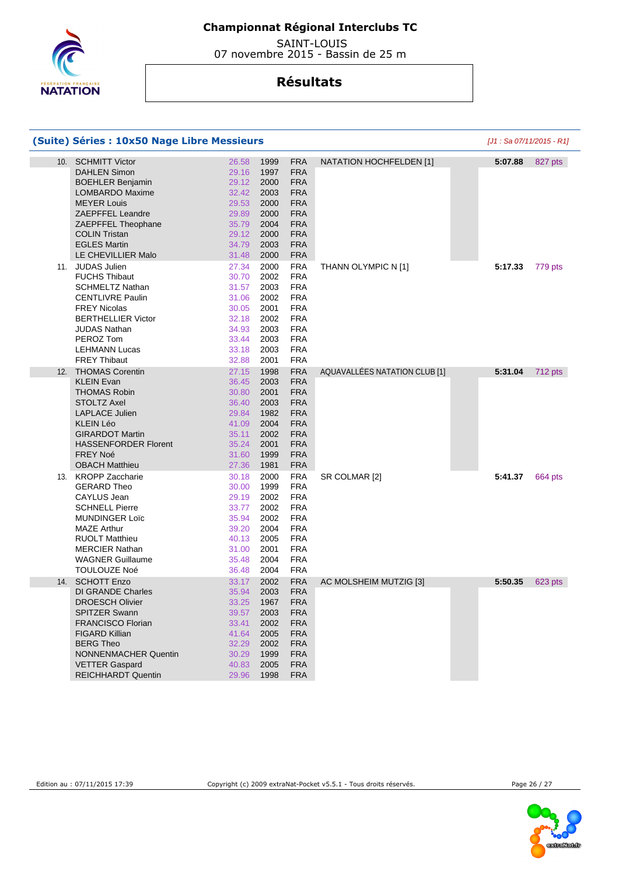

 SAINT-LOUIS 07 novembre 2015 - Bassin de 25 m

|     | (Suite) Séries : 10x50 Nage Libre Messieurs                                                                                                                                                                                                          |                                                                                                                                                                        |                                                                                                                                          |                               |         | [J1 : Sa 07/11/2015 - R1] |
|-----|------------------------------------------------------------------------------------------------------------------------------------------------------------------------------------------------------------------------------------------------------|------------------------------------------------------------------------------------------------------------------------------------------------------------------------|------------------------------------------------------------------------------------------------------------------------------------------|-------------------------------|---------|---------------------------|
| 10. | <b>SCHMITT Victor</b><br><b>DAHLEN Simon</b><br><b>BOEHLER Benjamin</b><br><b>LOMBARDO Maxime</b><br><b>MEYER Louis</b><br><b>ZAEPFFEL Leandre</b><br>ZAEPFFEL Theophane<br><b>COLIN Tristan</b><br><b>EGLES Martin</b><br>LE CHEVILLIER Malo        | 26.58<br>1999<br>29.16<br>1997<br>29.12<br>2000<br>32.42<br>2003<br>29.53<br>2000<br>29.89<br>2000<br>35.79<br>2004<br>2000<br>29.12<br>34.79<br>2003<br>31.48<br>2000 | <b>FRA</b><br><b>FRA</b><br><b>FRA</b><br><b>FRA</b><br><b>FRA</b><br><b>FRA</b><br><b>FRA</b><br><b>FRA</b><br><b>FRA</b><br><b>FRA</b> | NATATION HOCHFELDEN [1]       | 5:07.88 | 827 pts                   |
|     | 11. JUDAS Julien<br><b>FUCHS Thibaut</b><br><b>SCHMELTZ Nathan</b><br><b>CENTLIVRE Paulin</b><br><b>FREY Nicolas</b><br><b>BERTHELLIER Victor</b><br><b>JUDAS Nathan</b><br>PEROZ Tom<br><b>LEHMANN Lucas</b><br><b>FREY Thibaut</b>                 | 27.34<br>2000<br>2002<br>30.70<br>2003<br>31.57<br>31.06<br>2002<br>30.05<br>2001<br>32.18<br>2002<br>34.93<br>2003<br>33.44<br>2003<br>33.18<br>2003<br>32.88<br>2001 | <b>FRA</b><br><b>FRA</b><br><b>FRA</b><br><b>FRA</b><br><b>FRA</b><br><b>FRA</b><br><b>FRA</b><br><b>FRA</b><br><b>FRA</b><br><b>FRA</b> | THANN OLYMPIC N [1]           | 5:17.33 | 779 pts                   |
| 12. | <b>THOMAS Corentin</b><br><b>KLEIN Evan</b><br><b>THOMAS Robin</b><br><b>STOLTZ Axel</b><br><b>LAPLACE Julien</b><br><b>KLEIN Léo</b><br><b>GIRARDOT Martin</b><br><b>HASSENFORDER Florent</b><br><b>FREY Noé</b><br><b>OBACH Matthieu</b>           | 27.15<br>1998<br>36.45<br>2003<br>30.80<br>2001<br>36.40<br>2003<br>29.84<br>1982<br>41.09<br>2004<br>35.11<br>2002<br>35.24<br>2001<br>31.60<br>1999<br>27.36<br>1981 | <b>FRA</b><br><b>FRA</b><br><b>FRA</b><br><b>FRA</b><br><b>FRA</b><br><b>FRA</b><br><b>FRA</b><br><b>FRA</b><br><b>FRA</b><br><b>FRA</b> | AQUAVALLÉES NATATION CLUB [1] | 5:31.04 | 712 pts                   |
|     | 13. KROPP Zaccharie<br><b>GERARD Theo</b><br>CAYLUS Jean<br><b>SCHNELL Pierre</b><br><b>MUNDINGER Loïc</b><br><b>MAZE Arthur</b><br><b>RUOLT Matthieu</b><br><b>MERCIER Nathan</b><br><b>WAGNER Guillaume</b><br><b>TOULOUZE Noé</b>                 | 2000<br>30.18<br>1999<br>30.00<br>2002<br>29.19<br>33.77<br>2002<br>35.94<br>2002<br>39.20<br>2004<br>40.13<br>2005<br>31.00<br>2001<br>2004<br>35.48<br>2004<br>36.48 | FRA<br><b>FRA</b><br><b>FRA</b><br><b>FRA</b><br><b>FRA</b><br><b>FRA</b><br><b>FRA</b><br><b>FRA</b><br><b>FRA</b><br><b>FRA</b>        | SR COLMAR [2]                 | 5:41.37 | 664 pts                   |
|     | 14. SCHOTT Enzo<br><b>DI GRANDE Charles</b><br><b>DROESCH Olivier</b><br><b>SPITZER Swann</b><br><b>FRANCISCO Florian</b><br><b>FIGARD Killian</b><br><b>BERG Theo</b><br>NONNENMACHER Quentin<br><b>VETTER Gaspard</b><br><b>REICHHARDT Quentin</b> | 2002<br>33.17<br>35.94<br>2003<br>33.25<br>1967<br>2003<br>39.57<br>33.41<br>2002<br>41.64<br>2005<br>32.29<br>2002<br>30.29<br>1999<br>40.83<br>2005<br>29.96<br>1998 | <b>FRA</b><br><b>FRA</b><br><b>FRA</b><br><b>FRA</b><br><b>FRA</b><br><b>FRA</b><br><b>FRA</b><br><b>FRA</b><br><b>FRA</b><br><b>FRA</b> | AC MOLSHEIM MUTZIG [3]        | 5:50.35 | 623 pts                   |